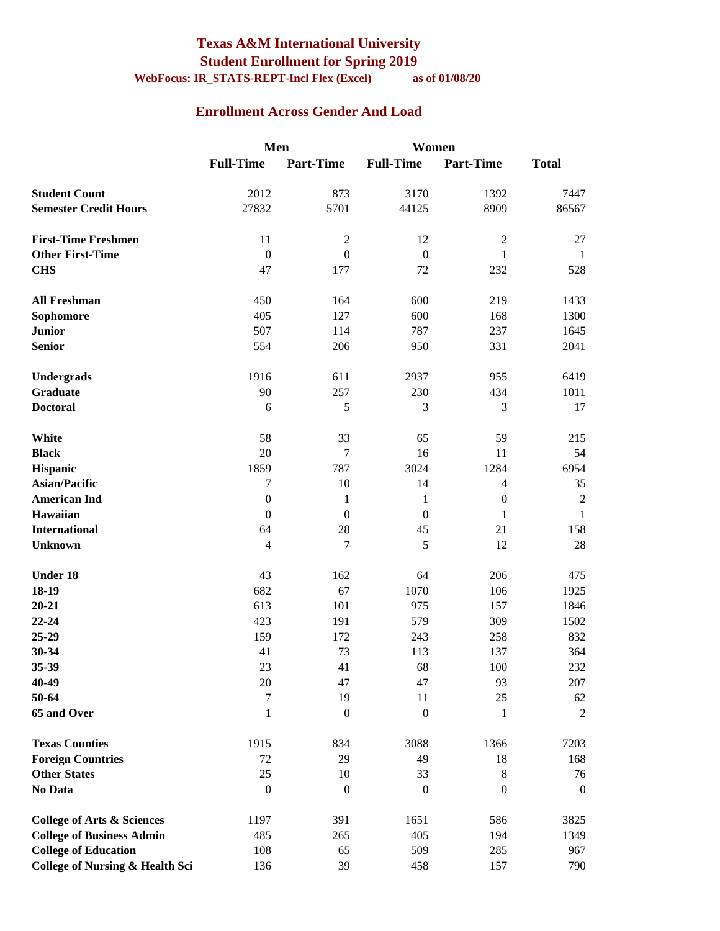#### **Texas A&M International University Student Enrollment for Spring 2019 WebFocus: IR\_STATS-REPT-Incl Flex (Excel) as of 01/08/20**

#### **Enrollment Across Gender And Load**

|                                            | Men               |                        | Women              |                  |                      |
|--------------------------------------------|-------------------|------------------------|--------------------|------------------|----------------------|
|                                            | <b>Full-Time</b>  | <b>Part-Time</b>       | <b>Full-Time</b>   | <b>Part-Time</b> | <b>Total</b>         |
| <b>Student Count</b>                       | 2012              | 873                    | 3170               | 1392             | 7447                 |
| <b>Semester Credit Hours</b>               | 27832             | 5701                   | 44125              | 8909             | 86567                |
| <b>First-Time Freshmen</b>                 | 11                | $\sqrt{2}$             | 12                 | $\sqrt{2}$       | 27                   |
| <b>Other First-Time</b>                    | $\boldsymbol{0}$  | $\mathbf{0}$           | $\overline{0}$     | $\mathbf{1}$     | $\mathbf{1}$         |
| <b>CHS</b>                                 | 47                | 177                    | 72                 | 232              | 528                  |
| <b>All Freshman</b>                        | 450               | 164                    | 600                | 219              | 1433                 |
| Sophomore                                  | 405               | 127                    | 600                | 168              | 1300                 |
| <b>Junior</b>                              | 507               | 114                    | 787                | 237              | 1645                 |
| <b>Senior</b>                              | 554               | 206                    | 950                | 331              | 2041                 |
| Undergrads                                 | 1916              | 611                    | 2937               | 955              | 6419                 |
| <b>Graduate</b>                            | 90                | 257                    | 230                | 434              | 1011                 |
| <b>Doctoral</b>                            | 6                 | 5                      | 3                  | 3                | 17                   |
| White                                      | 58                | 33                     | 65                 | 59               | 215                  |
| <b>Black</b>                               | 20                | $\tau$                 | 16                 | 11               | 54                   |
| Hispanic                                   | 1859              | 787                    | 3024               | 1284             | 6954                 |
| <b>Asian/Pacific</b>                       | $\boldsymbol{7}$  | 10                     | 14                 | $\overline{4}$   | 35                   |
| <b>American Ind</b>                        | $\boldsymbol{0}$  | 1                      | 1                  | $\boldsymbol{0}$ | $\sqrt{2}$           |
| Hawaiian                                   | $\boldsymbol{0}$  | $\boldsymbol{0}$       | $\boldsymbol{0}$   | 1                | $\mathbf{1}$         |
| <b>International</b>                       | 64                | 28                     | 45                 | 21               | 158                  |
| <b>Unknown</b>                             | $\overline{4}$    | $\tau$                 | 5                  | 12               | 28                   |
| <b>Under 18</b>                            | 43                | 162                    | 64                 | 206              | 475                  |
| 18-19                                      | 682               | 67                     | 1070               | 106              | 1925                 |
| $20 - 21$                                  | 613               | 101                    | 975                | 157              | 1846                 |
| 22-24                                      | 423               | 191                    | 579                | 309              | 1502                 |
| 25-29                                      | 159               | 172                    | 243                | 258              | 832                  |
| 30-34                                      | 41                | 73                     | 113                | 137              | 364                  |
| 35-39                                      | $23\,$            | 41                     | 68                 | $100\,$          | 232                  |
| 40-49                                      | 20                | 47                     | 47                 | 93               | 207                  |
| 50-64<br>65 and Over                       | 7<br>$\mathbf{1}$ | 19<br>$\boldsymbol{0}$ | 11<br>$\mathbf{0}$ | 25<br>1          | 62<br>$\overline{2}$ |
|                                            |                   |                        |                    |                  |                      |
| <b>Texas Counties</b>                      | 1915              | 834                    | 3088               | 1366             | 7203                 |
| <b>Foreign Countries</b>                   | 72                | 29                     | 49                 | 18               | 168                  |
| <b>Other States</b>                        | 25                | 10                     | 33                 | $8\,$            | 76                   |
| No Data                                    | $\boldsymbol{0}$  | $\boldsymbol{0}$       | $\theta$           | $\boldsymbol{0}$ | $\boldsymbol{0}$     |
| <b>College of Arts &amp; Sciences</b>      | 1197              | 391                    | 1651               | 586              | 3825                 |
| <b>College of Business Admin</b>           | 485               | 265                    | 405                | 194              | 1349                 |
| <b>College of Education</b>                | 108               | 65                     | 509                | 285              | 967                  |
| <b>College of Nursing &amp; Health Sci</b> | 136               | 39                     | 458                | 157              | 790                  |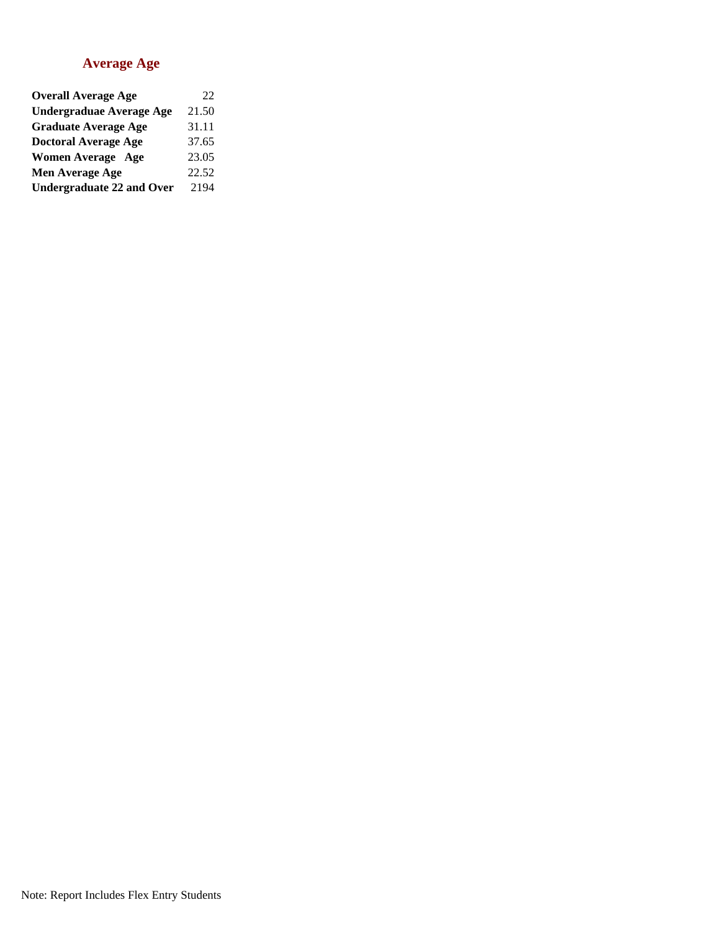#### **Average Age**

| <b>Overall Average Age</b>       | 22    |
|----------------------------------|-------|
| <b>Undergraduae Average Age</b>  | 21.50 |
| <b>Graduate Average Age</b>      | 31.11 |
| <b>Doctoral Average Age</b>      | 37.65 |
| <b>Women Average Age</b>         | 23.05 |
| Men Average Age                  | 22.52 |
| <b>Undergraduate 22 and Over</b> | 2194  |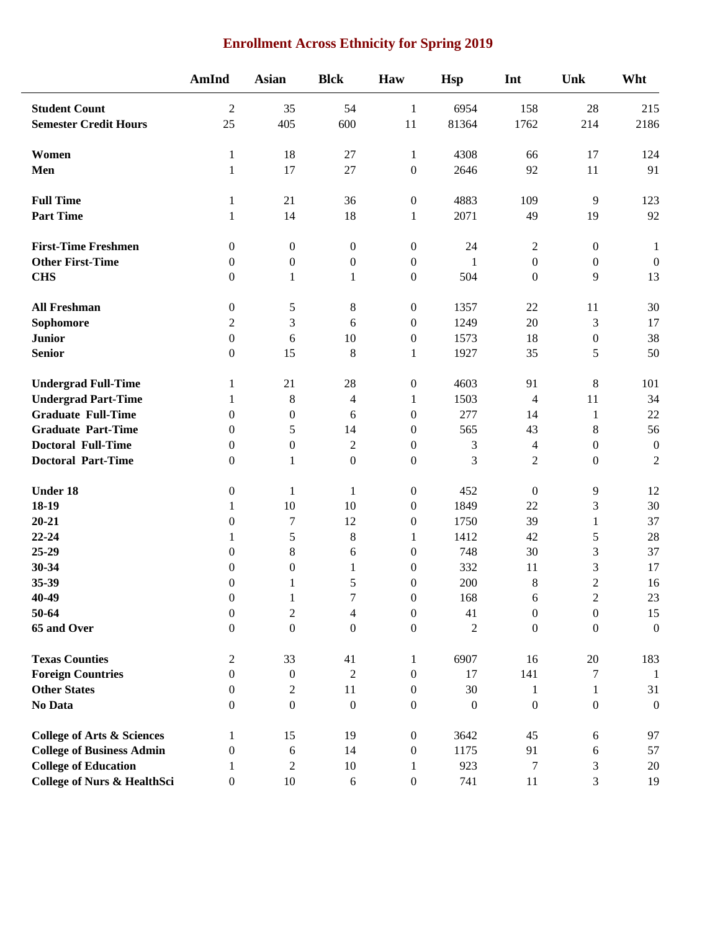| <b>Enrollment Across Ethnicity for Spring 2019</b> |  |
|----------------------------------------------------|--|
|----------------------------------------------------|--|

|                                       | AmInd            | <b>Asian</b>     | <b>Blck</b>      | Haw              | <b>Hsp</b>       | Int              | Unk              | Wht              |
|---------------------------------------|------------------|------------------|------------------|------------------|------------------|------------------|------------------|------------------|
| <b>Student Count</b>                  | $\overline{2}$   | 35               | 54               | $\mathbf{1}$     | 6954             | 158              | 28               | 215              |
| <b>Semester Credit Hours</b>          | 25               | 405              | 600              | 11               | 81364            | 1762             | 214              | 2186             |
| Women                                 | $\mathbf{1}$     | 18               | 27               | $\mathbf{1}$     | 4308             | 66               | 17               | 124              |
| Men                                   | $\mathbf{1}$     | 17               | 27               | $\boldsymbol{0}$ | 2646             | 92               | 11               | 91               |
| <b>Full Time</b>                      | 1                | 21               | 36               | $\boldsymbol{0}$ | 4883             | 109              | 9                | 123              |
| <b>Part Time</b>                      | $\mathbf{1}$     | 14               | 18               | 1                | 2071             | 49               | 19               | 92               |
| <b>First-Time Freshmen</b>            | $\mathbf{0}$     | $\boldsymbol{0}$ | $\boldsymbol{0}$ | $\boldsymbol{0}$ | 24               | $\overline{c}$   | $\boldsymbol{0}$ | 1                |
| <b>Other First-Time</b>               | $\mathbf{0}$     | $\boldsymbol{0}$ | $\boldsymbol{0}$ | $\boldsymbol{0}$ | 1                | $\boldsymbol{0}$ | $\boldsymbol{0}$ | $\boldsymbol{0}$ |
| <b>CHS</b>                            | $\boldsymbol{0}$ | $\mathbf{1}$     | $\mathbf{1}$     | $\boldsymbol{0}$ | 504              | $\boldsymbol{0}$ | 9                | 13               |
| <b>All Freshman</b>                   | $\boldsymbol{0}$ | $\sqrt{5}$       | $8\,$            | $\boldsymbol{0}$ | 1357             | 22               | 11               | 30               |
| Sophomore                             | $\overline{c}$   | 3                | 6                | $\boldsymbol{0}$ | 1249             | 20               | 3                | 17               |
| <b>Junior</b>                         | $\boldsymbol{0}$ | 6                | 10               | $\boldsymbol{0}$ | 1573             | 18               | $\boldsymbol{0}$ | 38               |
| <b>Senior</b>                         | $\mathbf{0}$     | 15               | $\,8\,$          | 1                | 1927             | 35               | 5                | 50               |
| <b>Undergrad Full-Time</b>            | 1                | 21               | 28               | $\boldsymbol{0}$ | 4603             | 91               | 8                | 101              |
| <b>Undergrad Part-Time</b>            | 1                | $\,8\,$          | $\overline{4}$   | 1                | 1503             | 4                | 11               | 34               |
| <b>Graduate Full-Time</b>             | $\mathbf{0}$     | $\boldsymbol{0}$ | 6                | $\boldsymbol{0}$ | 277              | 14               | $\mathbf{1}$     | 22               |
| <b>Graduate Part-Time</b>             | 0                | 5                | 14               | $\theta$         | 565              | 43               | 8                | 56               |
| <b>Doctoral Full-Time</b>             | $\mathbf{0}$     | $\boldsymbol{0}$ | $\overline{2}$   | $\boldsymbol{0}$ | 3                | 4                | $\boldsymbol{0}$ | $\boldsymbol{0}$ |
| <b>Doctoral Part-Time</b>             | $\boldsymbol{0}$ | $\mathbf{1}$     | $\boldsymbol{0}$ | $\boldsymbol{0}$ | 3                | $\overline{2}$   | $\boldsymbol{0}$ | $\overline{2}$   |
| <b>Under 18</b>                       | $\boldsymbol{0}$ | $\mathbf{1}$     | $\mathbf{1}$     | $\boldsymbol{0}$ | 452              | $\boldsymbol{0}$ | 9                | 12               |
| 18-19                                 | $\mathbf{1}$     | $10\,$           | 10               | $\boldsymbol{0}$ | 1849             | 22               | 3                | 30               |
| $20 - 21$                             | $\mathbf{0}$     | $\tau$           | 12               | $\mathbf{0}$     | 1750             | 39               | $\mathbf{1}$     | 37               |
| $22 - 24$                             | 1                | 5                | $\,8\,$          | 1                | 1412             | 42               | 5                | 28               |
| 25-29                                 | $\overline{0}$   | 8                | 6                | $\boldsymbol{0}$ | 748              | 30               | 3                | 37               |
| 30-34                                 | $\theta$         | $\boldsymbol{0}$ | 1                | $\mathbf{0}$     | 332              | 11               | 3                | 17               |
| 35-39                                 | 0                | $\mathbf{1}$     | 5                | $\boldsymbol{0}$ | 200              | $\,8\,$          | $\overline{2}$   | 16               |
| 40-49                                 | $\boldsymbol{0}$ | $\mathbf{1}$     | $\overline{7}$   | $\boldsymbol{0}$ | 168              | 6                | $\overline{2}$   | 23               |
| 50-64                                 | $\boldsymbol{0}$ | $\sqrt{2}$       | $\overline{4}$   | $\boldsymbol{0}$ | 41               | $\boldsymbol{0}$ | $\boldsymbol{0}$ | 15               |
| 65 and Over                           | $\boldsymbol{0}$ | $\boldsymbol{0}$ | $\boldsymbol{0}$ | $\boldsymbol{0}$ | $\overline{2}$   | $\boldsymbol{0}$ | $\boldsymbol{0}$ | $\boldsymbol{0}$ |
| <b>Texas Counties</b>                 | 2                | 33               | 41               | $\mathbf{1}$     | 6907             | 16               | 20               | 183              |
| <b>Foreign Countries</b>              | $\boldsymbol{0}$ | $\boldsymbol{0}$ | $\sqrt{2}$       | $\boldsymbol{0}$ | 17               | 141              | 7                | -1               |
| <b>Other States</b>                   | $\boldsymbol{0}$ | $\sqrt{2}$       | 11               | $\boldsymbol{0}$ | 30               | 1                | $\mathbf{1}$     | 31               |
| No Data                               | $\mathbf{0}$     | $\mathbf{0}$     | $\mathbf{0}$     | $\boldsymbol{0}$ | $\boldsymbol{0}$ | $\boldsymbol{0}$ | $\boldsymbol{0}$ | $\boldsymbol{0}$ |
| <b>College of Arts &amp; Sciences</b> | 1                | 15               | 19               | $\boldsymbol{0}$ | 3642             | 45               | 6                | 97               |
| <b>College of Business Admin</b>      | $\boldsymbol{0}$ | $\sqrt{6}$       | 14               | $\boldsymbol{0}$ | 1175             | 91               | 6                | 57               |
| <b>College of Education</b>           | $\mathbf{1}$     | $\sqrt{2}$       | 10               | 1                | 923              | 7                | 3                | 20               |
| College of Nurs & HealthSci           | $\boldsymbol{0}$ | $10\,$           | $\sqrt{6}$       | $\boldsymbol{0}$ | 741              | 11               | 3                | 19               |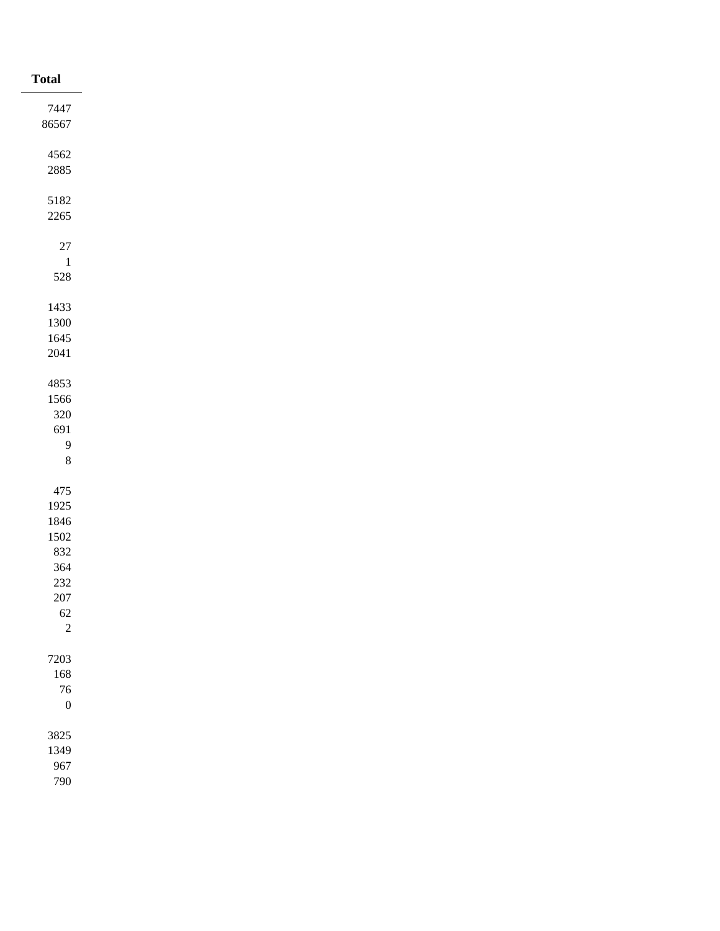| <b>Total</b>     |
|------------------|
| 7447             |
| 86567            |
|                  |
| 4562             |
| 2885             |
| 5182             |
| $2265\,$         |
|                  |
| $27\,$           |
| $\overline{1}$   |
| $528\,$          |
|                  |
| 1433             |
| 1300             |
| 1645<br>$2041\,$ |
|                  |
| 4853             |
| 1566             |
| $320\,$          |
| 691              |
| 9                |
| $\,8\,$          |
|                  |
| 475<br>1925      |
| 1846             |
| 1502             |
| 832              |
| 364              |
| 232              |
| $207\,$          |
| $62\,$           |
| $\overline{c}$   |
| 7203             |
| $168\,$          |
| $76\,$           |
| $\boldsymbol{0}$ |
|                  |
| 3825             |
| 1349             |
| 967              |
| 790              |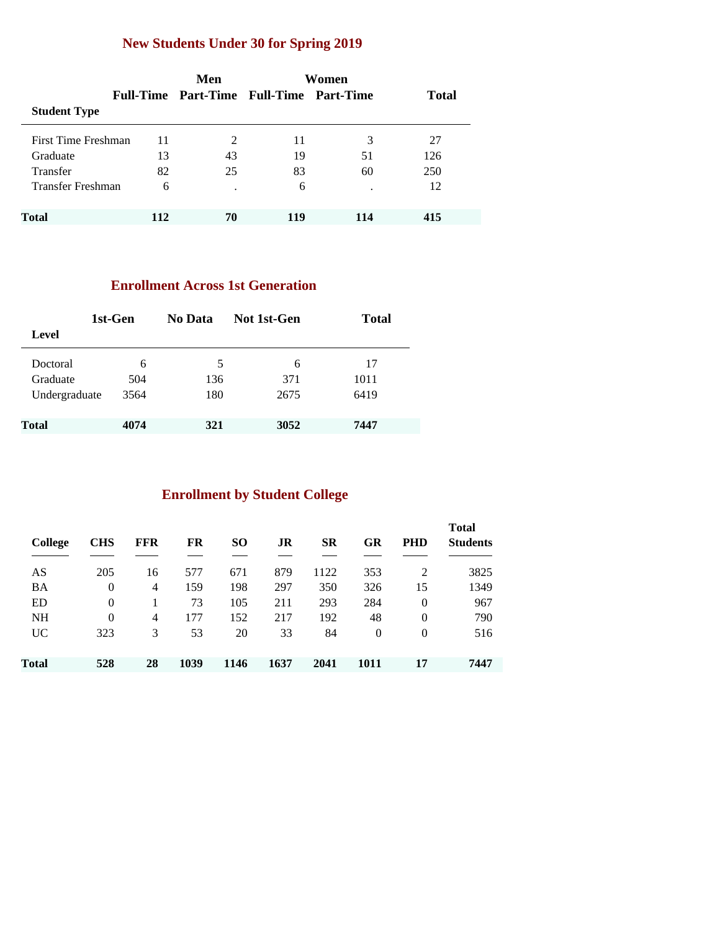### **New Students Under 30 for Spring 2019**

|                     |     | Men                                     | Women |     |              |
|---------------------|-----|-----------------------------------------|-------|-----|--------------|
|                     |     | Full-Time Part-Time Full-Time Part-Time |       |     | <b>Total</b> |
| <b>Student Type</b> |     |                                         |       |     |              |
| First Time Freshman | 11  | 2                                       | 11    | 3   | 27           |
| Graduate            | 13  | 43                                      | 19    | 51  | 126          |
| <b>Transfer</b>     | 82  | 25                                      | 83    | 60  | 250          |
| Transfer Freshman   | 6   |                                         | 6     |     | 12           |
| <b>Total</b>        | 112 | 70                                      | 119   | 114 | 415          |

#### **Enrollment Across 1st Generation**

| 1st-Gen       |      | No Data | Not 1st-Gen | <b>Total</b> |
|---------------|------|---------|-------------|--------------|
| Level         |      |         |             |              |
| Doctoral      | 6    | 5       | 6           | 17           |
| Graduate      | 504  | 136     | 371         | 1011         |
| Undergraduate | 3564 | 180     | 2675        | 6419         |
| <b>Total</b>  | 4074 | 321     | 3052        | 7447         |

### **Enrollment by Student College**

| <b>College</b> | <b>CHS</b> | <b>FFR</b> | FR   | <b>SO</b> | JR   | <b>SR</b> | GR       | <b>PHD</b> | <b>Total</b><br><b>Students</b> |
|----------------|------------|------------|------|-----------|------|-----------|----------|------------|---------------------------------|
| AS             | 205        | 16         | 577  | 671       | 879  | 1122      | 353      | 2          | 3825                            |
| <b>BA</b>      | $\theta$   | 4          | 159  | 198       | 297  | 350       | 326      | 15         | 1349                            |
| <b>ED</b>      | $\theta$   |            | 73   | 105       | 211  | 293       | 284      | $\theta$   | 967                             |
| <b>NH</b>      | $\theta$   | 4          | 177  | 152       | 217  | 192       | 48       | $\theta$   | 790                             |
| UC.            | 323        | 3          | 53   | 20        | 33   | 84        | $\theta$ | $\Omega$   | 516                             |
| Total          | 528        | 28         | 1039 | 1146      | 1637 | 2041      | 1011     | 17         | 7447                            |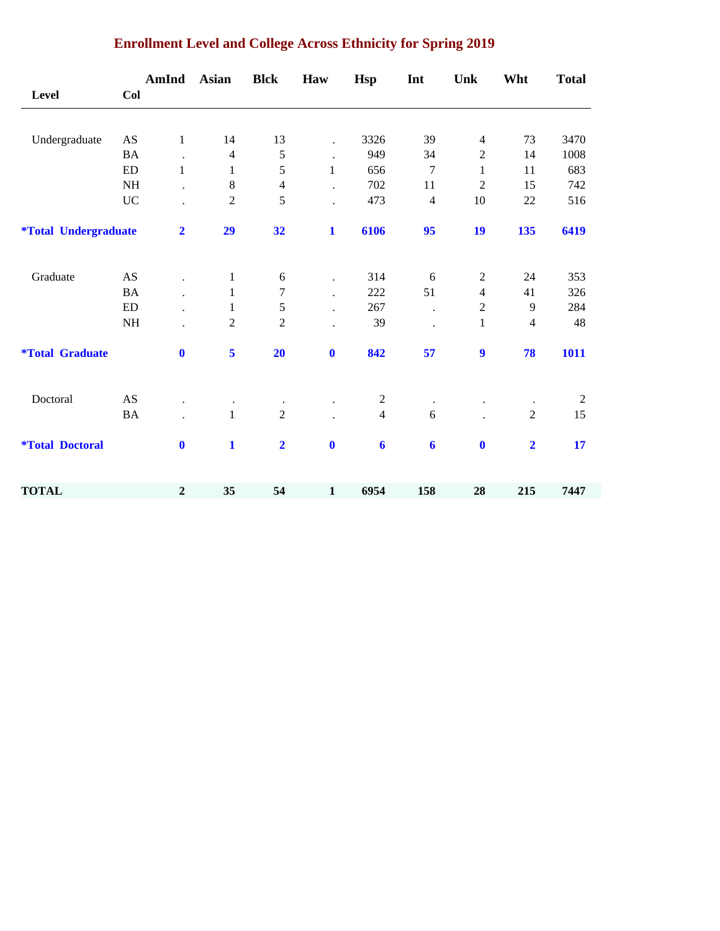|                                    |                            | AmInd                | <b>Asian</b>   | <b>Blck</b>    | Haw                  | <b>Hsp</b>       | Int              | Unk                      | Wht                     | <b>Total</b>   |
|------------------------------------|----------------------------|----------------------|----------------|----------------|----------------------|------------------|------------------|--------------------------|-------------------------|----------------|
| Level                              | Col                        |                      |                |                |                      |                  |                  |                          |                         |                |
| Undergraduate                      | AS                         | $\mathbf{1}$         | 14             | 13             | $\ddot{\phantom{0}}$ | 3326             | 39               | $\overline{\mathcal{L}}$ | 73                      | 3470           |
|                                    | <b>BA</b>                  | $\ddot{\phantom{a}}$ | $\overline{4}$ | $\mathfrak s$  | $\ddot{\phantom{a}}$ | 949              | 34               | $\overline{2}$           | 14                      | 1008           |
|                                    | $\mathop{\rm ED}\nolimits$ | $\mathbf{1}$         | 1              | 5              | $\mathbf{1}$         | 656              | $\boldsymbol{7}$ | $\mathbf{1}$             | 11                      | 683            |
|                                    | <b>NH</b>                  |                      | $\,8\,$        | $\overline{4}$ |                      | 702              | 11               | $\overline{c}$           | 15                      | 742            |
|                                    | <b>UC</b>                  |                      | $\overline{2}$ | 5              |                      | 473              | $\overline{4}$   | $10\,$                   | 22                      | 516            |
| <i><b>*Total Undergraduate</b></i> |                            | $\overline{2}$       | 29             | 32             | $\mathbf{1}$         | 6106             | 95               | 19                       | 135                     | 6419           |
| Graduate                           | AS                         |                      | $\mathbf{1}$   | $\sqrt{6}$     | $\bullet$            | 314              | 6                | $\overline{c}$           | 24                      | 353            |
|                                    | <b>BA</b>                  |                      | 1              | $\tau$         | $\ddot{\phantom{a}}$ | 222              | 51               | 4                        | 41                      | 326            |
|                                    | $\mathop{\rm ED}\nolimits$ |                      | 1              | $\sqrt{5}$     | $\ddot{\phantom{a}}$ | 267              | $\bullet$        | $\mathbf{2}$             | 9                       | 284            |
|                                    | NH                         |                      | $\overline{2}$ | $\overline{2}$ |                      | 39               |                  | $\mathbf{1}$             | $\overline{4}$          | 48             |
| <i><b>*Total Graduate</b></i>      |                            | $\bf{0}$             | 5              | 20             | $\boldsymbol{0}$     | 842              | 57               | $\boldsymbol{9}$         | 78                      | 1011           |
| Doctoral                           | AS                         |                      |                | $\bullet$      |                      | $\overline{c}$   |                  |                          |                         | $\overline{2}$ |
|                                    | <b>BA</b>                  |                      | $\mathbf{1}$   | $\overline{2}$ |                      | $\overline{4}$   | 6                |                          | $\overline{2}$          | 15             |
| <i><b>*Total Doctoral</b></i>      |                            | $\bf{0}$             | $\mathbf{1}$   | $\overline{2}$ | $\bf{0}$             | $\boldsymbol{6}$ | $\boldsymbol{6}$ | $\mathbf 0$              | $\overline{\mathbf{2}}$ | 17             |
| <b>TOTAL</b>                       |                            | $\boldsymbol{2}$     | 35             | 54             | $\mathbf{1}$         | 6954             | 158              | 28                       | 215                     | 7447           |

### **Enrollment Level and College Across Ethnicity for Spring 2019**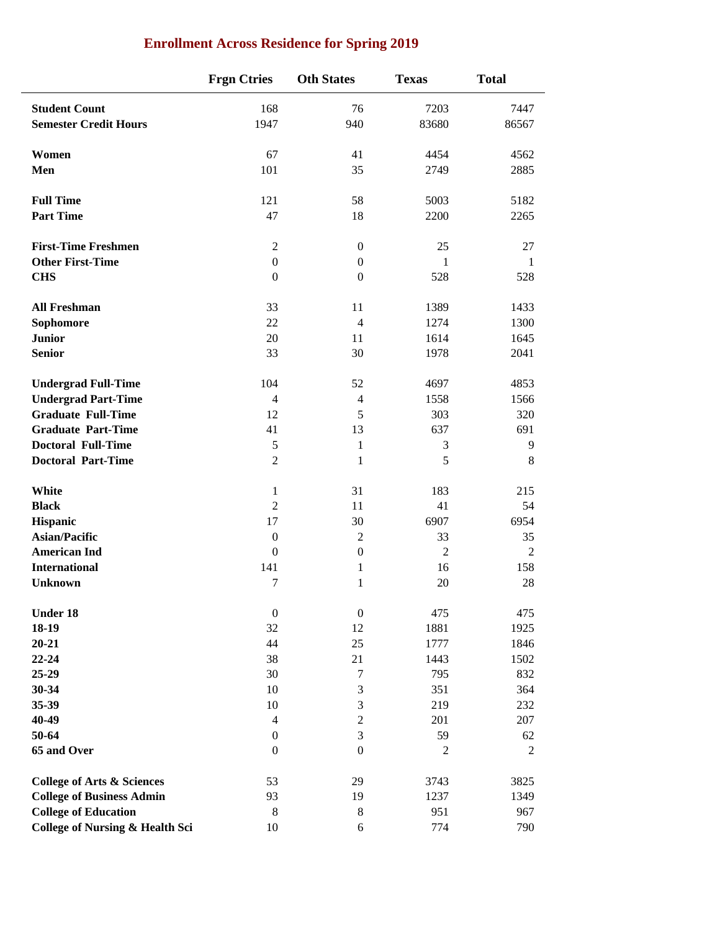|                                            | <b>Frgn Ctries</b> | <b>Oth States</b>           | <b>Texas</b>   | <b>Total</b>   |
|--------------------------------------------|--------------------|-----------------------------|----------------|----------------|
| <b>Student Count</b>                       | 168                | 76                          | 7203           | 7447           |
| <b>Semester Credit Hours</b>               | 1947               | 940                         | 83680          | 86567          |
| Women                                      | 67                 | 41                          | 4454           | 4562           |
| Men                                        | 101                | 35                          | 2749           | 2885           |
| <b>Full Time</b>                           | 121                | 58                          | 5003           | 5182           |
| <b>Part Time</b>                           | 47                 | 18                          | 2200           | 2265           |
| <b>First-Time Freshmen</b>                 | $\mathfrak{2}$     | $\mathbf{0}$                | 25             | 27             |
| <b>Other First-Time</b>                    | $\boldsymbol{0}$   | $\boldsymbol{0}$            | $\mathbf{1}$   | $\mathbf{1}$   |
| <b>CHS</b>                                 | $\boldsymbol{0}$   | $\mathbf{0}$                | 528            | 528            |
| <b>All Freshman</b>                        | 33                 | 11                          | 1389           | 1433           |
| Sophomore                                  | 22                 | $\overline{4}$              | 1274           | 1300           |
| <b>Junior</b>                              | 20                 | 11                          | 1614           | 1645           |
| <b>Senior</b>                              | 33                 | 30                          | 1978           | 2041           |
| <b>Undergrad Full-Time</b>                 | 104                | 52                          | 4697           | 4853           |
| <b>Undergrad Part-Time</b>                 | $\overline{4}$     | $\overline{4}$              | 1558           | 1566           |
| <b>Graduate Full-Time</b>                  | 12                 | 5                           | 303            | 320            |
| <b>Graduate Part-Time</b>                  | 41                 | 13                          | 637            | 691            |
| <b>Doctoral Full-Time</b>                  | $\sqrt{5}$         | $\mathbf{1}$                | 3              | 9              |
| <b>Doctoral Part-Time</b>                  | $\overline{2}$     | 1                           | 5              | 8              |
| White                                      | 1                  | 31                          | 183            | 215            |
| <b>Black</b>                               | $\mathfrak{2}$     | 11                          | 41             | 54             |
| Hispanic                                   | 17                 | 30                          | 6907           | 6954           |
| <b>Asian/Pacific</b>                       | $\boldsymbol{0}$   | $\overline{2}$              | 33             | 35             |
| <b>American Ind</b>                        | $\mathbf{0}$       | $\boldsymbol{0}$            | $\overline{2}$ | $\overline{2}$ |
| <b>International</b>                       | 141                | 1                           | 16             | 158            |
| <b>Unknown</b>                             | 7                  | 1                           | 20             | 28             |
| <b>Under 18</b>                            | $\boldsymbol{0}$   | $\boldsymbol{0}$            | 475            | 475            |
| 18-19                                      | 32                 | 12                          | 1881           | 1925           |
| $20 - 21$                                  | 44                 | 25                          | 1777           | 1846           |
| $22 - 24$                                  | 38                 | 21                          | 1443           | 1502           |
| $25-29$                                    | 30                 | $\boldsymbol{7}$            | 795            | 832            |
| 30-34                                      | 10                 | $\ensuremath{\mathfrak{Z}}$ | 351            | 364            |
| 35-39                                      | 10                 | $\mathfrak{Z}$              | 219            | 232            |
| 40-49                                      | $\overline{4}$     | $\boldsymbol{2}$            | 201            | 207            |
| 50-64                                      | $\boldsymbol{0}$   | 3                           | 59             | 62             |
| 65 and Over                                | $\boldsymbol{0}$   | $\boldsymbol{0}$            | 2              | 2              |
| <b>College of Arts &amp; Sciences</b>      | 53                 | 29                          | 3743           | 3825           |
| <b>College of Business Admin</b>           | 93                 | 19                          | 1237           | 1349           |
| <b>College of Education</b>                | $\,8\,$            | $\,8\,$                     | 951            | 967            |
| <b>College of Nursing &amp; Health Sci</b> | 10                 | 6                           | 774            | 790            |

### **Enrollment Across Residence for Spring 2019**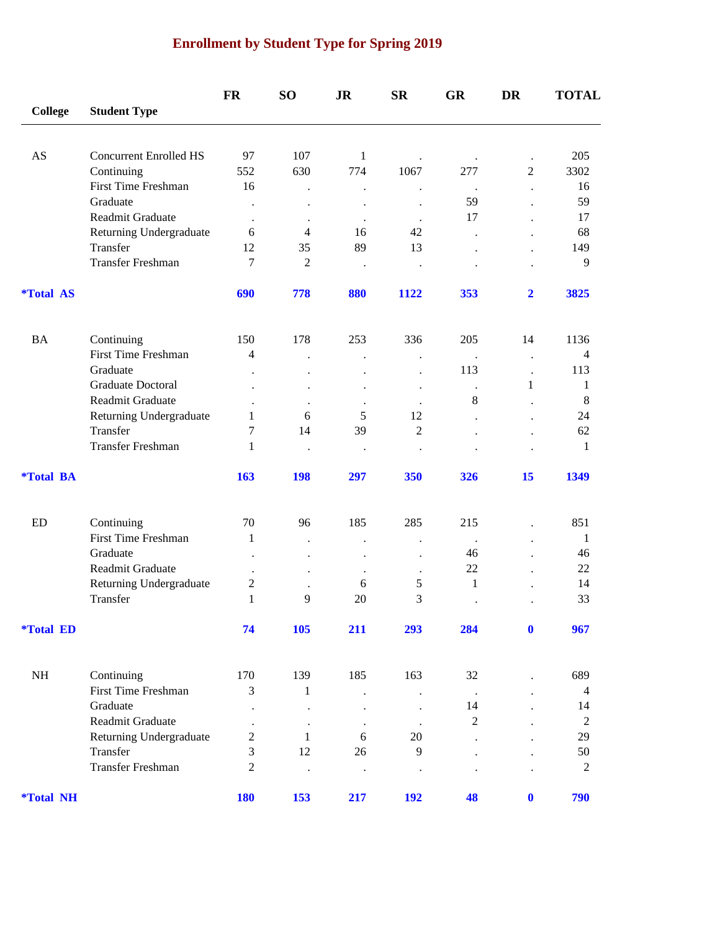## **Enrollment by Student Type for Spring 2019**

|                         |                               | <b>FR</b>            | <b>SO</b>                 | <b>JR</b>            | <b>SR</b>                                    | <b>GR</b>       | <b>DR</b>               | <b>TOTAL</b>   |
|-------------------------|-------------------------------|----------------------|---------------------------|----------------------|----------------------------------------------|-----------------|-------------------------|----------------|
| <b>College</b>          | <b>Student Type</b>           |                      |                           |                      |                                              |                 |                         |                |
| AS                      | <b>Concurrent Enrolled HS</b> | 97                   | 107                       | $\mathbf{1}$         |                                              |                 |                         | 205            |
|                         | Continuing                    | 552                  | 630                       | 774                  | $\cdot$<br>1067                              | $\cdot$<br>277  | $\overline{2}$          | 3302           |
|                         | <b>First Time Freshman</b>    | 16                   |                           | $\ddot{\phantom{0}}$ |                                              | $\cdot$         | $\cdot$                 | 16             |
|                         | Graduate                      | $\bullet$            |                           |                      |                                              | 59              |                         | 59             |
|                         | Readmit Graduate              | $\bullet$            | $\bullet$                 | $\bullet$            | $\bullet$                                    | 17              |                         | 17             |
|                         | Returning Undergraduate       | 6                    | 4                         | 16                   | 42                                           |                 |                         | 68             |
|                         | Transfer                      | 12                   | 35                        | 89                   | 13                                           |                 |                         | 149            |
|                         | <b>Transfer Freshman</b>      | 7                    | $\overline{2}$            | $\bullet$            | $\bullet$                                    |                 |                         | 9              |
| <i><b>*Total AS</b></i> |                               | 690                  | 778                       | 880                  | 1122                                         | 353             | $\overline{\mathbf{2}}$ | 3825           |
| <b>BA</b>               | Continuing                    | 150                  | 178                       | 253                  | 336                                          | 205             | 14                      | 1136           |
|                         | <b>First Time Freshman</b>    | 4                    |                           |                      | $\ddot{\phantom{0}}$                         | $\cdot$         | $\cdot$                 | $\overline{4}$ |
|                         | Graduate                      | $\ddot{\phantom{0}}$ |                           |                      |                                              | 113             |                         | 113            |
|                         | Graduate Doctoral             |                      |                           |                      | $\ddot{\phantom{0}}$                         |                 | 1                       | $\mathbf{1}$   |
|                         | Readmit Graduate              | $\bullet$            | $\bullet$                 | $\ddot{\phantom{0}}$ | $\cdot$                                      | 8               |                         | 8              |
|                         | Returning Undergraduate       | 1                    | 6                         | 5                    | 12                                           |                 |                         | 24             |
|                         | Transfer                      | $\overline{7}$       | 14                        | 39                   | $\overline{2}$                               |                 |                         | 62             |
|                         | <b>Transfer Freshman</b>      | 1                    | $\ddot{\phantom{0}}$      | $\bullet$            | $\ddot{\phantom{0}}$                         |                 |                         | 1              |
| <i><b>*Total BA</b></i> |                               | 163                  | <b>198</b>                | 297                  | 350                                          | 326             | 15                      | 1349           |
| ED                      | Continuing                    | 70                   | 96                        | 185                  | 285                                          | 215             |                         | 851            |
|                         | <b>First Time Freshman</b>    | 1                    |                           |                      |                                              |                 |                         | 1              |
|                         | Graduate                      | $\ddot{\phantom{0}}$ | $\ddot{\phantom{0}}$      | $\ddot{\phantom{0}}$ | $\ddot{\phantom{0}}$<br>$\ddot{\phantom{0}}$ | $\bullet$<br>46 |                         | 46             |
|                         | Readmit Graduate              |                      |                           | $\ddot{\phantom{0}}$ |                                              | $22\,$          |                         | 22             |
|                         | Returning Undergraduate       | $\boldsymbol{2}$     |                           | $\cdot$<br>6         | 5                                            | 1               |                         | 14             |
|                         | Transfer                      | $\mathbf{1}$         | 9                         | 20                   | 3                                            |                 |                         | 33             |
| <i><b>*Total ED</b></i> |                               | 74                   | 105                       | 211                  | 293                                          | 284             | $\bf{0}$                | 967            |
| NH                      | Continuing                    | 170                  | 139                       | 185                  | 163                                          | 32              |                         | 689            |
|                         | First Time Freshman           | 3                    | $\mathbf{1}$              |                      |                                              |                 |                         | $\overline{4}$ |
|                         | Graduate                      |                      |                           |                      |                                              | $\cdot$<br>14   |                         | 14             |
|                         | Readmit Graduate              |                      |                           |                      |                                              | $\overline{c}$  |                         | $\mathbf{2}$   |
|                         | Returning Undergraduate       | $\bullet$<br>2       | $\bullet$<br>$\mathbf{1}$ | $\bullet$<br>6       | $\bullet$<br>$20\,$                          |                 |                         | 29             |
|                         | Transfer                      | 3                    | 12                        | 26                   | $\overline{9}$                               |                 |                         | 50             |
|                         | Transfer Freshman             | $\overline{2}$       |                           | $\bullet$            | $\bullet$                                    |                 |                         | $\mathbf{2}$   |
| <i><b>*Total NH</b></i> |                               | <b>180</b>           | 153                       | 217                  | <b>192</b>                                   | 48              | $\bf{0}$                | 790            |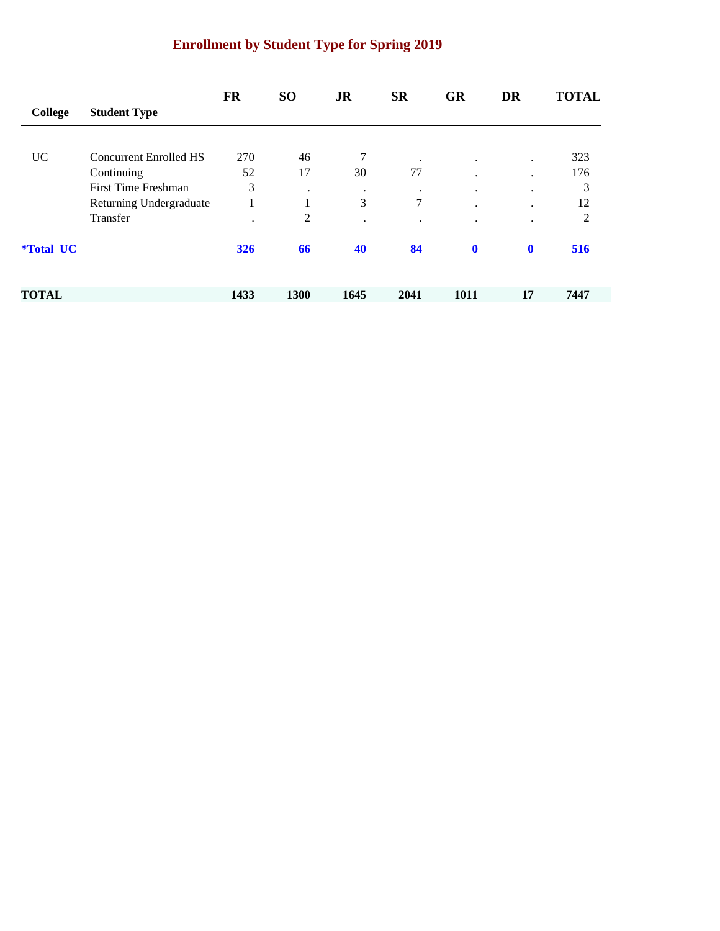## **Enrollment by Student Type for Spring 2019**

|                         |                         | <b>FR</b> | <b>SO</b> | <b>JR</b> | <b>SR</b> | <b>GR</b>            | <b>DR</b>            | <b>TOTAL</b>   |
|-------------------------|-------------------------|-----------|-----------|-----------|-----------|----------------------|----------------------|----------------|
| College                 | <b>Student Type</b>     |           |           |           |           |                      |                      |                |
|                         |                         |           |           |           |           |                      |                      |                |
| <b>UC</b>               | Concurrent Enrolled HS  | 270       | 46        | 7         | $\bullet$ | $\bullet$            | $\ddot{\phantom{0}}$ | 323            |
|                         | Continuing              | 52        | 17        | 30        | 77        | $\bullet$            | ٠                    | 176            |
|                         | First Time Freshman     | 3         | ٠         | $\bullet$ | $\cdot$   | $\ddot{\phantom{0}}$ | ٠                    | 3              |
|                         | Returning Undergraduate |           | 1         | 3         | 7         | $\bullet$            | $\cdot$              | 12             |
|                         | Transfer                | ٠         | 2         | $\bullet$ | ٠         | $\cdot$              | $\bullet$            | $\overline{2}$ |
| <i><b>*Total UC</b></i> |                         | 326       | 66        | 40        | 84        | $\bf{0}$             | $\mathbf{0}$         | 516            |
| <b>TOTAL</b>            |                         | 1433      | 1300      | 1645      | 2041      | 1011                 | 17                   | 7447           |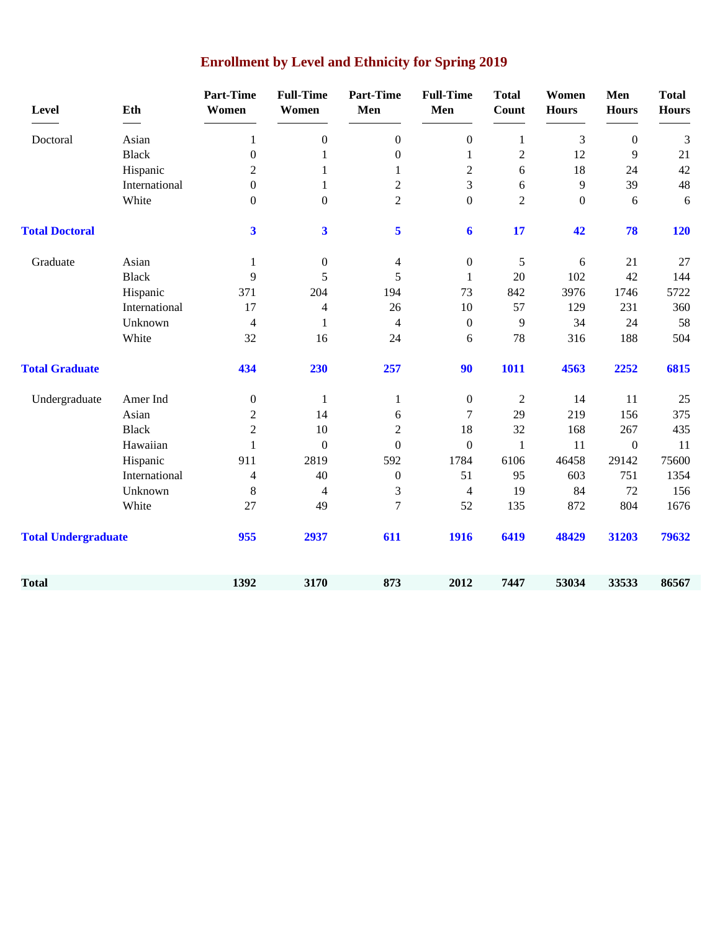| Level                      | Eth           | <b>Part-Time</b><br>Women | <b>Full-Time</b><br>Women | <b>Part-Time</b><br>Men | <b>Full-Time</b><br>Men  | <b>Total</b><br>Count | Women<br><b>Hours</b> | Men<br><b>Hours</b> | <b>Total</b><br><b>Hours</b> |
|----------------------------|---------------|---------------------------|---------------------------|-------------------------|--------------------------|-----------------------|-----------------------|---------------------|------------------------------|
| Doctoral                   | Asian         | 1                         | $\boldsymbol{0}$          | $\boldsymbol{0}$        | $\boldsymbol{0}$         | $\mathbf{1}$          | 3                     | $\boldsymbol{0}$    | 3                            |
|                            | <b>Black</b>  | $\boldsymbol{0}$          | 1                         | $\boldsymbol{0}$        | $\mathbf{1}$             | $\overline{2}$        | 12                    | 9                   | 21                           |
|                            | Hispanic      | $\overline{2}$            | 1                         | $\mathbf{1}$            | $\overline{c}$           | 6                     | 18                    | 24                  | 42                           |
|                            | International | $\boldsymbol{0}$          | $\mathbf{1}$              | $\overline{2}$          | 3                        | 6                     | 9                     | 39                  | 48                           |
|                            | White         | $\boldsymbol{0}$          | $\boldsymbol{0}$          | $\overline{2}$          | $\boldsymbol{0}$         | $\overline{2}$        | $\boldsymbol{0}$      | 6                   | 6                            |
| <b>Total Doctoral</b>      |               | $\overline{\mathbf{3}}$   | $\overline{\mathbf{3}}$   | 5                       | 6                        | 17                    | 42                    | 78                  | <b>120</b>                   |
| Graduate                   | Asian         | $\mathbf{1}$              | $\boldsymbol{0}$          | 4                       | $\boldsymbol{0}$         | 5                     | 6                     | 21                  | 27                           |
|                            | <b>Black</b>  | 9                         | 5                         | 5                       | $\mathbf{1}$             | 20                    | 102                   | 42                  | 144                          |
|                            | Hispanic      | 371                       | 204                       | 194                     | 73                       | 842                   | 3976                  | 1746                | 5722                         |
|                            | International | 17                        | $\overline{4}$            | 26                      | 10                       | 57                    | 129                   | 231                 | 360                          |
|                            | Unknown       | $\overline{4}$            | 1                         | 4                       | $\boldsymbol{0}$         | 9                     | 34                    | 24                  | 58                           |
|                            | White         | 32                        | 16                        | 24                      | 6                        | 78                    | 316                   | 188                 | 504                          |
| <b>Total Graduate</b>      |               | 434                       | 230                       | 257                     | 90                       | 1011                  | 4563                  | 2252                | 6815                         |
| Undergraduate              | Amer Ind      | $\boldsymbol{0}$          | 1                         | $\mathbf{1}$            | $\boldsymbol{0}$         | $\overline{2}$        | 14                    | 11                  | 25                           |
|                            | Asian         | $\overline{2}$            | 14                        | 6                       | 7                        | 29                    | 219                   | 156                 | 375                          |
|                            | <b>Black</b>  | $\overline{2}$            | 10                        | $\overline{2}$          | 18                       | 32                    | 168                   | 267                 | 435                          |
|                            | Hawaiian      | $\mathbf{1}$              | $\boldsymbol{0}$          | $\overline{0}$          | $\boldsymbol{0}$         | 1                     | 11                    | $\boldsymbol{0}$    | 11                           |
|                            | Hispanic      | 911                       | 2819                      | 592                     | 1784                     | 6106                  | 46458                 | 29142               | 75600                        |
|                            | International | 4                         | 40                        | $\boldsymbol{0}$        | 51                       | 95                    | 603                   | 751                 | 1354                         |
|                            | Unknown       | $\,8\,$                   | $\overline{4}$            | 3                       | $\overline{\mathcal{A}}$ | 19                    | 84                    | 72                  | 156                          |
|                            | White         | 27                        | 49                        | $\tau$                  | 52                       | 135                   | 872                   | 804                 | 1676                         |
| <b>Total Undergraduate</b> |               | 955                       | 2937                      | 611                     | 1916                     | 6419                  | 48429                 | 31203               | 79632                        |
| <b>Total</b>               |               | 1392                      | 3170                      | 873                     | 2012                     | 7447                  | 53034                 | 33533               | 86567                        |

# **Enrollment by Level and Ethnicity for Spring 2019**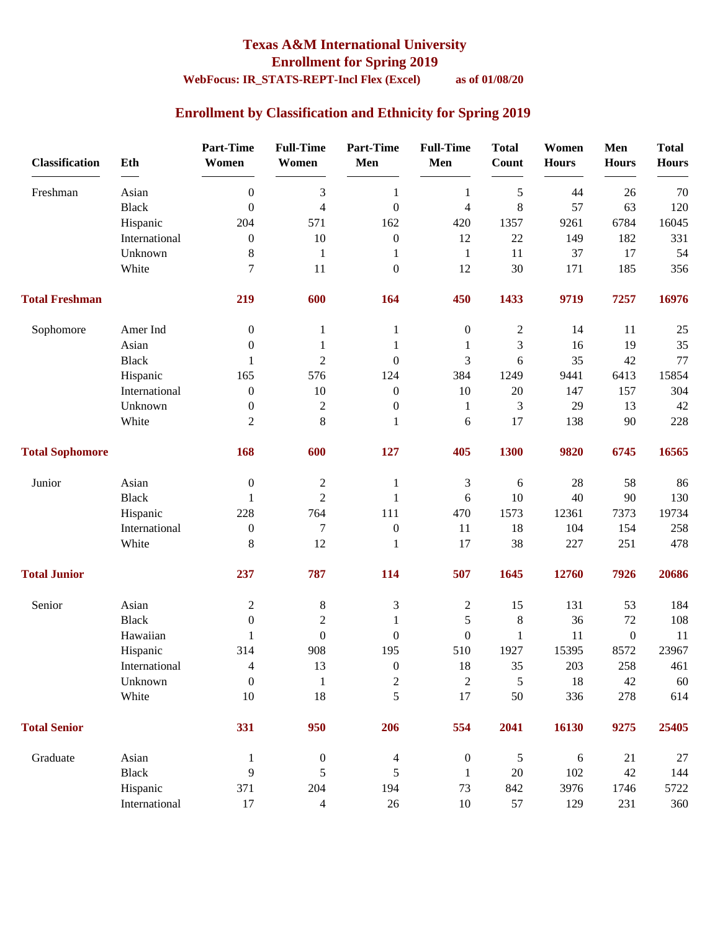# **Texas A&M International University**

**Enrollment for Spring 2019**

### **WebFocus: IR\_STATS-REPT-Incl Flex (Excel) as of 01/08/20**

### **Enrollment by Classification and Ethnicity for Spring 2019**

| <b>Classification</b>  | Eth           | <b>Part-Time</b><br>Women | <b>Full-Time</b><br>Women | <b>Part-Time</b><br>Men | <b>Full-Time</b><br>Men | <b>Total</b><br>Count | Women<br><b>Hours</b> | Men<br><b>Hours</b> | <b>Total</b><br><b>Hours</b> |
|------------------------|---------------|---------------------------|---------------------------|-------------------------|-------------------------|-----------------------|-----------------------|---------------------|------------------------------|
| Freshman               | Asian         | $\boldsymbol{0}$          | $\mathfrak{Z}$            | $\mathbf{1}$            | $\mathbf{1}$            | $\sqrt{5}$            | 44                    | 26                  | 70                           |
|                        | <b>Black</b>  | $\boldsymbol{0}$          | $\overline{4}$            | $\boldsymbol{0}$        | 4                       | 8                     | 57                    | 63                  | 120                          |
|                        | Hispanic      | 204                       | 571                       | 162                     | 420                     | 1357                  | 9261                  | 6784                | 16045                        |
|                        | International | $\boldsymbol{0}$          | 10                        | $\boldsymbol{0}$        | 12                      | 22                    | 149                   | 182                 | 331                          |
|                        | Unknown       | 8                         | $\mathbf{1}$              | 1                       | $\mathbf{1}$            | 11                    | 37                    | 17                  | 54                           |
|                        | White         | 7                         | 11                        | $\boldsymbol{0}$        | 12                      | 30                    | 171                   | 185                 | 356                          |
| <b>Total Freshman</b>  |               | 219                       | 600                       | 164                     | 450                     | 1433                  | 9719                  | 7257                | 16976                        |
| Sophomore              | Amer Ind      | $\boldsymbol{0}$          | 1                         | 1                       | $\boldsymbol{0}$        | $\boldsymbol{2}$      | 14                    | 11                  | 25                           |
|                        | Asian         | $\boldsymbol{0}$          | 1                         | 1                       | 1                       | 3                     | 16                    | 19                  | 35                           |
|                        | <b>Black</b>  | 1                         | $\overline{2}$            | $\boldsymbol{0}$        | 3                       | 6                     | 35                    | 42                  | 77                           |
|                        | Hispanic      | 165                       | 576                       | 124                     | 384                     | 1249                  | 9441                  | 6413                | 15854                        |
|                        | International | $\boldsymbol{0}$          | $10\,$                    | $\boldsymbol{0}$        | 10                      | 20                    | 147                   | 157                 | 304                          |
|                        | Unknown       | $\boldsymbol{0}$          | $\sqrt{2}$                | $\boldsymbol{0}$        | $\mathbf{1}$            | 3                     | 29                    | 13                  | 42                           |
|                        | White         | $\overline{2}$            | $8\,$                     | 1                       | 6                       | 17                    | 138                   | 90                  | 228                          |
| <b>Total Sophomore</b> |               | 168                       | 600                       | 127                     | 405                     | 1300                  | 9820                  | 6745                | 16565                        |
| Junior                 | Asian         | $\boldsymbol{0}$          | $\mathbf{2}$              | 1                       | 3                       | 6                     | 28                    | 58                  | 86                           |
|                        | <b>Black</b>  | 1                         | $\overline{2}$            | $\mathbf{1}$            | 6                       | 10                    | 40                    | 90                  | 130                          |
|                        | Hispanic      | 228                       | 764                       | 111                     | 470                     | 1573                  | 12361                 | 7373                | 19734                        |
|                        | International | $\boldsymbol{0}$          | $\boldsymbol{7}$          | $\boldsymbol{0}$        | 11                      | 18                    | 104                   | 154                 | 258                          |
|                        | White         | 8                         | 12                        | $\mathbf{1}$            | 17                      | 38                    | 227                   | 251                 | 478                          |
| <b>Total Junior</b>    |               | 237                       | 787                       | 114                     | 507                     | 1645                  | 12760                 | 7926                | 20686                        |
| Senior                 | Asian         | $\boldsymbol{2}$          | 8                         | 3                       | $\overline{c}$          | 15                    | 131                   | 53                  | 184                          |
|                        | <b>Black</b>  | $\boldsymbol{0}$          | $\mathbf{2}$              | 1                       | $\mathfrak s$           | $\,8\,$               | 36                    | $72\,$              | 108                          |
|                        | Hawaiian      | 1                         | $\boldsymbol{0}$          | $\boldsymbol{0}$        | $\boldsymbol{0}$        | $\mathbf{1}$          | 11                    | $\boldsymbol{0}$    | 11                           |
|                        | Hispanic      | 314                       | 908                       | 195                     | 510                     | 1927                  | 15395                 | 8572                | 23967                        |
|                        | International | $\overline{\mathcal{A}}$  | 13                        | $\boldsymbol{0}$        | $18\,$                  | 35                    | 203                   | 258                 | 461                          |
|                        | Unknown       | $\boldsymbol{0}$          | $\mathbf{1}$              | $\mathbf{2}$            | $\boldsymbol{2}$        | 5                     | $18\,$                | $42\,$              | 60                           |
|                        | White         | 10                        | 18                        | 5                       | 17                      | 50                    | 336                   | 278                 | 614                          |
| <b>Total Senior</b>    |               | 331                       | 950                       | 206                     | 554                     | 2041                  | 16130                 | 9275                | 25405                        |
| Graduate               | Asian         | $\mathbf{1}$              | $\boldsymbol{0}$          | 4                       | $\boldsymbol{0}$        | $\sqrt{5}$            | 6                     | 21                  | $27\,$                       |
|                        | <b>Black</b>  | 9                         | 5                         | 5                       | 1                       | $20\,$                | 102                   | $42\,$              | 144                          |
|                        | Hispanic      | 371                       | 204                       | 194                     | 73                      | 842                   | 3976                  | 1746                | 5722                         |
|                        | International | $17\,$                    | $\overline{4}$            | $26\,$                  | $10\,$                  | 57                    | 129                   | 231                 | 360                          |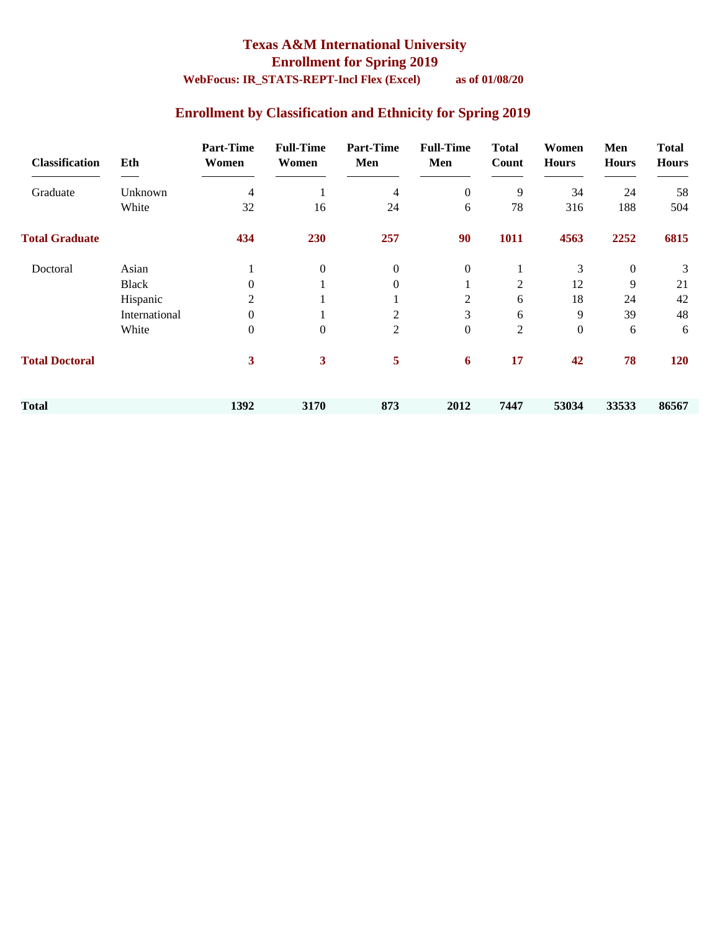### **Texas A&M International University Enrollment for Spring 2019**

### **WebFocus: IR\_STATS-REPT-Incl Flex (Excel) as of 01/08/20**

### **Enrollment by Classification and Ethnicity for Spring 2019**

| <b>Classification</b> | Eth           | <b>Part-Time</b><br>Women | <b>Full-Time</b><br>Women | <b>Part-Time</b><br>Men | <b>Full-Time</b><br>Men | <b>Total</b><br>Count | Women<br><b>Hours</b> | Men<br><b>Hours</b> | <b>Total</b><br><b>Hours</b> |
|-----------------------|---------------|---------------------------|---------------------------|-------------------------|-------------------------|-----------------------|-----------------------|---------------------|------------------------------|
| Graduate              | Unknown       | 4                         |                           | 4                       | $\overline{0}$          | 9                     | 34                    | 24                  | 58                           |
|                       | White         | 32                        | 16                        | 24                      | 6                       | 78                    | 316                   | 188                 | 504                          |
| <b>Total Graduate</b> |               | 434                       | 230                       | 257                     | 90                      | 1011                  | 4563                  | 2252                | 6815                         |
| Doctoral              | Asian         |                           | $\mathbf{0}$              | $\overline{0}$          | $\boldsymbol{0}$        |                       | 3                     | $\boldsymbol{0}$    | 3                            |
|                       | <b>Black</b>  | $\Omega$                  |                           | $\mathbf{0}$            |                         | $\overline{2}$        | 12                    | 9                   | 21                           |
|                       | Hispanic      | 2                         |                           |                         | $\overline{c}$          | 6                     | 18                    | 24                  | 42                           |
|                       | International | $\mathbf{0}$              |                           | $\overline{c}$          | 3                       | 6                     | 9                     | 39                  | 48                           |
|                       | White         | $\mathbf{0}$              | $\mathbf{0}$              | $\overline{2}$          | $\boldsymbol{0}$        | $\mathbf{2}$          | $\boldsymbol{0}$      | 6                   | 6                            |
| <b>Total Doctoral</b> |               | 3                         | 3                         | 5                       | 6                       | 17                    | 42                    | 78                  | 120                          |
| <b>Total</b>          |               | 1392                      | 3170                      | 873                     | 2012                    | 7447                  | 53034                 | 33533               | 86567                        |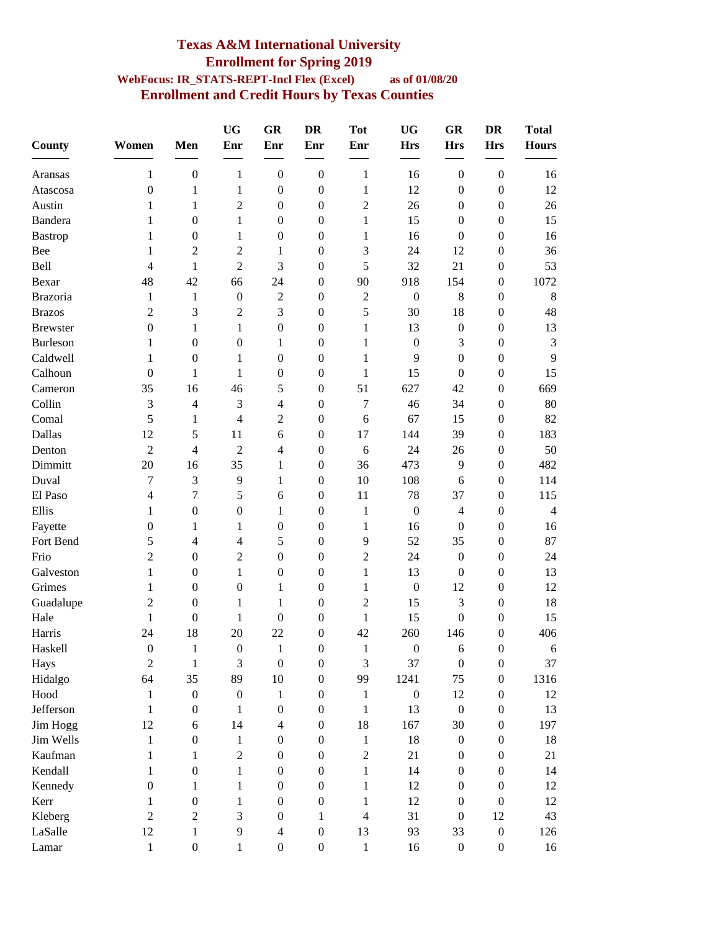#### **Texas A&M International University Enrollment for Spring 2019 WebFocus: IR\_STATS-REPT-Incl Flex (Excel) as of 01/08/20 Enrollment and Credit Hours by Texas Counties**

| County          | Women                    | Men              | <b>UG</b><br>Enr | GR<br>Enr        | <b>DR</b><br>Enr | <b>Tot</b><br>Enr | <b>UG</b><br><b>Hrs</b> | <b>GR</b><br><b>Hrs</b> | <b>DR</b><br><b>Hrs</b> | <b>Total</b><br><b>Hours</b> |
|-----------------|--------------------------|------------------|------------------|------------------|------------------|-------------------|-------------------------|-------------------------|-------------------------|------------------------------|
| Aransas         | $\mathbf{1}$             | $\boldsymbol{0}$ | $\mathbf{1}$     | $\boldsymbol{0}$ | $\boldsymbol{0}$ | $\mathbf{1}$      | 16                      | $\boldsymbol{0}$        | $\boldsymbol{0}$        | 16                           |
| Atascosa        | $\boldsymbol{0}$         | 1                | 1                | $\boldsymbol{0}$ | $\boldsymbol{0}$ | $\mathbf{1}$      | 12                      | $\boldsymbol{0}$        | $\boldsymbol{0}$        | 12                           |
| Austin          | 1                        | $\mathbf{1}$     | 2                | $\boldsymbol{0}$ | $\boldsymbol{0}$ | $\overline{c}$    | 26                      | $\boldsymbol{0}$        | $\boldsymbol{0}$        | 26                           |
| Bandera         | 1                        | $\boldsymbol{0}$ | $\mathbf{1}$     | $\boldsymbol{0}$ | $\boldsymbol{0}$ | $\mathbf{1}$      | 15                      | $\boldsymbol{0}$        | $\boldsymbol{0}$        | 15                           |
| Bastrop         | 1                        | $\boldsymbol{0}$ | 1                | $\boldsymbol{0}$ | $\boldsymbol{0}$ | 1                 | 16                      | $\boldsymbol{0}$        | $\boldsymbol{0}$        | 16                           |
| Bee             | 1                        | $\overline{2}$   | $\overline{2}$   | 1                | $\boldsymbol{0}$ | 3                 | 24                      | 12                      | $\boldsymbol{0}$        | 36                           |
| Bell            | 4                        | 1                | $\overline{2}$   | 3                | $\boldsymbol{0}$ | 5                 | 32                      | 21                      | $\boldsymbol{0}$        | 53                           |
| Bexar           | 48                       | 42               | 66               | 24               | $\boldsymbol{0}$ | 90                | 918                     | 154                     | $\boldsymbol{0}$        | 1072                         |
| <b>Brazoria</b> | 1                        | $\mathbf{1}$     | $\boldsymbol{0}$ | $\overline{2}$   | $\boldsymbol{0}$ | $\overline{2}$    | $\boldsymbol{0}$        | $8\,$                   | $\boldsymbol{0}$        | 8                            |
| <b>Brazos</b>   | $\overline{c}$           | 3                | $\overline{2}$   | 3                | $\boldsymbol{0}$ | 5                 | 30                      | 18                      | $\boldsymbol{0}$        | 48                           |
| <b>Brewster</b> | $\boldsymbol{0}$         | 1                | 1                | $\boldsymbol{0}$ | $\boldsymbol{0}$ | $\mathbf{1}$      | 13                      | $\boldsymbol{0}$        | $\boldsymbol{0}$        | 13                           |
| Burleson        | 1                        | $\boldsymbol{0}$ | $\boldsymbol{0}$ | 1                | $\overline{0}$   | 1                 | $\boldsymbol{0}$        | 3                       | $\boldsymbol{0}$        | 3                            |
| Caldwell        | 1                        | $\boldsymbol{0}$ | 1                | $\boldsymbol{0}$ | $\boldsymbol{0}$ | 1                 | 9                       | $\boldsymbol{0}$        | $\boldsymbol{0}$        | 9                            |
| Calhoun         | $\overline{0}$           | 1                | 1                | $\boldsymbol{0}$ | $\boldsymbol{0}$ | 1                 | 15                      | $\mathbf{0}$            | $\boldsymbol{0}$        | 15                           |
| Cameron         | 35                       | 16               | 46               | 5                | $\boldsymbol{0}$ | 51                | 627                     | 42                      | $\boldsymbol{0}$        | 669                          |
| Collin          | 3                        | 4                | 3                | $\overline{4}$   | $\boldsymbol{0}$ | $\tau$            | 46                      | 34                      | $\boldsymbol{0}$        | 80                           |
| Comal           | 5                        | 1                | $\overline{4}$   | $\overline{2}$   | $\boldsymbol{0}$ | 6                 | 67                      | 15                      | $\boldsymbol{0}$        | 82                           |
| Dallas          | 12                       | 5                | 11               | 6                | $\boldsymbol{0}$ | 17                | 144                     | 39                      | $\boldsymbol{0}$        | 183                          |
| Denton          | $\overline{2}$           | 4                | $\overline{2}$   | $\overline{4}$   | $\boldsymbol{0}$ | 6                 | 24                      | 26                      | $\boldsymbol{0}$        | 50                           |
| Dimmitt         | 20                       | 16               | 35               | $\mathbf{1}$     | $\boldsymbol{0}$ | 36                | 473                     | 9                       | $\boldsymbol{0}$        | 482                          |
| Duval           | 7                        | 3                | 9                | 1                | $\boldsymbol{0}$ | 10                | 108                     | 6                       | $\boldsymbol{0}$        | 114                          |
| El Paso         | $\overline{\mathcal{L}}$ | 7                | 5                | 6                | $\boldsymbol{0}$ | 11                | 78                      | 37                      | $\boldsymbol{0}$        | 115                          |
| Ellis           |                          | $\boldsymbol{0}$ | $\boldsymbol{0}$ |                  |                  |                   | $\boldsymbol{0}$        | $\overline{4}$          |                         | $\overline{4}$               |
|                 | 1                        |                  |                  | 1                | $\boldsymbol{0}$ | $\mathbf{1}$      |                         |                         | $\boldsymbol{0}$        |                              |
| Fayette         | $\boldsymbol{0}$         | 1                | 1                | $\boldsymbol{0}$ | $\overline{0}$   | 1<br>9            | 16                      | $\boldsymbol{0}$        | $\boldsymbol{0}$        | 16<br>87                     |
| Fort Bend       | 5                        | 4                | 4                | 5                | $\boldsymbol{0}$ |                   | 52                      | 35                      | $\boldsymbol{0}$        |                              |
| Frio            | $\overline{c}$           | $\boldsymbol{0}$ | $\overline{2}$   | $\boldsymbol{0}$ | $\boldsymbol{0}$ | $\overline{2}$    | 24                      | $\boldsymbol{0}$        | $\boldsymbol{0}$        | 24                           |
| Galveston       | $\mathbf{1}$             | $\boldsymbol{0}$ | 1                | $\boldsymbol{0}$ | $\boldsymbol{0}$ | $\mathbf{1}$      | 13                      | $\boldsymbol{0}$        | $\boldsymbol{0}$        | 13                           |
| Grimes          | 1                        | $\boldsymbol{0}$ | $\boldsymbol{0}$ | 1                | $\boldsymbol{0}$ | $\mathbf{1}$      | $\boldsymbol{0}$        | 12                      | $\boldsymbol{0}$        | 12                           |
| Guadalupe       | $\overline{2}$           | $\boldsymbol{0}$ | 1                | 1                | $\boldsymbol{0}$ | $\overline{2}$    | 15                      | 3                       | $\boldsymbol{0}$        | 18                           |
| Hale            | 1                        | $\boldsymbol{0}$ | 1                | $\boldsymbol{0}$ | $\theta$         | 1                 | 15                      | $\boldsymbol{0}$        | $\boldsymbol{0}$        | 15                           |
| Harris          | 24                       | 18               | 20               | 22               | $\boldsymbol{0}$ | 42                | 260                     | 146                     | $\boldsymbol{0}$        | 406                          |
| Haskell         | $\boldsymbol{0}$         | $\mathbf{1}$     | $\boldsymbol{0}$ | $\mathbf{1}$     | $\boldsymbol{0}$ | 1                 | $\boldsymbol{0}$        | 6                       | $\boldsymbol{0}$        | 6                            |
| Hays            | $\overline{c}$           | $\mathbf{1}$     | 3                | $\boldsymbol{0}$ | $\boldsymbol{0}$ | $\mathfrak{Z}$    | 37                      | $\boldsymbol{0}$        | $\boldsymbol{0}$        | 37                           |
| Hidalgo         | 64                       | 35               | 89               | 10               | $\boldsymbol{0}$ | 99                | 1241                    | 75                      | $\boldsymbol{0}$        | 1316                         |
| Hood            | 1                        | $\boldsymbol{0}$ | $\boldsymbol{0}$ | 1                | $\boldsymbol{0}$ | 1                 | $\boldsymbol{0}$        | 12                      | $\boldsymbol{0}$        | 12                           |
| Jefferson       | 1                        | $\boldsymbol{0}$ | 1                | $\boldsymbol{0}$ | $\overline{0}$   | $\mathbf{1}$      | 13                      | $\boldsymbol{0}$        | $\boldsymbol{0}$        | 13                           |
| Jim Hogg        | 12                       | 6                | 14               | $\overline{4}$   | $\boldsymbol{0}$ | 18                | 167                     | 30                      | $\boldsymbol{0}$        | 197                          |
| Jim Wells       | $\mathbf{1}$             | $\boldsymbol{0}$ | 1                | $\boldsymbol{0}$ | $\boldsymbol{0}$ | 1                 | 18                      | $\boldsymbol{0}$        | $\boldsymbol{0}$        | 18                           |
| Kaufman         | 1                        | $\mathbf{1}$     | $\sqrt{2}$       | $\boldsymbol{0}$ | $\boldsymbol{0}$ | $\overline{2}$    | 21                      | $\boldsymbol{0}$        | $\boldsymbol{0}$        | 21                           |
| Kendall         | 1                        | $\boldsymbol{0}$ | 1                | $\boldsymbol{0}$ | $\boldsymbol{0}$ | 1                 | 14                      | $\boldsymbol{0}$        | $\boldsymbol{0}$        | 14                           |
| Kennedy         | $\boldsymbol{0}$         | 1                | 1                | $\boldsymbol{0}$ | $\boldsymbol{0}$ | 1                 | 12                      | $\mathbf{0}$            | $\boldsymbol{0}$        | 12                           |
| Kerr            | 1                        | $\boldsymbol{0}$ | 1                | $\boldsymbol{0}$ | $\boldsymbol{0}$ | 1                 | 12                      | $\mathbf{0}$            | $\boldsymbol{0}$        | 12                           |
| Kleberg         | $\overline{2}$           | $\overline{2}$   | 3                | $\boldsymbol{0}$ | 1                | $\overline{4}$    | 31                      | $\mathbf{0}$            | 12                      | 43                           |
| LaSalle         | 12                       | $\mathbf{1}$     | 9                | $\overline{4}$   | $\boldsymbol{0}$ | 13                | 93                      | 33                      | $\boldsymbol{0}$        | 126                          |
| Lamar           | $\mathbf{1}$             | $\boldsymbol{0}$ | 1                | $\boldsymbol{0}$ | $\boldsymbol{0}$ | 1                 | 16                      | $\boldsymbol{0}$        | $\boldsymbol{0}$        | 16                           |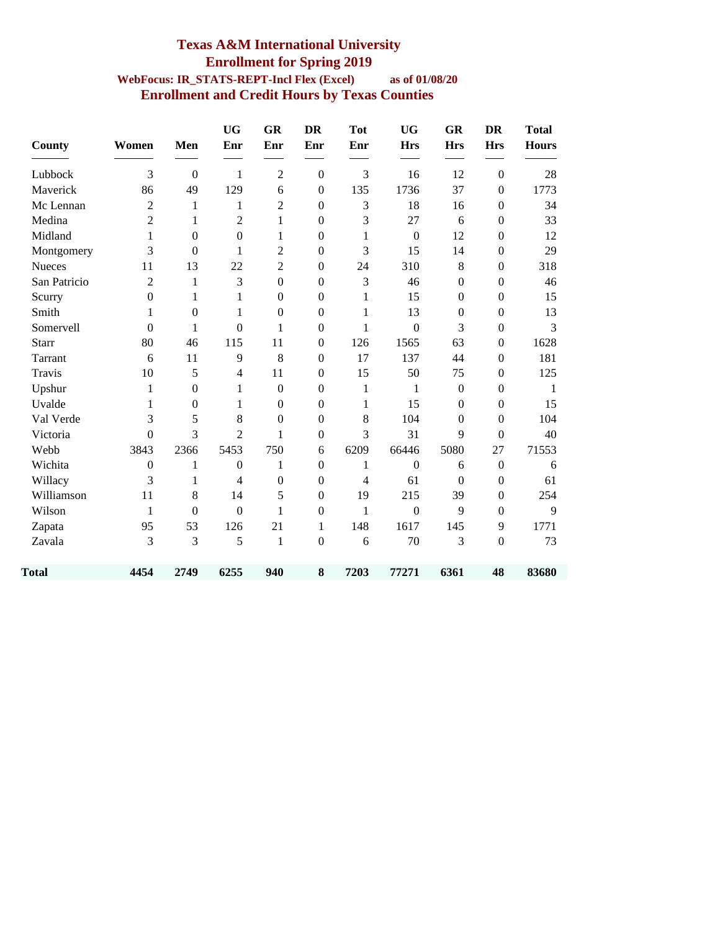#### **Texas A&M International University Enrollment for Spring 2019 WebFocus: IR\_STATS-REPT-Incl Flex (Excel) as of 01/08/20 Enrollment and Credit Hours by Texas Counties**

| <b>County</b> | Women            | Men              | <b>UG</b><br>Enr | GR<br>Enr        | <b>DR</b><br>Enr | <b>Tot</b><br>Enr | <b>UG</b><br><b>Hrs</b> | <b>GR</b><br><b>Hrs</b> | <b>DR</b><br><b>Hrs</b> | <b>Total</b><br><b>Hours</b> |
|---------------|------------------|------------------|------------------|------------------|------------------|-------------------|-------------------------|-------------------------|-------------------------|------------------------------|
| Lubbock       | 3                | $\mathbf{0}$     | $\mathbf{1}$     | $\overline{2}$   | $\boldsymbol{0}$ | 3                 | 16                      | 12                      | $\boldsymbol{0}$        | 28                           |
| Maverick      | 86               | 49               | 129              | 6                | $\mathbf{0}$     | 135               | 1736                    | 37                      | $\boldsymbol{0}$        | 1773                         |
| Mc Lennan     | $\overline{2}$   | 1                | 1                | $\sqrt{2}$       | $\boldsymbol{0}$ | 3                 | 18                      | 16                      | $\boldsymbol{0}$        | 34                           |
| Medina        | $\overline{2}$   | 1                | $\overline{2}$   | $\mathbf{1}$     | $\boldsymbol{0}$ | 3                 | 27                      | 6                       | $\boldsymbol{0}$        | 33                           |
| Midland       | $\mathbf{1}$     | $\boldsymbol{0}$ | $\boldsymbol{0}$ | 1                | $\boldsymbol{0}$ | 1                 | $\boldsymbol{0}$        | 12                      | $\boldsymbol{0}$        | 12                           |
| Montgomery    | 3                | $\boldsymbol{0}$ | $\mathbf{1}$     | $\overline{2}$   | $\mathbf{0}$     | 3                 | 15                      | 14                      | $\mathbf{0}$            | 29                           |
| <b>Nueces</b> | 11               | 13               | 22               | $\overline{2}$   | $\boldsymbol{0}$ | 24                | 310                     | 8                       | $\boldsymbol{0}$        | 318                          |
| San Patricio  | $\overline{2}$   | $\mathbf{1}$     | 3                | $\boldsymbol{0}$ | $\mathbf{0}$     | 3                 | 46                      | $\mathbf{0}$            | $\boldsymbol{0}$        | 46                           |
| Scurry        | $\boldsymbol{0}$ | 1                | $\mathbf{1}$     | $\boldsymbol{0}$ | $\boldsymbol{0}$ | 1                 | 15                      | $\mathbf{0}$            | $\boldsymbol{0}$        | 15                           |
| Smith         | 1                | $\boldsymbol{0}$ | 1                | $\boldsymbol{0}$ | $\mathbf{0}$     | 1                 | 13                      | $\boldsymbol{0}$        | $\boldsymbol{0}$        | 13                           |
| Somervell     | $\Omega$         | 1                | $\boldsymbol{0}$ | $\mathbf{1}$     | $\boldsymbol{0}$ | 1                 | $\boldsymbol{0}$        | 3                       | $\boldsymbol{0}$        | 3                            |
| <b>Starr</b>  | 80               | 46               | 115              | 11               | $\mathbf{0}$     | 126               | 1565                    | 63                      | $\boldsymbol{0}$        | 1628                         |
| Tarrant       | 6                | 11               | 9                | 8                | $\boldsymbol{0}$ | 17                | 137                     | 44                      | $\boldsymbol{0}$        | 181                          |
| Travis        | 10               | 5                | $\overline{4}$   | 11               | $\mathbf{0}$     | 15                | 50                      | 75                      | $\boldsymbol{0}$        | 125                          |
| Upshur        | $\mathbf{1}$     | $\boldsymbol{0}$ | $\mathbf{1}$     | $\mathbf{0}$     | $\mathbf{0}$     | 1                 | 1                       | $\mathbf{0}$            | $\boldsymbol{0}$        | -1                           |
| Uvalde        | 1                | $\boldsymbol{0}$ | 1                | $\boldsymbol{0}$ | $\boldsymbol{0}$ | 1                 | 15                      | $\mathbf{0}$            | $\boldsymbol{0}$        | 15                           |
| Val Verde     | 3                | 5                | 8                | $\boldsymbol{0}$ | $\mathbf{0}$     | 8                 | 104                     | $\Omega$                | $\boldsymbol{0}$        | 104                          |
| Victoria      | $\overline{0}$   | 3                | $\overline{2}$   | $\mathbf{1}$     | $\mathbf{0}$     | 3                 | 31                      | 9                       | $\overline{0}$          | 40                           |
| Webb          | 3843             | 2366             | 5453             | 750              | 6                | 6209              | 66446                   | 5080                    | 27                      | 71553                        |
| Wichita       | $\boldsymbol{0}$ | 1                | $\boldsymbol{0}$ | $\mathbf{1}$     | $\boldsymbol{0}$ | 1                 | $\mathbf{0}$            | 6                       | $\boldsymbol{0}$        | 6                            |
| Willacy       | 3                | $\mathbf{1}$     | 4                | $\boldsymbol{0}$ | $\boldsymbol{0}$ | 4                 | 61                      | $\mathbf{0}$            | $\boldsymbol{0}$        | 61                           |
| Williamson    | 11               | $8\,$            | 14               | 5                | $\boldsymbol{0}$ | 19                | 215                     | 39                      | $\boldsymbol{0}$        | 254                          |
| Wilson        | $\mathbf{1}$     | $\overline{0}$   | $\mathbf{0}$     | $\mathbf{1}$     | $\mathbf{0}$     | 1                 | $\overline{0}$          | 9                       | $\boldsymbol{0}$        | 9                            |
| Zapata        | 95               | 53               | 126              | 21               | 1                | 148               | 1617                    | 145                     | 9                       | 1771                         |
| Zavala        | 3                | 3                | 5                | $\mathbf{1}$     | $\boldsymbol{0}$ | 6                 | 70                      | 3                       | $\mathbf{0}$            | 73                           |
| Total         | 4454             | 2749             | 6255             | 940              | 8                | 7203              | 77271                   | 6361                    | 48                      | 83680                        |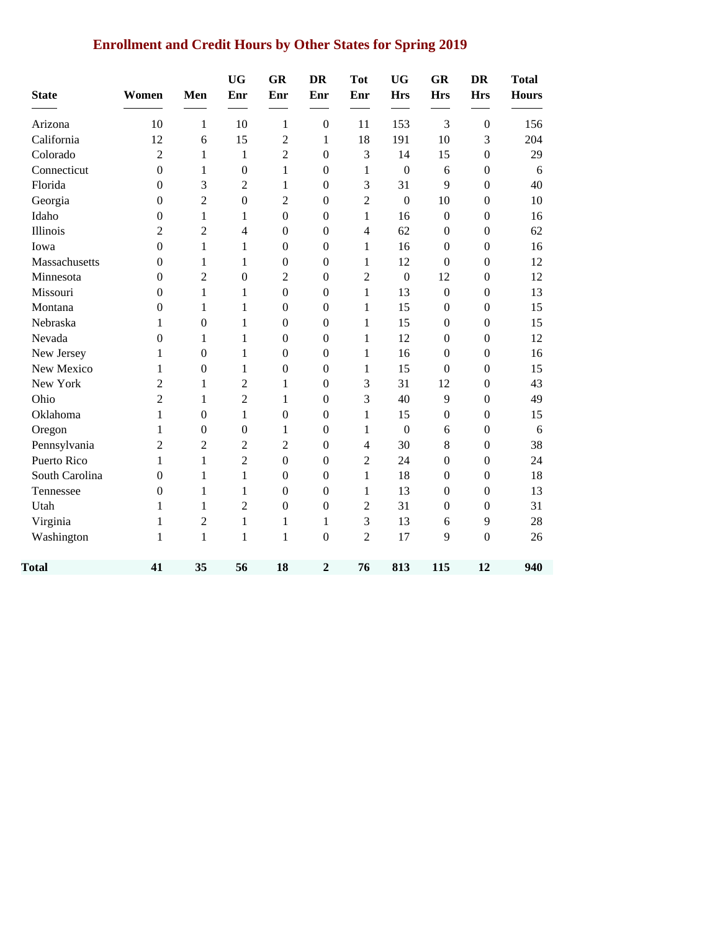### **Enrollment and Credit Hours by Other States for Spring 2019**

| <b>State</b>   | Women            | Men              | <b>UG</b><br>Enr | GR<br>Enr        | <b>DR</b><br>Enr | <b>Tot</b><br>Enr | <b>UG</b><br><b>Hrs</b> | <b>GR</b><br><b>Hrs</b> | <b>DR</b><br><b>Hrs</b> | <b>Total</b><br><b>Hours</b> |
|----------------|------------------|------------------|------------------|------------------|------------------|-------------------|-------------------------|-------------------------|-------------------------|------------------------------|
| Arizona        | 10               | 1                | 10               | $\mathbf{1}$     | $\boldsymbol{0}$ | 11                | 153                     | 3                       | $\boldsymbol{0}$        | 156                          |
| California     | 12               | 6                | 15               | $\overline{2}$   | $\mathbf{1}$     | 18                | 191                     | 10                      | 3                       | 204                          |
| Colorado       | $\overline{2}$   | 1                | $\mathbf{1}$     | $\overline{2}$   | $\boldsymbol{0}$ | 3                 | 14                      | 15                      | $\boldsymbol{0}$        | 29                           |
| Connecticut    | $\mathbf{0}$     | $\mathbf{1}$     | $\boldsymbol{0}$ | $\mathbf{1}$     | $\overline{0}$   | $\mathbf{1}$      | $\boldsymbol{0}$        | 6                       | $\mathbf{0}$            | 6                            |
| Florida        | $\boldsymbol{0}$ | 3                | $\overline{c}$   | 1                | $\boldsymbol{0}$ | 3                 | 31                      | 9                       | $\boldsymbol{0}$        | 40                           |
| Georgia        | $\theta$         | $\overline{2}$   | $\mathbf{0}$     | $\overline{2}$   | $\overline{0}$   | $\overline{2}$    | $\boldsymbol{0}$        | 10                      | $\boldsymbol{0}$        | 10                           |
| Idaho          | $\boldsymbol{0}$ | 1                | 1                | $\mathbf{0}$     | $\boldsymbol{0}$ | 1                 | 16                      | $\boldsymbol{0}$        | $\boldsymbol{0}$        | 16                           |
| Illinois       | $\overline{c}$   | $\overline{2}$   | 4                | $\boldsymbol{0}$ | $\mathbf{0}$     | 4                 | 62                      | $\mathbf{0}$            | $\boldsymbol{0}$        | 62                           |
| Iowa           | $\mathbf{0}$     | $\mathbf{1}$     | $\mathbf{1}$     | $\boldsymbol{0}$ | $\boldsymbol{0}$ | $\mathbf{1}$      | 16                      | $\boldsymbol{0}$        | $\boldsymbol{0}$        | 16                           |
| Massachusetts  | $\boldsymbol{0}$ | 1                | 1                | $\boldsymbol{0}$ | $\overline{0}$   | 1                 | 12                      | $\mathbf{0}$            | $\mathbf{0}$            | 12                           |
| Minnesota      | $\boldsymbol{0}$ | $\overline{c}$   | $\boldsymbol{0}$ | $\overline{2}$   | $\overline{0}$   | $\overline{c}$    | $\boldsymbol{0}$        | 12                      | $\boldsymbol{0}$        | 12                           |
| Missouri       | $\boldsymbol{0}$ | $\mathbf{1}$     | $\mathbf{1}$     | $\boldsymbol{0}$ | $\boldsymbol{0}$ | $\mathbf{1}$      | 13                      | $\boldsymbol{0}$        | $\boldsymbol{0}$        | 13                           |
| Montana        | $\boldsymbol{0}$ | 1                | 1                | $\boldsymbol{0}$ | $\boldsymbol{0}$ | 1                 | 15                      | $\boldsymbol{0}$        | $\boldsymbol{0}$        | 15                           |
| Nebraska       | 1                | $\boldsymbol{0}$ | 1                | $\boldsymbol{0}$ | $\overline{0}$   | 1                 | 15                      | $\boldsymbol{0}$        | $\boldsymbol{0}$        | 15                           |
| Nevada         | $\mathbf{0}$     | 1                | 1                | $\boldsymbol{0}$ | $\boldsymbol{0}$ | 1                 | 12                      | $\boldsymbol{0}$        | $\boldsymbol{0}$        | 12                           |
| New Jersey     | 1                | $\boldsymbol{0}$ | $\mathbf{1}$     | $\boldsymbol{0}$ | $\boldsymbol{0}$ | $\mathbf{1}$      | 16                      | $\boldsymbol{0}$        | $\boldsymbol{0}$        | 16                           |
| New Mexico     | 1                | $\boldsymbol{0}$ | 1                | $\boldsymbol{0}$ | $\boldsymbol{0}$ | 1                 | 15                      | $\boldsymbol{0}$        | $\boldsymbol{0}$        | 15                           |
| New York       | 2                | $\mathbf{1}$     | 2                | 1                | $\boldsymbol{0}$ | 3                 | 31                      | 12                      | $\boldsymbol{0}$        | 43                           |
| Ohio           | $\overline{c}$   | $\mathbf{1}$     | $\overline{c}$   | $\mathbf{1}$     | $\overline{0}$   | 3                 | 40                      | 9                       | $\boldsymbol{0}$        | 49                           |
| Oklahoma       | 1                | $\boldsymbol{0}$ | 1                | $\boldsymbol{0}$ | $\boldsymbol{0}$ | $\mathbf{1}$      | 15                      | $\boldsymbol{0}$        | $\boldsymbol{0}$        | 15                           |
| Oregon         | 1                | $\boldsymbol{0}$ | $\Omega$         | 1                | $\Omega$         | 1                 | $\boldsymbol{0}$        | 6                       | $\boldsymbol{0}$        | 6                            |
| Pennsylvania   | 2                | $\overline{2}$   | $\overline{c}$   | $\overline{2}$   | $\boldsymbol{0}$ | 4                 | 30                      | $\,8\,$                 | $\boldsymbol{0}$        | 38                           |
| Puerto Rico    | 1                | $\mathbf{1}$     | $\overline{c}$   | $\boldsymbol{0}$ | $\overline{0}$   | $\overline{c}$    | 24                      | $\overline{0}$          | $\overline{0}$          | 24                           |
| South Carolina | $\boldsymbol{0}$ | $\mathbf{1}$     | $\mathbf{1}$     | $\boldsymbol{0}$ | $\boldsymbol{0}$ | $\mathbf{1}$      | 18                      | $\boldsymbol{0}$        | $\boldsymbol{0}$        | 18                           |
| Tennessee      | $\Omega$         | $\mathbf{1}$     | $\mathbf{1}$     | $\boldsymbol{0}$ | $\overline{0}$   | 1                 | 13                      | $\boldsymbol{0}$        | $\mathbf{0}$            | 13                           |
| Utah           | 1                | 1                | $\overline{c}$   | $\boldsymbol{0}$ | $\boldsymbol{0}$ | $\overline{c}$    | 31                      | $\boldsymbol{0}$        | $\boldsymbol{0}$        | 31                           |
| Virginia       | 1                | $\overline{2}$   | $\mathbf{1}$     | $\mathbf{1}$     | 1                | 3                 | 13                      | 6                       | 9                       | 28                           |
| Washington     | 1                | $\mathbf{1}$     | 1                | 1                | $\boldsymbol{0}$ | $\overline{c}$    | 17                      | 9                       | $\boldsymbol{0}$        | 26                           |
| <b>Total</b>   | 41               | 35               | 56               | 18               | $\mathbf{2}$     | 76                | 813                     | 115                     | 12                      | 940                          |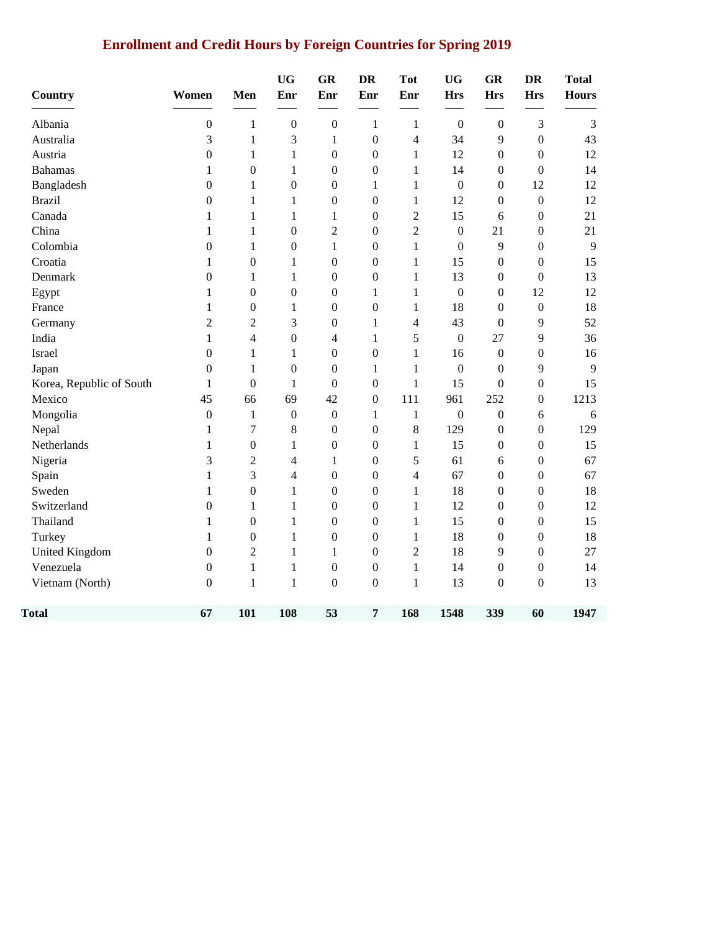## **Enrollment and Credit Hours by Foreign Countries for Spring 2019**

| Country                  | Women            | Men              | <b>UG</b><br>Enr | <b>GR</b><br>Enr | <b>DR</b><br>Enr | <b>Tot</b><br>Enr | <b>UG</b><br><b>Hrs</b> | GR<br><b>Hrs</b> | <b>DR</b><br><b>Hrs</b> | <b>Total</b><br><b>Hours</b> |
|--------------------------|------------------|------------------|------------------|------------------|------------------|-------------------|-------------------------|------------------|-------------------------|------------------------------|
| Albania                  | $\boldsymbol{0}$ | 1                | $\boldsymbol{0}$ | $\boldsymbol{0}$ | $\mathbf{1}$     | 1                 | $\boldsymbol{0}$        | $\boldsymbol{0}$ | 3                       | $\mathfrak{Z}$               |
| Australia                | 3                | $\mathbf{1}$     | 3                | $\mathbf{1}$     | $\boldsymbol{0}$ | $\overline{4}$    | 34                      | 9                | $\boldsymbol{0}$        | 43                           |
| Austria                  | $\boldsymbol{0}$ | $\mathbf{1}$     | $\mathbf{1}$     | $\boldsymbol{0}$ | $\boldsymbol{0}$ | $\mathbf{1}$      | 12                      | $\boldsymbol{0}$ | $\boldsymbol{0}$        | 12                           |
| <b>Bahamas</b>           | 1                | $\boldsymbol{0}$ | $\mathbf{1}$     | $\boldsymbol{0}$ | $\boldsymbol{0}$ | 1                 | 14                      | $\boldsymbol{0}$ | $\boldsymbol{0}$        | 14                           |
| Bangladesh               | $\boldsymbol{0}$ | $\mathbf{1}$     | $\boldsymbol{0}$ | $\boldsymbol{0}$ | 1                | $\mathbf{1}$      | $\boldsymbol{0}$        | $\boldsymbol{0}$ | 12                      | 12                           |
| <b>Brazil</b>            | $\boldsymbol{0}$ | 1                | 1                | $\boldsymbol{0}$ | $\overline{0}$   | 1                 | 12                      | $\overline{0}$   | $\boldsymbol{0}$        | 12                           |
| Canada                   | 1                | $\mathbf{1}$     | $\mathbf{1}$     | $\,1$            | $\boldsymbol{0}$ | $\overline{c}$    | 15                      | 6                | $\boldsymbol{0}$        | 21                           |
| China                    | $\mathbf{1}$     | $\mathbf{1}$     | $\boldsymbol{0}$ | $\mathbf{2}$     | 0                | $\overline{c}$    | $\boldsymbol{0}$        | 21               | $\boldsymbol{0}$        | 21                           |
| Colombia                 | $\boldsymbol{0}$ | 1                | $\boldsymbol{0}$ | $\,1$            | $\boldsymbol{0}$ | $\mathbf{1}$      | $\boldsymbol{0}$        | 9                | $\boldsymbol{0}$        | 9                            |
| Croatia                  | 1                | $\boldsymbol{0}$ | $\mathbf{1}$     | $\boldsymbol{0}$ | $\boldsymbol{0}$ | $\mathbf{1}$      | 15                      | $\boldsymbol{0}$ | $\boldsymbol{0}$        | 15                           |
| Denmark                  | $\boldsymbol{0}$ | $\mathbf{1}$     | $\mathbf{1}$     | $\boldsymbol{0}$ | $\boldsymbol{0}$ | $\mathbf{1}$      | 13                      | $\boldsymbol{0}$ | $\boldsymbol{0}$        | 13                           |
| Egypt                    | 1                | $\boldsymbol{0}$ | $\boldsymbol{0}$ | $\boldsymbol{0}$ | 1                | $\mathbf{1}$      | $\boldsymbol{0}$        | $\boldsymbol{0}$ | 12                      | 12                           |
| France                   | 1                | $\boldsymbol{0}$ | 1                | $\boldsymbol{0}$ | $\overline{0}$   | 1                 | 18                      | $\overline{0}$   | $\boldsymbol{0}$        | 18                           |
| Germany                  | $\overline{2}$   | $\overline{2}$   | 3                | $\boldsymbol{0}$ | 1                | 4                 | 43                      | $\overline{0}$   | 9                       | 52                           |
| India                    | $\mathbf{1}$     | 4                | $\boldsymbol{0}$ | 4                | $\mathbf{1}$     | 5                 | $\boldsymbol{0}$        | 27               | 9                       | 36                           |
| Israel                   | $\boldsymbol{0}$ | $\mathbf{1}$     | 1                | $\boldsymbol{0}$ | $\boldsymbol{0}$ | $\mathbf{1}$      | 16                      | $\boldsymbol{0}$ | $\boldsymbol{0}$        | 16                           |
| Japan                    | $\boldsymbol{0}$ | $\mathbf{1}$     | $\boldsymbol{0}$ | $\boldsymbol{0}$ | $\mathbf{1}$     | 1                 | $\boldsymbol{0}$        | $\boldsymbol{0}$ | 9                       | 9                            |
| Korea, Republic of South | $\mathbf{1}$     | $\boldsymbol{0}$ | $\mathbf{1}$     | $\boldsymbol{0}$ | $\boldsymbol{0}$ | $\mathbf{1}$      | 15                      | $\boldsymbol{0}$ | $\boldsymbol{0}$        | 15                           |
| Mexico                   | 45               | 66               | 69               | 42               | $\boldsymbol{0}$ | 111               | 961                     | 252              | $\boldsymbol{0}$        | 1213                         |
| Mongolia                 | $\boldsymbol{0}$ | 1                | $\boldsymbol{0}$ | $\boldsymbol{0}$ | 1                | 1                 | $\boldsymbol{0}$        | $\boldsymbol{0}$ | 6                       | 6                            |
| Nepal                    | $\mathbf{1}$     | 7                | 8                | $\boldsymbol{0}$ | 0                | 8                 | 129                     | $\boldsymbol{0}$ | $\boldsymbol{0}$        | 129                          |
| Netherlands              | $\mathbf{1}$     | $\boldsymbol{0}$ | $\mathbf{1}$     | $\boldsymbol{0}$ | $\boldsymbol{0}$ | $\mathbf{1}$      | 15                      | $\boldsymbol{0}$ | $\boldsymbol{0}$        | 15                           |
| Nigeria                  | 3                | $\overline{2}$   | 4                | $\,1$            | $\boldsymbol{0}$ | 5                 | 61                      | 6                | $\boldsymbol{0}$        | 67                           |
| Spain                    | 1                | 3                | 4                | $\boldsymbol{0}$ | 0                | $\overline{4}$    | 67                      | 0                | $\boldsymbol{0}$        | 67                           |
| Sweden                   | 1                | $\boldsymbol{0}$ | $\mathbf{1}$     | $\boldsymbol{0}$ | $\boldsymbol{0}$ | $\mathbf{1}$      | 18                      | $\boldsymbol{0}$ | $\boldsymbol{0}$        | 18                           |
| Switzerland              | $\boldsymbol{0}$ | $\mathbf{1}$     | $\mathbf{1}$     | $\boldsymbol{0}$ | $\boldsymbol{0}$ | $\mathbf{1}$      | 12                      | $\boldsymbol{0}$ | $\boldsymbol{0}$        | 12                           |
| Thailand                 | 1                | $\boldsymbol{0}$ | 1                | $\boldsymbol{0}$ | $\overline{0}$   | 1                 | 15                      | $\boldsymbol{0}$ | $\boldsymbol{0}$        | 15                           |
| Turkey                   | 1                | $\boldsymbol{0}$ | $\mathbf{1}$     | $\boldsymbol{0}$ | $\overline{0}$   | 1                 | 18                      | $\boldsymbol{0}$ | $\boldsymbol{0}$        | 18                           |
| <b>United Kingdom</b>    | $\boldsymbol{0}$ | $\overline{2}$   | 1                | $\mathbf{1}$     | 0                | $\overline{c}$    | 18                      | 9                | $\boldsymbol{0}$        | 27                           |
| Venezuela                | $\boldsymbol{0}$ | $\mathbf{1}$     | $\mathbf{1}$     | $\boldsymbol{0}$ | $\boldsymbol{0}$ | $\mathbf{1}$      | 14                      | $\boldsymbol{0}$ | $\boldsymbol{0}$        | 14                           |
| Vietnam (North)          | $\boldsymbol{0}$ | 1                | $\mathbf{1}$     | $\boldsymbol{0}$ | $\boldsymbol{0}$ | $\mathbf{1}$      | 13                      | $\boldsymbol{0}$ | $\boldsymbol{0}$        | 13                           |
| <b>Total</b>             | 67               | 101              | 108              | 53               | 7                | 168               | 1548                    | 339              | 60                      | 1947                         |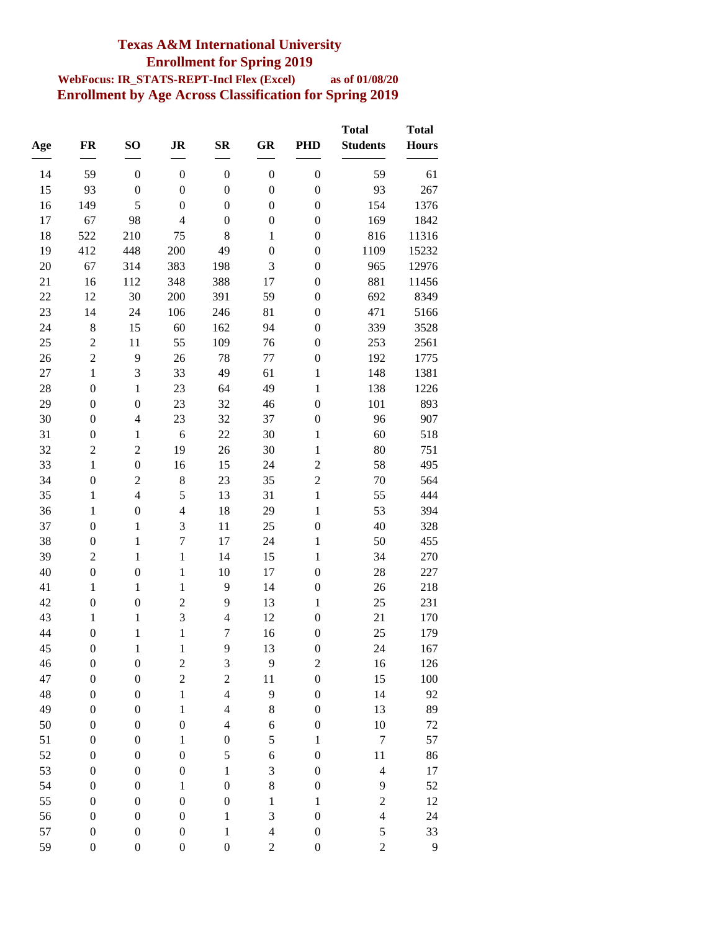### **Texas A&M International University Enrollment for Spring 2019**

#### **WebFocus: IR\_STATS-REPT-Incl Flex (Excel) as of 01/08/20 Enrollment by Age Across Classification for Spring 2019**

| Age | FR               | SO <sub>1</sub>  | JR                      | $S_{\mathbf{R}}$         | GR               | <b>PHD</b>              | <b>Total</b><br><b>Students</b> | <b>Total</b><br><b>Hours</b> |
|-----|------------------|------------------|-------------------------|--------------------------|------------------|-------------------------|---------------------------------|------------------------------|
| 14  | 59               | $\boldsymbol{0}$ | $\boldsymbol{0}$        | $\boldsymbol{0}$         | $\boldsymbol{0}$ | $\boldsymbol{0}$        | 59                              | 61                           |
| 15  | 93               | $\boldsymbol{0}$ | $\boldsymbol{0}$        | $\boldsymbol{0}$         | $\boldsymbol{0}$ | $\boldsymbol{0}$        | 93                              | 267                          |
| 16  | 149              | 5                | $\boldsymbol{0}$        | $\boldsymbol{0}$         | $\boldsymbol{0}$ | $\boldsymbol{0}$        | 154                             | 1376                         |
| 17  | 67               | 98               | $\overline{4}$          | $\boldsymbol{0}$         | $\boldsymbol{0}$ | $\boldsymbol{0}$        | 169                             | 1842                         |
| 18  | 522              | 210              | 75                      | 8                        | $\mathbf 1$      | $\boldsymbol{0}$        | 816                             | 11316                        |
| 19  | 412              | 448              | 200                     | 49                       | $\boldsymbol{0}$ | $\boldsymbol{0}$        | 1109                            | 15232                        |
| 20  | 67               | 314              | 383                     | 198                      | 3                | $\boldsymbol{0}$        | 965                             | 12976                        |
| 21  | 16               | 112              | 348                     | 388                      | 17               | $\boldsymbol{0}$        | 881                             | 11456                        |
| 22  | 12               | 30               | 200                     | 391                      | 59               | $\boldsymbol{0}$        | 692                             | 8349                         |
| 23  | 14               | 24               | 106                     | 246                      | 81               | $\boldsymbol{0}$        | 471                             | 5166                         |
| 24  | $\,8$            | 15               | 60                      | 162                      | 94               | $\boldsymbol{0}$        | 339                             | 3528                         |
| 25  | $\overline{c}$   | 11               | 55                      | 109                      | 76               | $\boldsymbol{0}$        | 253                             | 2561                         |
| 26  | $\overline{c}$   | 9                | 26                      | 78                       | 77               | $\boldsymbol{0}$        | 192                             | 1775                         |
| 27  | $\mathbf{1}$     | 3                | 33                      | 49                       | 61               | $\mathbf{1}$            | 148                             | 1381                         |
| 28  | $\boldsymbol{0}$ | $\mathbf{1}$     | 23                      | 64                       | 49               | $\mathbf{1}$            | 138                             | 1226                         |
| 29  | $\boldsymbol{0}$ | $\boldsymbol{0}$ | 23                      | 32                       | 46               | $\boldsymbol{0}$        | 101                             | 893                          |
| 30  | $\boldsymbol{0}$ | $\overline{4}$   | 23                      | 32                       | 37               | $\boldsymbol{0}$        | 96                              | 907                          |
| 31  | $\boldsymbol{0}$ | $\mathbf{1}$     | 6                       | 22                       | 30               | $\mathbf{1}$            | 60                              | 518                          |
| 32  | $\overline{c}$   | $\overline{c}$   | 19                      | 26                       | 30               | $\mathbf{1}$            | 80                              | 751                          |
| 33  | $\mathbf{1}$     | $\boldsymbol{0}$ | 16                      | 15                       | 24               | $\overline{c}$          | 58                              | 495                          |
| 34  | $\boldsymbol{0}$ | $\overline{c}$   | $8\,$                   | 23                       | 35               | $\overline{c}$          | 70                              | 564                          |
| 35  | $\mathbf{1}$     | $\overline{4}$   | 5                       | 13                       | 31               | $\mathbf{1}$            | 55                              | 444                          |
| 36  | $\mathbf{1}$     | $\boldsymbol{0}$ | $\overline{\mathbf{4}}$ | 18                       | 29               | $\mathbf 1$             | 53                              | 394                          |
| 37  | $\boldsymbol{0}$ | $\mathbf{1}$     | $\mathfrak{Z}$          | 11                       | 25               | $\boldsymbol{0}$        | 40                              | 328                          |
| 38  | $\boldsymbol{0}$ | $\mathbf{1}$     | $\boldsymbol{7}$        | 17                       | 24               | $\mathbf{1}$            | 50                              | 455                          |
| 39  | $\overline{2}$   | $\mathbf{1}$     | $\mathbf{1}$            | 14                       | 15               | $\mathbf 1$             | 34                              | 270                          |
| 40  | $\boldsymbol{0}$ | $\boldsymbol{0}$ | $\mathbf{1}$            | 10                       | 17               | $\boldsymbol{0}$        | 28                              | 227                          |
| 41  | $\mathbf{1}$     | $\mathbf{1}$     | $\mathbf{1}$            | 9                        | 14               | $\boldsymbol{0}$        | 26                              | 218                          |
| 42  | $\boldsymbol{0}$ | $\boldsymbol{0}$ | $\overline{c}$          | 9                        | 13               | $\mathbf 1$             | 25                              | 231                          |
| 43  | $\mathbf{1}$     | $\mathbf{1}$     | 3                       | $\overline{\mathcal{L}}$ | 12               | $\boldsymbol{0}$        | 21                              | 170                          |
| 44  | $\boldsymbol{0}$ | $\mathbf{1}$     | $\mathbf 1$             | $\overline{7}$           | 16               | $\boldsymbol{0}$        | 25                              | 179                          |
| 45  | $\overline{0}$   | 1                | 1                       | 9                        | 13               | 0                       | 24                              | 167                          |
| 46  | $\boldsymbol{0}$ | $\boldsymbol{0}$ | $\boldsymbol{2}$        | 3                        | 9                | $\overline{\mathbf{c}}$ | 16                              | 126                          |
| 47  | $\boldsymbol{0}$ | $\boldsymbol{0}$ | $\overline{c}$          | $\overline{c}$           | 11               | $\boldsymbol{0}$        | 15                              | 100                          |
| 48  | $\boldsymbol{0}$ | $\boldsymbol{0}$ | $\,1$                   | $\overline{4}$           | 9                | $\boldsymbol{0}$        | 14                              | 92                           |
| 49  | $\boldsymbol{0}$ | $\boldsymbol{0}$ | $\,1$                   | $\overline{4}$           | 8                | $\boldsymbol{0}$        | 13                              | 89                           |
| 50  | $\boldsymbol{0}$ | $\boldsymbol{0}$ | $\boldsymbol{0}$        | $\overline{4}$           | 6                | $\boldsymbol{0}$        | 10                              | $72\,$                       |
| 51  | $\boldsymbol{0}$ | $\boldsymbol{0}$ | $\,1$                   | $\boldsymbol{0}$         | 5                | $\mathbf{1}$            | $\boldsymbol{7}$                | 57                           |
| 52  | $\boldsymbol{0}$ | $\boldsymbol{0}$ | $\boldsymbol{0}$        | 5                        | 6                | $\boldsymbol{0}$        | 11                              | 86                           |
| 53  | $\boldsymbol{0}$ | $\boldsymbol{0}$ | $\boldsymbol{0}$        | $\mathbf{1}$             | 3                | $\boldsymbol{0}$        | $\overline{4}$                  | 17                           |
| 54  | $\boldsymbol{0}$ | $\boldsymbol{0}$ | $\,1$                   | $\boldsymbol{0}$         | $\,$ 8 $\,$      | $\boldsymbol{0}$        | 9                               | 52                           |
| 55  | $\boldsymbol{0}$ | $\boldsymbol{0}$ | $\boldsymbol{0}$        | $\boldsymbol{0}$         | $\,1$            | $\mathbf{1}$            | $\overline{c}$                  | 12                           |
| 56  | $\boldsymbol{0}$ | $\boldsymbol{0}$ | $\boldsymbol{0}$        | $\,1$                    | 3                | $\boldsymbol{0}$        | $\overline{4}$                  | 24                           |
| 57  | $\boldsymbol{0}$ | $\boldsymbol{0}$ | $\boldsymbol{0}$        | $\,1$                    | $\overline{4}$   | $\boldsymbol{0}$        | 5                               | 33                           |
| 59  | 0                | $\boldsymbol{0}$ | $\boldsymbol{0}$        | $\boldsymbol{0}$         | $\boldsymbol{2}$ | $\boldsymbol{0}$        | $\overline{c}$                  | $\overline{9}$               |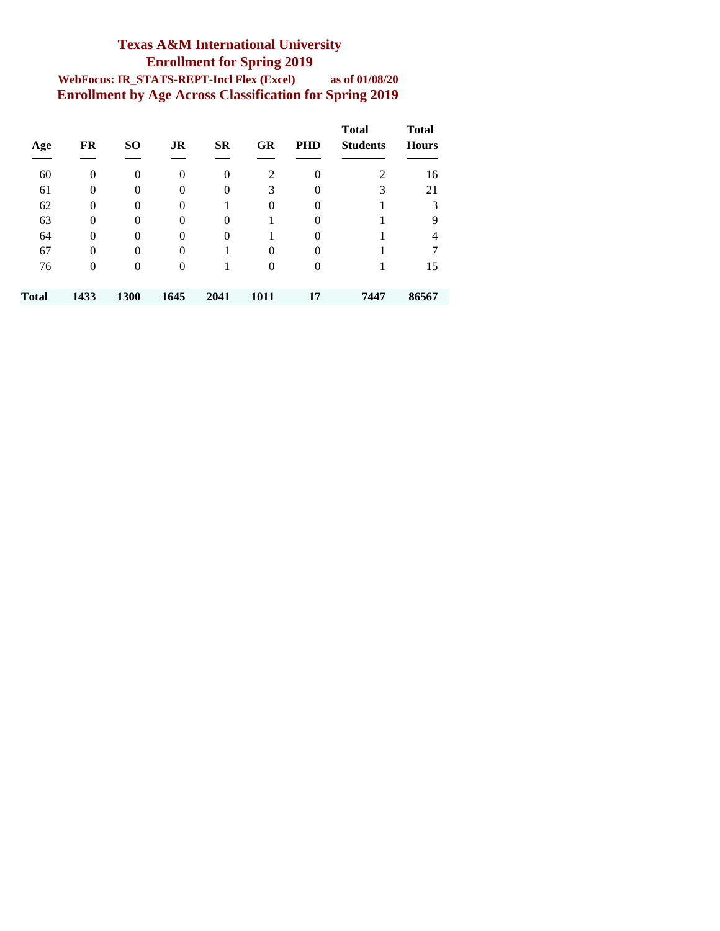#### **Texas A&M International University Enrollment for Spring 2019 WebFocus: IR\_STATS-REPT-Incl Flex (Excel) as of 01/08/20 Enrollment by Age Across Classification for Spring 2019**

| Age   | FR             | <b>SO</b>      | JR               | <b>SR</b>      | <b>GR</b>      | <b>PHD</b> | <b>Total</b><br><b>Students</b> | <b>Total</b><br><b>Hours</b> |
|-------|----------------|----------------|------------------|----------------|----------------|------------|---------------------------------|------------------------------|
| 60    | 0              | $\overline{0}$ | $\boldsymbol{0}$ | $\overline{0}$ | $\overline{2}$ | 0          | 2                               | 16                           |
| 61    | $\overline{0}$ | $\overline{0}$ | $\theta$         | $\theta$       | 3              | $\Omega$   | 3                               | 21                           |
| 62    | $\overline{0}$ | $\theta$       | $\theta$         |                | $\theta$       | $\Omega$   |                                 | 3                            |
| 63    | $\theta$       | $\theta$       | $\theta$         | $\theta$       |                | $\Omega$   |                                 | 9                            |
| 64    | $\theta$       | $\theta$       | $\theta$         | $\theta$       |                | $\Omega$   |                                 | 4                            |
| 67    | $\overline{0}$ | $\theta$       | $\overline{0}$   |                | $\theta$       | $\Omega$   |                                 |                              |
| 76    | $\overline{0}$ | $\overline{0}$ | $\overline{0}$   |                | $\overline{0}$ | 0          |                                 | 15                           |
| Total | 1433           | 1300           | 1645             | 2041           | 1011           | 17         | 7447                            | 86567                        |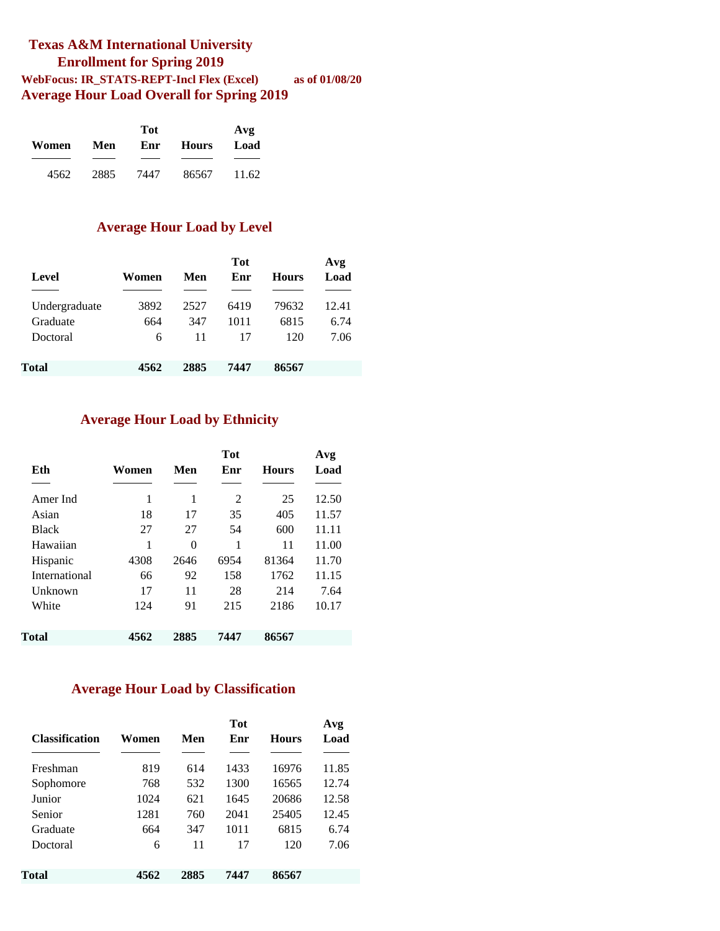#### **Texas A&M International University Enrollment for Spring 2019 WebFocus: IR\_STATS-REPT-Incl Flex (Excel) as of 01/08/20 Average Hour Load Overall for Spring 2019**

|       |      | Tot  |              | Avg   |
|-------|------|------|--------------|-------|
| Women | Men  | Enr  | <b>Hours</b> | Load  |
|       |      |      |              |       |
| 4562  | 2885 | 7447 | 86567        | 11.62 |

#### **Average Hour Load by Level**

| Level         | Women | Men  | <b>Tot</b><br>Enr | <b>Hours</b> | Avg<br>Load |
|---------------|-------|------|-------------------|--------------|-------------|
| Undergraduate | 3892  | 2527 | 6419              | 79632        | 12.41       |
| Graduate      | 664   | 347  | 1011              | 6815         | 6.74        |
| Doctoral      | 6     | 11   | 17                | 120          | 7.06        |
| Total         | 4562  | 2885 | 7447              | 86567        |             |

#### **Average Hour Load by Ethnicity**

| Eth           | Women | Men  | <b>Tot</b><br>Enr | <b>Hours</b> | Avg<br>Load |
|---------------|-------|------|-------------------|--------------|-------------|
|               |       |      |                   |              |             |
| Amer Ind      | 1     | 1    | $\mathfrak{D}$    | 25           | 12.50       |
| Asian         | 18    | 17   | 35                | 405          | 11.57       |
| <b>Black</b>  | 27    | 27   | 54                | 600          | 11.11       |
| Hawaiian      | 1     | 0    | 1                 | 11           | 11.00       |
| Hispanic      | 4308  | 2646 | 6954              | 81364        | 11.70       |
| International | 66    | 92   | 158               | 1762         | 11.15       |
| Unknown       | 17    | 11   | 28                | 214          | 7.64        |
| White         | 124   | 91   | 215               | 2186         | 10.17       |
|               |       |      |                   |              |             |
| Total         | 4562  | 2885 | 7447              | 86567        |             |

#### **Average Hour Load by Classification**

| <b>Classification</b> | Women | Men  | <b>Tot</b><br>Enr | <b>Hours</b> | Avg<br>Load |
|-----------------------|-------|------|-------------------|--------------|-------------|
| Freshman              | 819   | 614  | 1433              | 16976        | 11.85       |
| Sophomore             | 768   | 532  | 1300              | 16565        | 12.74       |
| Junior                | 1024  | 621  | 1645              | 20686        | 12.58       |
| Senior                | 1281  | 760  | 2041              | 25405        | 12.45       |
| Graduate              | 664   | 347  | 1011              | 6815         | 6.74        |
| Doctoral              | 6     | 11   | 17                | 120          | 7.06        |
| Total                 | 4562  | 2885 | 7447              | 86567        |             |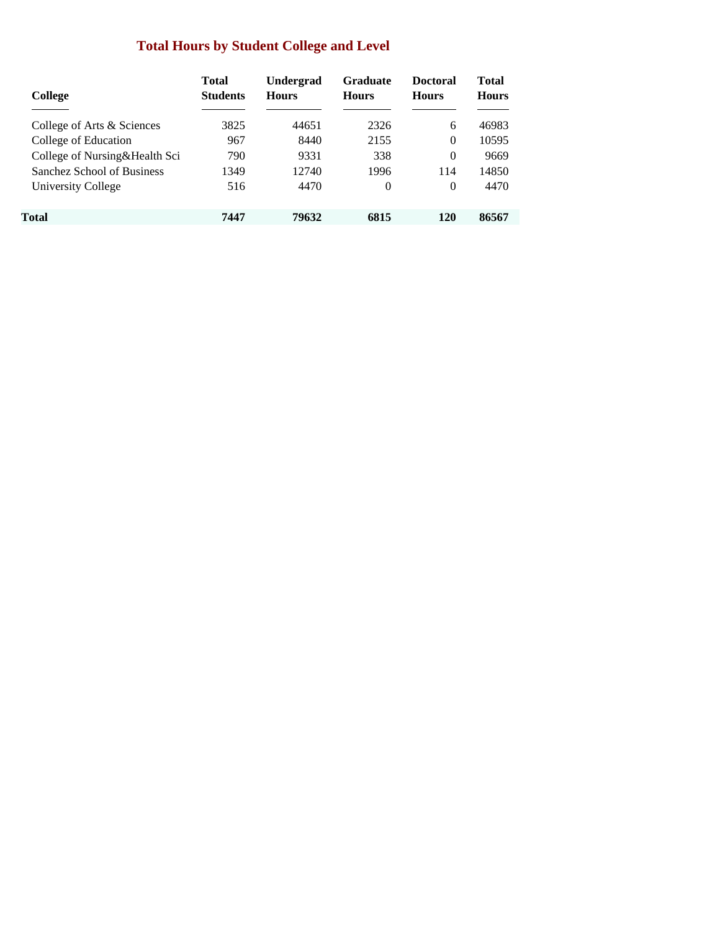### **Total Hours by Student College and Level**

| College                       | <b>Total</b><br><b>Students</b> | <b>Undergrad</b><br><b>Hours</b> | <b>Graduate</b><br><b>Hours</b> | <b>Doctoral</b><br><b>Hours</b> | Total<br><b>Hours</b> |
|-------------------------------|---------------------------------|----------------------------------|---------------------------------|---------------------------------|-----------------------|
| College of Arts & Sciences    | 3825                            | 44651                            | 2326                            | 6                               | 46983                 |
| College of Education          | 967                             | 8440                             | 2155                            | $\Omega$                        | 10595                 |
| College of Nursing&Health Sci | 790                             | 9331                             | 338                             | $\Omega$                        | 9669                  |
| Sanchez School of Business    | 1349                            | 12740                            | 1996                            | 114                             | 14850                 |
| University College            | 516                             | 4470                             | $\Omega$                        | $\Omega$                        | 4470                  |
| Total                         | 7447                            | 79632                            | 6815                            | 120                             | 86567                 |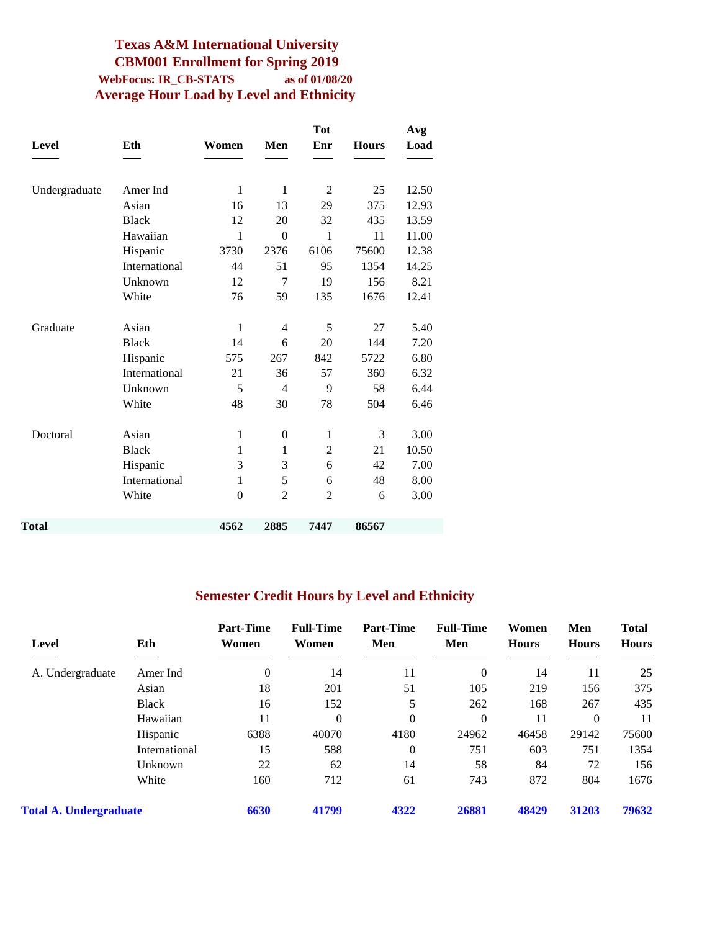#### **Texas A&M International University CBM001 Enrollment for Spring 2019 WebFocus: IR\_CB-STATS as of 01/08/20 Average Hour Load by Level and Ethnicity**

|               |              |                  | <b>Tot</b>     |              | Avg   |
|---------------|--------------|------------------|----------------|--------------|-------|
| Eth           | Women        | Men              | Enr            | <b>Hours</b> | Load  |
|               |              |                  |                |              |       |
| Amer Ind      | $\mathbf{1}$ | $\mathbf{1}$     | 2              | 25           | 12.50 |
| Asian         | 16           | 13               | 29             | 375          | 12.93 |
| <b>Black</b>  | 12           | 20               | 32             | 435          | 13.59 |
| Hawaiian      | $\mathbf{1}$ | $\mathbf{0}$     | 1              | 11           | 11.00 |
| Hispanic      | 3730         | 2376             | 6106           | 75600        | 12.38 |
| International | 44           | 51               | 95             | 1354         | 14.25 |
| Unknown       | 12           | 7                | 19             | 156          | 8.21  |
| White         | 76           | 59               | 135            | 1676         | 12.41 |
| Asian         | $\mathbf{1}$ | 4                | 5              | 27           | 5.40  |
| <b>Black</b>  | 14           | 6                | 20             | 144          | 7.20  |
| Hispanic      | 575          | 267              | 842            | 5722         | 6.80  |
| International | 21           | 36               | 57             | 360          | 6.32  |
| Unknown       | 5            | 4                | 9              | 58           | 6.44  |
| White         | 48           | 30               | 78             | 504          | 6.46  |
| Asian         | $\mathbf{1}$ | $\boldsymbol{0}$ | $\mathbf{1}$   | 3            | 3.00  |
| <b>Black</b>  | 1            | 1                | $\overline{2}$ | 21           | 10.50 |
| Hispanic      | 3            | 3                | 6              | 42           | 7.00  |
| International | $\mathbf{1}$ | 5                | 6              | 48           | 8.00  |
| White         | $\theta$     | $\overline{2}$   | $\overline{2}$ | 6            | 3.00  |
|               | 4562         | 2885             | 7447           | 86567        |       |
|               |              |                  |                |              |       |

#### **Semester Credit Hours by Level and Ethnicity**

| Level                         | Eth           | <b>Part-Time</b><br>Women | <b>Full-Time</b><br>Women | <b>Part-Time</b><br>Men | <b>Full-Time</b><br>Men | Women<br><b>Hours</b> | Men<br><b>Hours</b> | <b>Total</b><br><b>Hours</b> |
|-------------------------------|---------------|---------------------------|---------------------------|-------------------------|-------------------------|-----------------------|---------------------|------------------------------|
| A. Undergraduate              | Amer Ind      | $\theta$                  | 14                        | 11                      | $\theta$                | 14                    | 11                  | 25                           |
|                               | Asian         | 18                        | 201                       | 51                      | 105                     | 219                   | 156                 | 375                          |
|                               | <b>Black</b>  | 16                        | 152                       | 5                       | 262                     | 168                   | 267                 | 435                          |
|                               | Hawaiian      | 11                        | $\theta$                  | $\mathbf{0}$            | $\theta$                | 11                    | $\theta$            | 11                           |
|                               | Hispanic      | 6388                      | 40070                     | 4180                    | 24962                   | 46458                 | 29142               | 75600                        |
|                               | International | 15                        | 588                       | $\mathbf{0}$            | 751                     | 603                   | 751                 | 1354                         |
|                               | Unknown       | 22                        | 62                        | 14                      | 58                      | 84                    | 72                  | 156                          |
|                               | White         | 160                       | 712                       | 61                      | 743                     | 872                   | 804                 | 1676                         |
| <b>Total A. Undergraduate</b> |               | 6630                      | 41799                     | 4322                    | 26881                   | 48429                 | 31203               | 79632                        |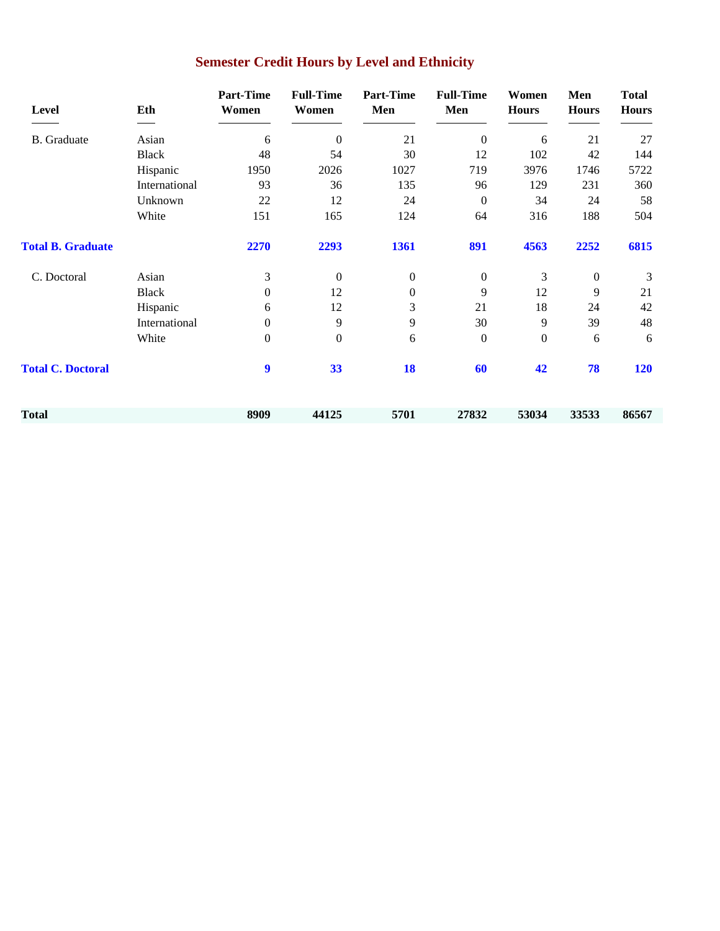| <b>Level</b>             | Eth           | <b>Part-Time</b><br>Women | <b>Full-Time</b><br>Women | <b>Part-Time</b><br>Men | <b>Full-Time</b><br>Men | Women<br><b>Hours</b> | Men<br><b>Hours</b> | <b>Total</b><br><b>Hours</b> |
|--------------------------|---------------|---------------------------|---------------------------|-------------------------|-------------------------|-----------------------|---------------------|------------------------------|
| <b>B.</b> Graduate       | Asian         | 6                         | $\theta$                  | 21                      | $\boldsymbol{0}$        | 6                     | 21                  | 27                           |
|                          | <b>Black</b>  | 48                        | 54                        | 30                      | 12                      | 102                   | 42                  | 144                          |
|                          | Hispanic      | 1950                      | 2026                      | 1027                    | 719                     | 3976                  | 1746                | 5722                         |
|                          | International | 93                        | 36                        | 135                     | 96                      | 129                   | 231                 | 360                          |
|                          | Unknown       | 22                        | 12                        | 24                      | $\boldsymbol{0}$        | 34                    | 24                  | 58                           |
|                          | White         | 151                       | 165                       | 124                     | 64                      | 316                   | 188                 | 504                          |
| <b>Total B. Graduate</b> |               | 2270                      | 2293                      | 1361                    | 891                     | 4563                  | 2252                | 6815                         |
| C. Doctoral              | Asian         | 3                         | $\boldsymbol{0}$          | $\boldsymbol{0}$        | $\boldsymbol{0}$        | 3                     | $\boldsymbol{0}$    | 3                            |
|                          | <b>Black</b>  | $\boldsymbol{0}$          | 12                        | $\boldsymbol{0}$        | 9                       | 12                    | 9                   | 21                           |
|                          | Hispanic      | 6                         | 12                        | 3                       | 21                      | 18                    | 24                  | 42                           |
|                          | International | $\overline{0}$            | 9                         | 9                       | 30                      | 9                     | 39                  | 48                           |
|                          | White         | $\mathbf{0}$              | $\boldsymbol{0}$          | 6                       | $\boldsymbol{0}$        | $\boldsymbol{0}$      | 6                   | 6                            |
| <b>Total C. Doctoral</b> |               | 9                         | 33                        | 18                      | 60                      | 42                    | 78                  | <b>120</b>                   |
| Total                    |               | 8909                      | 44125                     | 5701                    | 27832                   | 53034                 | 33533               | 86567                        |

# **Semester Credit Hours by Level and Ethnicity**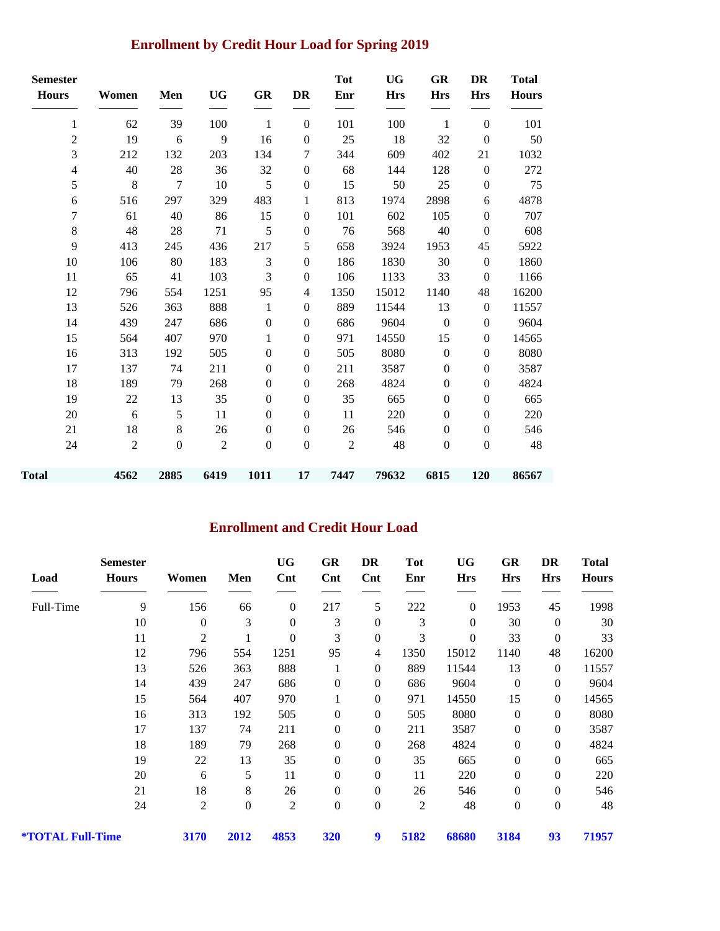## **Enrollment by Credit Hour Load for Spring 2019**

| <b>Semester</b><br><b>Hours</b> | Women          | Men              | <b>UG</b>      | GR               | DR               | <b>Tot</b><br>Enr | <b>UG</b><br><b>Hrs</b> | GR<br><b>Hrs</b> | <b>DR</b><br><b>Hrs</b> | <b>Total</b><br><b>Hours</b> |
|---------------------------------|----------------|------------------|----------------|------------------|------------------|-------------------|-------------------------|------------------|-------------------------|------------------------------|
| $\mathbf{1}$                    | 62             | 39               | 100            | $\mathbf{1}$     | $\boldsymbol{0}$ | 101               | 100                     | $\mathbf{1}$     | $\boldsymbol{0}$        | 101                          |
| $\overline{c}$                  | 19             | 6                | 9              | 16               | $\boldsymbol{0}$ | 25                | 18                      | 32               | $\boldsymbol{0}$        | 50                           |
| 3                               | 212            | 132              | 203            | 134              | 7                | 344               | 609                     | 402              | 21                      | 1032                         |
| $\overline{\mathcal{L}}$        | 40             | 28               | 36             | 32               | $\boldsymbol{0}$ | 68                | 144                     | 128              | $\mathbf{0}$            | 272                          |
| 5                               | $\,8\,$        | $\tau$           | 10             | 5                | $\boldsymbol{0}$ | 15                | 50                      | 25               | $\boldsymbol{0}$        | 75                           |
| 6                               | 516            | 297              | 329            | 483              | 1                | 813               | 1974                    | 2898             | 6                       | 4878                         |
| 7                               | 61             | 40               | 86             | 15               | $\boldsymbol{0}$ | 101               | 602                     | 105              | $\boldsymbol{0}$        | 707                          |
| 8                               | 48             | $28\,$           | 71             | 5                | $\boldsymbol{0}$ | 76                | 568                     | 40               | $\theta$                | 608                          |
| 9                               | 413            | 245              | 436            | 217              | 5                | 658               | 3924                    | 1953             | 45                      | 5922                         |
| 10                              | 106            | 80               | 183            | 3                | $\boldsymbol{0}$ | 186               | 1830                    | 30               | $\theta$                | 1860                         |
| 11                              | 65             | 41               | 103            | 3                | $\boldsymbol{0}$ | 106               | 1133                    | 33               | $\boldsymbol{0}$        | 1166                         |
| 12                              | 796            | 554              | 1251           | 95               | 4                | 1350              | 15012                   | 1140             | 48                      | 16200                        |
| 13                              | 526            | 363              | 888            | $\mathbf{1}$     | $\boldsymbol{0}$ | 889               | 11544                   | 13               | $\boldsymbol{0}$        | 11557                        |
| 14                              | 439            | 247              | 686            | $\boldsymbol{0}$ | $\boldsymbol{0}$ | 686               | 9604                    | $\boldsymbol{0}$ | $\boldsymbol{0}$        | 9604                         |
| 15                              | 564            | 407              | 970            | 1                | $\mathbf{0}$     | 971               | 14550                   | 15               | $\mathbf{0}$            | 14565                        |
| 16                              | 313            | 192              | 505            | $\theta$         | $\boldsymbol{0}$ | 505               | 8080                    | $\boldsymbol{0}$ | $\boldsymbol{0}$        | 8080                         |
| 17                              | 137            | 74               | 211            | $\mathbf{0}$     | $\boldsymbol{0}$ | 211               | 3587                    | $\boldsymbol{0}$ | $\boldsymbol{0}$        | 3587                         |
| 18                              | 189            | 79               | 268            | $\theta$         | $\boldsymbol{0}$ | 268               | 4824                    | $\boldsymbol{0}$ | $\boldsymbol{0}$        | 4824                         |
| 19                              | 22             | 13               | 35             | $\theta$         | $\boldsymbol{0}$ | 35                | 665                     | $\boldsymbol{0}$ | $\boldsymbol{0}$        | 665                          |
| 20                              | 6              | 5                | 11             | $\Omega$         | $\boldsymbol{0}$ | 11                | 220                     | $\boldsymbol{0}$ | $\mathbf{0}$            | 220                          |
| 21                              | 18             | $8\,$            | 26             | $\mathbf{0}$     | $\boldsymbol{0}$ | 26                | 546                     | $\boldsymbol{0}$ | $\theta$                | 546                          |
| 24                              | $\overline{2}$ | $\boldsymbol{0}$ | $\overline{2}$ | $\mathbf{0}$     | $\boldsymbol{0}$ | $\overline{2}$    | 48                      | $\boldsymbol{0}$ | $\boldsymbol{0}$        | 48                           |
| <b>Total</b>                    | 4562           | 2885             | 6419           | 1011             | 17               | 7447              | 79632                   | 6815             | 120                     | 86567                        |

#### **Enrollment and Credit Hour Load**

|                                | <b>Semester</b> |                  |                  | <b>UG</b>        | GR               | DR               | Tot            | <b>UG</b>      | GR               | DR               | <b>Total</b> |
|--------------------------------|-----------------|------------------|------------------|------------------|------------------|------------------|----------------|----------------|------------------|------------------|--------------|
| Load                           | <b>Hours</b>    | Women            | Men              | $\mathbf{Cnt}$   | $\mathbf{Cnt}$   | $\mathbf{Cnt}$   | Enr            | <b>Hrs</b>     | <b>Hrs</b>       | <b>Hrs</b>       | <b>Hours</b> |
| Full-Time                      | 9               | 156              | 66               | $\boldsymbol{0}$ | 217              | 5                | 222            | $\overline{0}$ | 1953             | 45               | 1998         |
|                                | 10              | $\boldsymbol{0}$ | 3                | 0                | 3                | $\boldsymbol{0}$ | 3              | $\mathbf{0}$   | 30               | $\theta$         | 30           |
|                                | 11              | $\overline{2}$   | 1                | 0                | 3                | $\boldsymbol{0}$ | 3              | $\theta$       | 33               | $\overline{0}$   | 33           |
|                                | 12              | 796              | 554              | 1251             | 95               | $\overline{4}$   | 1350           | 15012          | 1140             | 48               | 16200        |
|                                | 13              | 526              | 363              | 888              |                  | $\boldsymbol{0}$ | 889            | 11544          | 13               | $\mathbf{0}$     | 11557        |
|                                | 14              | 439              | 247              | 686              | $\boldsymbol{0}$ | $\mathbf{0}$     | 686            | 9604           | $\boldsymbol{0}$ | $\theta$         | 9604         |
|                                | 15              | 564              | 407              | 970              |                  | $\theta$         | 971            | 14550          | 15               | $\mathbf{0}$     | 14565        |
|                                | 16              | 313              | 192              | 505              | $\boldsymbol{0}$ | $\mathbf{0}$     | 505            | 8080           | $\boldsymbol{0}$ | $\theta$         | 8080         |
|                                | 17              | 137              | 74               | 211              | $\boldsymbol{0}$ | $\mathbf{0}$     | 211            | 3587           | $\boldsymbol{0}$ | $\theta$         | 3587         |
|                                | 18              | 189              | 79               | 268              | $\boldsymbol{0}$ | $\mathbf{0}$     | 268            | 4824           | $\boldsymbol{0}$ | $\theta$         | 4824         |
|                                | 19              | 22               | 13               | 35               | $\boldsymbol{0}$ | $\mathbf{0}$     | 35             | 665            | $\boldsymbol{0}$ | $\boldsymbol{0}$ | 665          |
|                                | 20              | 6                | 5                | 11               | $\boldsymbol{0}$ | $\boldsymbol{0}$ | 11             | 220            | $\boldsymbol{0}$ | $\boldsymbol{0}$ | 220          |
|                                | 21              | 18               | 8                | 26               | $\boldsymbol{0}$ | $\boldsymbol{0}$ | 26             | 546            | $\boldsymbol{0}$ | $\boldsymbol{0}$ | 546          |
|                                | 24              | $\overline{2}$   | $\boldsymbol{0}$ | $\mathfrak{2}$   | $\boldsymbol{0}$ | $\boldsymbol{0}$ | $\overline{c}$ | 48             | $\boldsymbol{0}$ | $\boldsymbol{0}$ | 48           |
| <i><b>*TOTAL Full-Time</b></i> |                 | 3170             | 2012             | 4853             | 320              | 9                | 5182           | 68680          | 3184             | 93               | 71957        |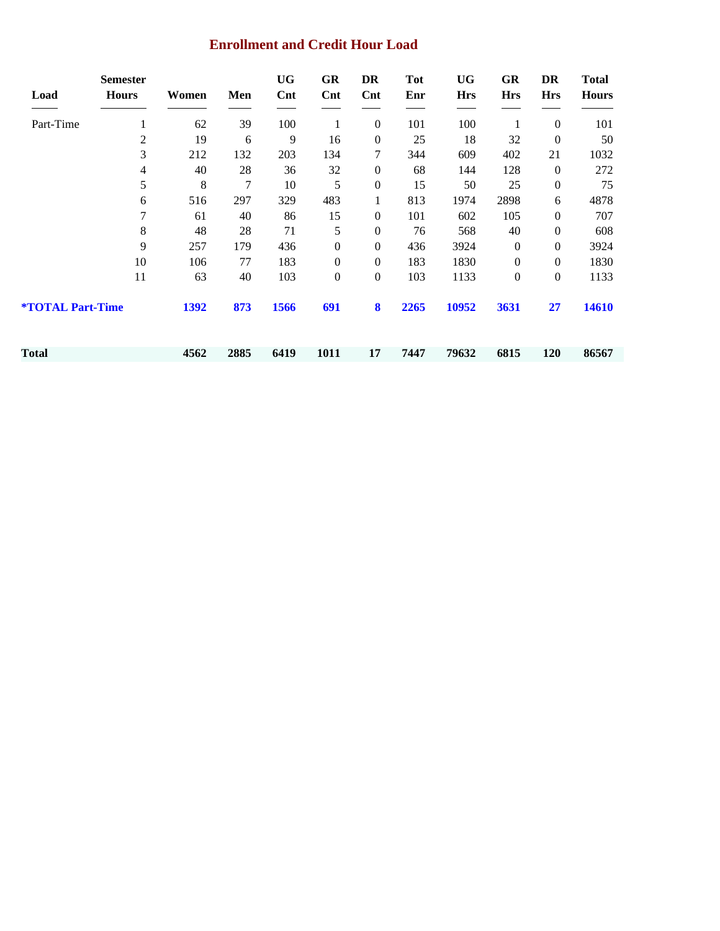#### **Enrollment and Credit Hour Load**

| Load                           | <b>Semester</b><br><b>Hours</b> | Women | Men  | UG<br>$\mathbf{Cnt}$ | GR<br>Cnt        | DR<br>$\mathbf{Cnt}$ | Tot<br>Enr | UG<br><b>Hrs</b> | GR<br><b>Hrs</b> | DR<br><b>Hrs</b> | <b>Total</b><br><b>Hours</b> |
|--------------------------------|---------------------------------|-------|------|----------------------|------------------|----------------------|------------|------------------|------------------|------------------|------------------------------|
| Part-Time                      | 1                               | 62    | 39   | 100                  | 1                | $\boldsymbol{0}$     | 101        | 100              |                  | $\boldsymbol{0}$ | 101                          |
|                                | $\overline{c}$                  | 19    | 6    | 9                    | 16               | $\boldsymbol{0}$     | 25         | 18               | 32               | $\boldsymbol{0}$ | 50                           |
|                                | 3                               | 212   | 132  | 203                  | 134              | 7                    | 344        | 609              | 402              | 21               | 1032                         |
|                                | 4                               | 40    | 28   | 36                   | 32               | $\boldsymbol{0}$     | 68         | 144              | 128              | $\mathbf{0}$     | 272                          |
|                                | 5                               | 8     | 7    | 10                   | 5                | $\boldsymbol{0}$     | 15         | 50               | 25               | $\boldsymbol{0}$ | 75                           |
|                                | 6                               | 516   | 297  | 329                  | 483              | 1                    | 813        | 1974             | 2898             | 6                | 4878                         |
|                                | 7                               | 61    | 40   | 86                   | 15               | $\boldsymbol{0}$     | 101        | 602              | 105              | $\boldsymbol{0}$ | 707                          |
|                                | 8                               | 48    | 28   | 71                   | 5                | $\boldsymbol{0}$     | 76         | 568              | 40               | $\boldsymbol{0}$ | 608                          |
|                                | 9                               | 257   | 179  | 436                  | $\boldsymbol{0}$ | $\boldsymbol{0}$     | 436        | 3924             | $\boldsymbol{0}$ | $\boldsymbol{0}$ | 3924                         |
|                                | 10                              | 106   | 77   | 183                  | $\boldsymbol{0}$ | $\overline{0}$       | 183        | 1830             | $\boldsymbol{0}$ | $\boldsymbol{0}$ | 1830                         |
|                                | 11                              | 63    | 40   | 103                  | $\boldsymbol{0}$ | $\boldsymbol{0}$     | 103        | 1133             | $\boldsymbol{0}$ | $\boldsymbol{0}$ | 1133                         |
| <i><b>*TOTAL Part-Time</b></i> |                                 | 1392  | 873  | 1566                 | 691              | 8                    | 2265       | 10952            | 3631             | 27               | 14610                        |
| Total                          |                                 | 4562  | 2885 | 6419                 | 1011             | 17                   | 7447       | 79632            | 6815             | <b>120</b>       | 86567                        |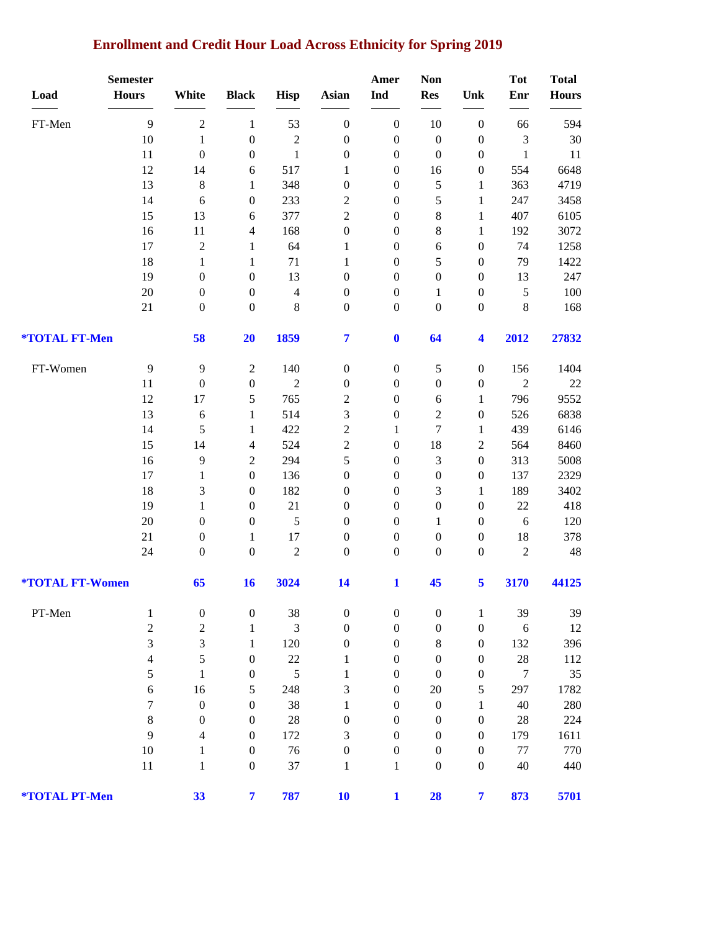### **Enrollment and Credit Hour Load Across Ethnicity for Spring 2019**

| Load                          | <b>Semester</b><br><b>Hours</b> | White                       | <b>Black</b>                         | <b>Hisp</b>                | <b>Asian</b>                         | Amer<br>Ind                          | <b>Non</b><br><b>Res</b>             | Unk                                  | <b>Tot</b><br>Enr              | <b>Total</b><br><b>Hours</b> |
|-------------------------------|---------------------------------|-----------------------------|--------------------------------------|----------------------------|--------------------------------------|--------------------------------------|--------------------------------------|--------------------------------------|--------------------------------|------------------------------|
|                               |                                 |                             |                                      |                            |                                      |                                      |                                      |                                      |                                |                              |
| FT-Men                        | 9                               | $\sqrt{2}$                  | $\,1$                                | 53                         | $\boldsymbol{0}$                     | $\boldsymbol{0}$                     | 10                                   | $\boldsymbol{0}$                     | 66                             | 594                          |
|                               | 10<br>11                        | $\,1$<br>$\boldsymbol{0}$   | $\boldsymbol{0}$<br>$\boldsymbol{0}$ | $\sqrt{2}$<br>$\mathbf{1}$ | $\boldsymbol{0}$<br>$\boldsymbol{0}$ | $\boldsymbol{0}$                     | $\boldsymbol{0}$<br>$\boldsymbol{0}$ | $\boldsymbol{0}$<br>$\boldsymbol{0}$ | $\mathfrak{Z}$<br>$\mathbf{1}$ | 30<br>11                     |
|                               | 12                              | 14                          |                                      | 517                        | 1                                    | $\boldsymbol{0}$<br>$\boldsymbol{0}$ | 16                                   | $\boldsymbol{0}$                     | 554                            | 6648                         |
|                               | 13                              | $\,8\,$                     | 6<br>$\mathbf{1}$                    | 348                        | $\boldsymbol{0}$                     | $\boldsymbol{0}$                     | 5                                    | $\mathbf{1}$                         | 363                            | 4719                         |
|                               | 14                              | 6                           | $\boldsymbol{0}$                     | 233                        | $\overline{c}$                       | $\boldsymbol{0}$                     | 5                                    | $\mathbf{1}$                         | 247                            | 3458                         |
|                               | 15                              | 13                          | $\epsilon$                           | 377                        | $\overline{2}$                       | $\boldsymbol{0}$                     | 8                                    | $\mathbf{1}$                         | 407                            | 6105                         |
|                               | 16                              | $11\,$                      | 4                                    | 168                        | $\boldsymbol{0}$                     | $\boldsymbol{0}$                     | 8                                    | $\mathbf{1}$                         | 192                            | 3072                         |
|                               | 17                              | $\sqrt{2}$                  | $\mathbf{1}$                         | 64                         | $\mathbf{1}$                         | $\boldsymbol{0}$                     | 6                                    | $\boldsymbol{0}$                     | 74                             | 1258                         |
|                               | 18                              | $\mathbf{1}$                | $\mathbf{1}$                         | 71                         | $\mathbf{1}$                         | $\boldsymbol{0}$                     | 5                                    | $\boldsymbol{0}$                     | 79                             | 1422                         |
|                               | 19                              | $\boldsymbol{0}$            | $\boldsymbol{0}$                     | 13                         | $\boldsymbol{0}$                     | $\boldsymbol{0}$                     | $\boldsymbol{0}$                     | $\boldsymbol{0}$                     | 13                             | 247                          |
|                               | $20\,$                          | $\boldsymbol{0}$            | $\boldsymbol{0}$                     | $\overline{4}$             | $\boldsymbol{0}$                     | $\boldsymbol{0}$                     | 1                                    | $\boldsymbol{0}$                     | $\sqrt{5}$                     | 100                          |
|                               | 21                              | $\boldsymbol{0}$            | $\boldsymbol{0}$                     | $\,8\,$                    | $\boldsymbol{0}$                     | $\boldsymbol{0}$                     | $\boldsymbol{0}$                     | $\boldsymbol{0}$                     | $\,8\,$                        | 168                          |
| *TOTAL FT-Men                 |                                 | 58                          | 20                                   | 1859                       | $\overline{\mathbf{7}}$              | $\boldsymbol{0}$                     | 64                                   | $\overline{\mathbf{4}}$              | 2012                           | 27832                        |
| FT-Women                      | 9                               | $\mathbf{9}$                | $\sqrt{2}$                           | 140                        | $\boldsymbol{0}$                     | $\boldsymbol{0}$                     | 5                                    | $\boldsymbol{0}$                     | 156                            | 1404                         |
|                               | 11                              | $\boldsymbol{0}$            | $\boldsymbol{0}$                     | $\overline{2}$             | $\boldsymbol{0}$                     | $\boldsymbol{0}$                     | $\boldsymbol{0}$                     | $\boldsymbol{0}$                     | $\overline{2}$                 | $22\,$                       |
|                               | 12                              | 17                          | 5                                    | 765                        | $\overline{c}$                       | $\boldsymbol{0}$                     | 6                                    | $\mathbf{1}$                         | 796                            | 9552                         |
|                               | 13                              | $\sqrt{6}$                  | $\mathbf{1}$                         | 514                        | 3                                    | $\boldsymbol{0}$                     | $\overline{c}$                       | $\boldsymbol{0}$                     | 526                            | 6838                         |
|                               | 14                              | $\sqrt{5}$                  | $\mathbf{1}$                         | 422                        | $\overline{c}$                       | $\mathbf{1}$                         | $\overline{7}$                       | $\mathbf{1}$                         | 439                            | 6146                         |
|                               | 15                              | 14                          | 4                                    | 524                        | $\overline{c}$                       | $\boldsymbol{0}$                     | 18                                   | $\sqrt{2}$                           | 564                            | 8460                         |
|                               | 16                              | $\overline{9}$              | $\boldsymbol{2}$                     | 294                        | 5                                    | $\boldsymbol{0}$                     | 3                                    | $\boldsymbol{0}$                     | 313                            | 5008                         |
|                               | 17                              | $\mathbf{1}$                | $\boldsymbol{0}$                     | 136                        | $\boldsymbol{0}$                     | $\boldsymbol{0}$                     | $\boldsymbol{0}$                     | $\boldsymbol{0}$                     | 137                            | 2329                         |
|                               | 18                              | 3                           | $\boldsymbol{0}$                     | 182                        | $\boldsymbol{0}$                     | $\boldsymbol{0}$                     | 3                                    | 1                                    | 189                            | 3402                         |
|                               | 19                              | $\mathbf{1}$                | $\boldsymbol{0}$                     | 21                         | $\boldsymbol{0}$                     | $\boldsymbol{0}$                     | $\boldsymbol{0}$                     | $\boldsymbol{0}$                     | 22                             | 418                          |
|                               | 20                              | $\boldsymbol{0}$            | $\boldsymbol{0}$                     | $\sqrt{5}$                 | $\boldsymbol{0}$                     | $\boldsymbol{0}$                     | $\mathbf{1}$                         | $\boldsymbol{0}$                     | 6                              | 120                          |
|                               | 21                              | $\boldsymbol{0}$            | $\mathbf{1}$                         | 17                         | $\boldsymbol{0}$                     | $\boldsymbol{0}$                     | $\boldsymbol{0}$                     | $\boldsymbol{0}$                     | 18                             | 378                          |
|                               | 24                              | $\boldsymbol{0}$            | $\boldsymbol{0}$                     | $\sqrt{2}$                 | $\boldsymbol{0}$                     | $\boldsymbol{0}$                     | $\boldsymbol{0}$                     | $\boldsymbol{0}$                     | $\sqrt{2}$                     | $\sqrt{48}$                  |
| <b><i>*TOTAL FT-Women</i></b> |                                 | 65                          | 16                                   | 3024                       | 14                                   | $\mathbf{1}$                         | 45                                   | 5                                    | 3170                           | 44125                        |
| PT-Men                        | $\mathbf{1}$                    | $\boldsymbol{0}$            | $\boldsymbol{0}$                     | 38                         | $\boldsymbol{0}$                     | $\boldsymbol{0}$                     | $\boldsymbol{0}$                     | $\mathbf{1}$                         | 39                             | 39                           |
|                               | $\sqrt{2}$                      | $\overline{c}$              | $\mathbf{1}$                         | 3                          | $\boldsymbol{0}$                     | $\boldsymbol{0}$                     | $\boldsymbol{0}$                     | $\boldsymbol{0}$                     | 6                              | 12                           |
|                               | 3                               | $\ensuremath{\mathfrak{Z}}$ | $\mathbf{1}$                         | 120                        | $\boldsymbol{0}$                     | $\boldsymbol{0}$                     | 8                                    | $\boldsymbol{0}$                     | 132                            | 396                          |
|                               | $\overline{4}$                  | $\sqrt{5}$                  | $\boldsymbol{0}$                     | 22                         | 1                                    | $\boldsymbol{0}$                     | $\boldsymbol{0}$                     | $\boldsymbol{0}$                     | $28\,$                         | 112                          |
|                               | 5                               | $\mathbf{1}$                | $\boldsymbol{0}$                     | 5                          | $\mathbf{1}$                         | $\boldsymbol{0}$                     | $\boldsymbol{0}$                     | $\boldsymbol{0}$                     | $\overline{7}$                 | 35                           |
|                               | 6                               | 16                          | 5                                    | 248                        | 3                                    | $\boldsymbol{0}$                     | $20\,$                               | $\mathfrak s$                        | 297                            | 1782                         |
|                               | 7                               | $\boldsymbol{0}$            | $\boldsymbol{0}$                     | 38                         | $\mathbf{1}$                         | $\boldsymbol{0}$                     | $\boldsymbol{0}$                     | $\mathbf{1}$                         | 40                             | 280                          |
|                               | $\,8\,$                         | $\boldsymbol{0}$            | $\boldsymbol{0}$                     | 28                         | $\boldsymbol{0}$                     | $\boldsymbol{0}$                     | $\boldsymbol{0}$                     | $\boldsymbol{0}$                     | $28\,$                         | 224                          |
|                               | 9                               | 4                           | $\boldsymbol{0}$                     | 172                        | 3                                    | $\boldsymbol{0}$                     | $\boldsymbol{0}$                     | $\boldsymbol{0}$                     | 179                            | 1611                         |
|                               | 10                              | $\mathbf{1}$                | $\boldsymbol{0}$                     | 76                         | $\boldsymbol{0}$                     | $\boldsymbol{0}$                     | $\boldsymbol{0}$                     | $\boldsymbol{0}$                     | $77 \,$                        | 770                          |
|                               | 11                              | 1                           | $\boldsymbol{0}$                     | 37                         | 1                                    | 1                                    | $\boldsymbol{0}$                     | $\boldsymbol{0}$                     | 40                             | 440                          |
| *TOTAL PT-Men                 |                                 | 33                          | $\overline{\mathbf{7}}$              | 787                        | 10                                   | $\mathbf{1}$                         | 28                                   | $\overline{7}$                       | 873                            | 5701                         |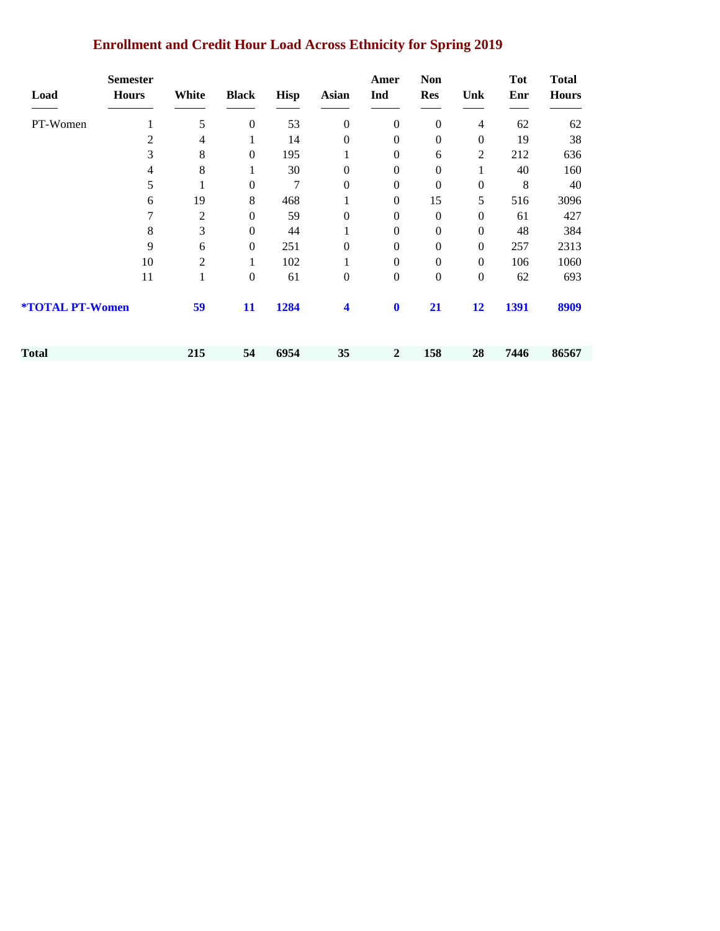| <b>Enrollment and Credit Hour Load Across Ethnicity for Spring 2019</b> |  |  |
|-------------------------------------------------------------------------|--|--|
|                                                                         |  |  |

| Load                   | <b>Semester</b><br><b>Hours</b> | White          | <b>Black</b>     | <b>Hisp</b> | <b>Asian</b>         | Amer<br>Ind      | <b>Non</b><br><b>Res</b> | Unk              | <b>Tot</b><br>Enr | <b>Total</b><br><b>Hours</b> |
|------------------------|---------------------------------|----------------|------------------|-------------|----------------------|------------------|--------------------------|------------------|-------------------|------------------------------|
| PT-Women               | $\mathbf{1}$                    | $\sqrt{5}$     | $\boldsymbol{0}$ | 53          | $\boldsymbol{0}$     | $\boldsymbol{0}$ | $\boldsymbol{0}$         | $\overline{4}$   | 62                | 62                           |
|                        | 2                               | 4              | 1                | 14          | $\boldsymbol{0}$     | $\boldsymbol{0}$ | $\boldsymbol{0}$         | $\boldsymbol{0}$ | 19                | 38                           |
|                        | 3                               | 8              | $\mathbf{0}$     | 195         |                      | $\boldsymbol{0}$ | 6                        | $\overline{2}$   | 212               | 636                          |
|                        | $\overline{\mathcal{A}}$        | 8              |                  | 30          | $\mathbf{0}$         | $\overline{0}$   | $\boldsymbol{0}$         | 1                | 40                | 160                          |
|                        | 5                               |                | $\boldsymbol{0}$ | $\tau$      | $\mathbf{0}$         | $\overline{0}$   | $\mathbf{0}$             | $\overline{0}$   | 8                 | 40                           |
|                        | 6                               | 19             | 8                | 468         | 1                    | $\boldsymbol{0}$ | 15                       | 5                | 516               | 3096                         |
|                        | $\overline{7}$                  | $\mathbf{2}$   | $\boldsymbol{0}$ | 59          | $\mathbf{0}$         | $\boldsymbol{0}$ | $\boldsymbol{0}$         | $\boldsymbol{0}$ | 61                | 427                          |
|                        | 8                               | 3              | $\overline{0}$   | 44          | $\bf{I}$             | $\boldsymbol{0}$ | $\overline{0}$           | $\overline{0}$   | 48                | 384                          |
|                        | 9                               | 6              | $\boldsymbol{0}$ | 251         | $\boldsymbol{0}$     | $\boldsymbol{0}$ | $\boldsymbol{0}$         | $\boldsymbol{0}$ | 257               | 2313                         |
|                        | 10                              | $\overline{2}$ | 1                | 102         | 1                    | $\boldsymbol{0}$ | $\boldsymbol{0}$         | $\boldsymbol{0}$ | 106               | 1060                         |
|                        | 11                              | 1              | $\boldsymbol{0}$ | 61          | $\boldsymbol{0}$     | $\overline{0}$   | $\boldsymbol{0}$         | $\boldsymbol{0}$ | 62                | 693                          |
| <b>*TOTAL PT-Women</b> |                                 | 59             | 11               | 1284        | $\blacktriangleleft$ | $\mathbf 0$      | 21                       | 12               | 1391              | 8909                         |
| <b>Total</b>           |                                 | 215            | 54               | 6954        | 35                   | $\overline{2}$   | 158                      | 28               | 7446              | 86567                        |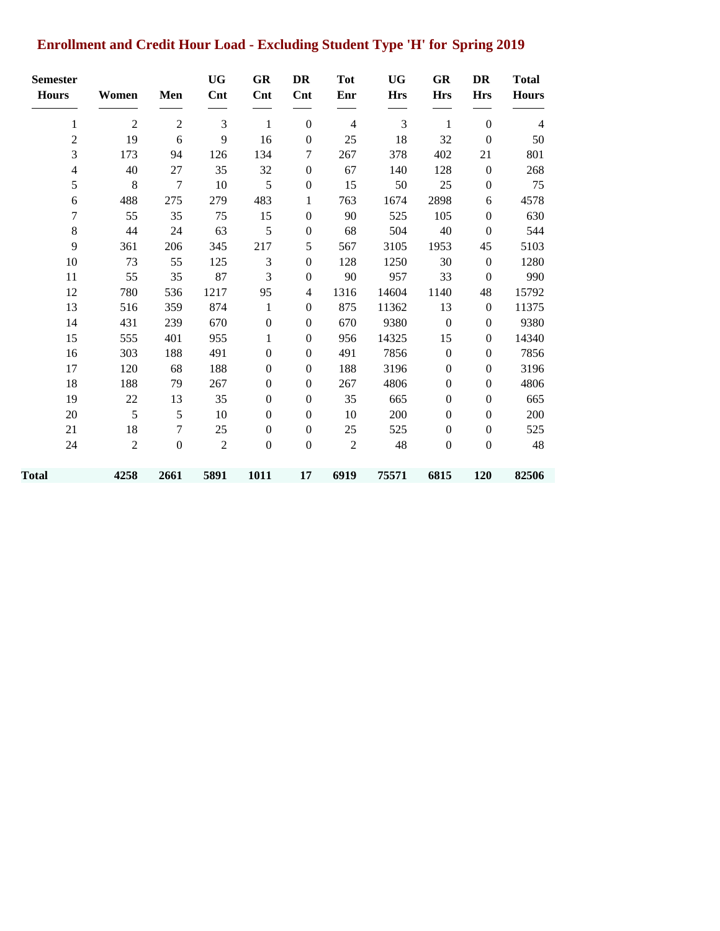## **Enrollment and Credit Hour Load - Excluding Student Type 'H' for Spring 2019**

| <b>Semester</b><br><b>Hours</b> | Women          | Men              | <b>UG</b><br>Cnt | <b>GR</b><br>Cnt | <b>DR</b><br>Cnt | <b>Tot</b><br>Enr | <b>UG</b><br><b>Hrs</b> | <b>GR</b><br><b>Hrs</b> | DR<br><b>Hrs</b> | <b>Total</b><br><b>Hours</b> |
|---------------------------------|----------------|------------------|------------------|------------------|------------------|-------------------|-------------------------|-------------------------|------------------|------------------------------|
|                                 | $\overline{2}$ | $\sqrt{2}$       | 3                | $\mathbf{1}$     | $\boldsymbol{0}$ | $\overline{4}$    | 3                       | 1                       | $\boldsymbol{0}$ | $\overline{4}$               |
| 1                               |                |                  |                  |                  |                  |                   |                         |                         |                  |                              |
| $\overline{c}$                  | 19             | 6                | 9                | 16               | $\boldsymbol{0}$ | 25                | 18                      | 32                      | $\mathbf{0}$     | 50                           |
| 3                               | 173            | 94               | 126              | 134              | 7                | 267               | 378                     | 402                     | 21               | 801                          |
| $\overline{4}$                  | 40             | 27               | 35               | 32               | $\boldsymbol{0}$ | 67                | 140                     | 128                     | $\boldsymbol{0}$ | 268                          |
| 5                               | 8              | $\overline{7}$   | 10               | 5                | $\boldsymbol{0}$ | 15                | 50                      | 25                      | $\boldsymbol{0}$ | 75                           |
| 6                               | 488            | 275              | 279              | 483              | 1                | 763               | 1674                    | 2898                    | 6                | 4578                         |
| 7                               | 55             | 35               | 75               | 15               | $\mathbf{0}$     | 90                | 525                     | 105                     | $\overline{0}$   | 630                          |
| $\,8\,$                         | 44             | 24               | 63               | 5                | $\boldsymbol{0}$ | 68                | 504                     | 40                      | $\mathbf{0}$     | 544                          |
| 9                               | 361            | 206              | 345              | 217              | 5                | 567               | 3105                    | 1953                    | 45               | 5103                         |
| 10                              | 73             | 55               | 125              | 3                | $\boldsymbol{0}$ | 128               | 1250                    | 30                      | $\boldsymbol{0}$ | 1280                         |
| 11                              | 55             | 35               | 87               | 3                | $\boldsymbol{0}$ | 90                | 957                     | 33                      | $\mathbf{0}$     | 990                          |
| 12                              | 780            | 536              | 1217             | 95               | 4                | 1316              | 14604                   | 1140                    | 48               | 15792                        |
| 13                              | 516            | 359              | 874              | 1                | $\boldsymbol{0}$ | 875               | 11362                   | 13                      | $\mathbf{0}$     | 11375                        |
| 14                              | 431            | 239              | 670              | $\boldsymbol{0}$ | $\boldsymbol{0}$ | 670               | 9380                    | $\boldsymbol{0}$        | $\boldsymbol{0}$ | 9380                         |
| 15                              | 555            | 401              | 955              | 1                | $\boldsymbol{0}$ | 956               | 14325                   | 15                      | $\boldsymbol{0}$ | 14340                        |
| 16                              | 303            | 188              | 491              | $\theta$         | $\mathbf{0}$     | 491               | 7856                    | $\boldsymbol{0}$        | $\mathbf{0}$     | 7856                         |
| 17                              | 120            | 68               | 188              | $\theta$         | $\mathbf{0}$     | 188               | 3196                    | $\boldsymbol{0}$        | $\overline{0}$   | 3196                         |
| 18                              | 188            | 79               | 267              | $\theta$         | $\mathbf{0}$     | 267               | 4806                    | $\overline{0}$          | $\overline{0}$   | 4806                         |
| 19                              | 22             | 13               | 35               | $\boldsymbol{0}$ | $\boldsymbol{0}$ | 35                | 665                     | $\boldsymbol{0}$        | $\boldsymbol{0}$ | 665                          |
| 20                              | 5              | 5                | 10               | $\theta$         | $\theta$         | 10                | 200                     | $\overline{0}$          | $\mathbf{0}$     | 200                          |
| 21                              | 18             | 7                | 25               | $\overline{0}$   | $\boldsymbol{0}$ | 25                | 525                     | $\boldsymbol{0}$        | $\boldsymbol{0}$ | 525                          |
| 24                              | $\overline{2}$ | $\boldsymbol{0}$ | $\overline{2}$   | $\boldsymbol{0}$ | $\mathbf{0}$     | $\overline{2}$    | 48                      | $\boldsymbol{0}$        | $\mathbf{0}$     | 48                           |
| Total                           | 4258           | 2661             | 5891             | 1011             | 17               | 6919              | 75571                   | 6815                    | 120              | 82506                        |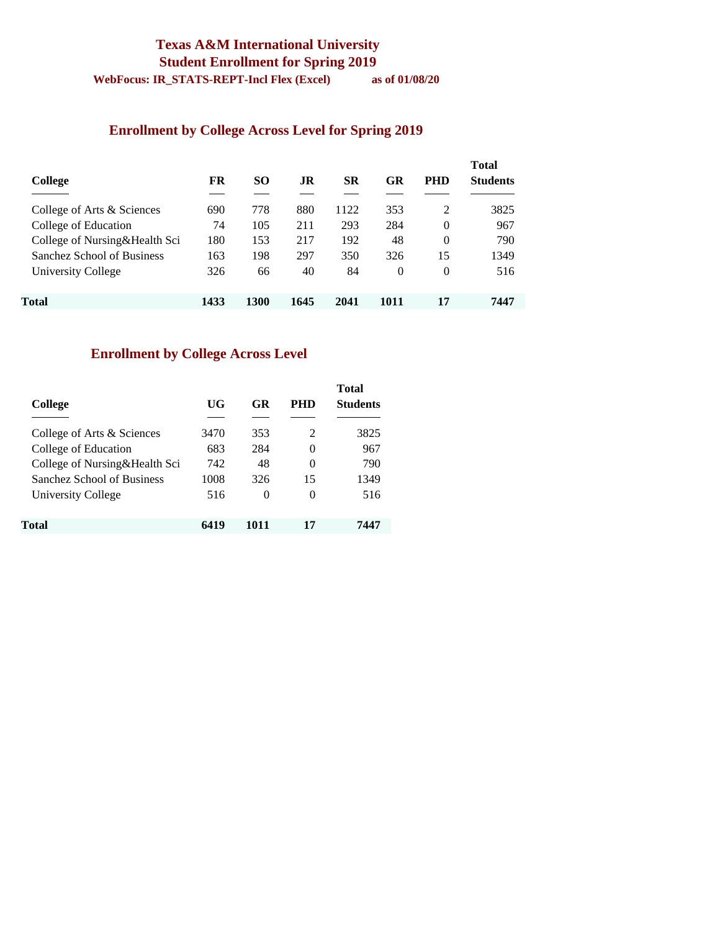#### **Texas A&M International University Student Enrollment for Spring 2019 WebFocus: IR\_STATS-REPT-Incl Flex (Excel) as of 01/08/20**

**Enrollment by College Across Level for Spring 2019**

| College                       | FR   | SO.  | .IR  | SR   | GR   | <b>PHD</b> | <b>Total</b><br><b>Students</b> |
|-------------------------------|------|------|------|------|------|------------|---------------------------------|
| College of Arts & Sciences    | 690  | 778  | 880  | 1122 | 353  | 2          | 3825                            |
| College of Education          | 74   | 105  | 211  | 293  | 284  | $\Omega$   | 967                             |
| College of Nursing&Health Sci | 180  | 153  | 217  | 192  | 48   | $\theta$   | 790                             |
| Sanchez School of Business    | 163  | 198  | 297  | 350  | 326  | 15         | 1349                            |
| University College            | 326  | 66   | 40   | 84   | 0    | 0          | 516                             |
| Total                         | 1433 | 1300 | 1645 | 2041 | 1011 | 17         | 7447                            |

#### **Enrollment by College Across Level**

| College                       | UG   | GR       | PHD      | <b>Total</b><br><b>Students</b> |
|-------------------------------|------|----------|----------|---------------------------------|
| College of Arts & Sciences    | 3470 | 353      | 2        | 3825                            |
| College of Education          | 683  | 284      | 0        | 967                             |
| College of Nursing&Health Sci | 742  | 48       | 0        | 790                             |
| Sanchez School of Business    | 1008 | 326      | 15       | 1349                            |
| University College            | 516  | $\theta$ | $\theta$ | 516                             |
| Total                         | 6419 | 1011     | 17       | 7447                            |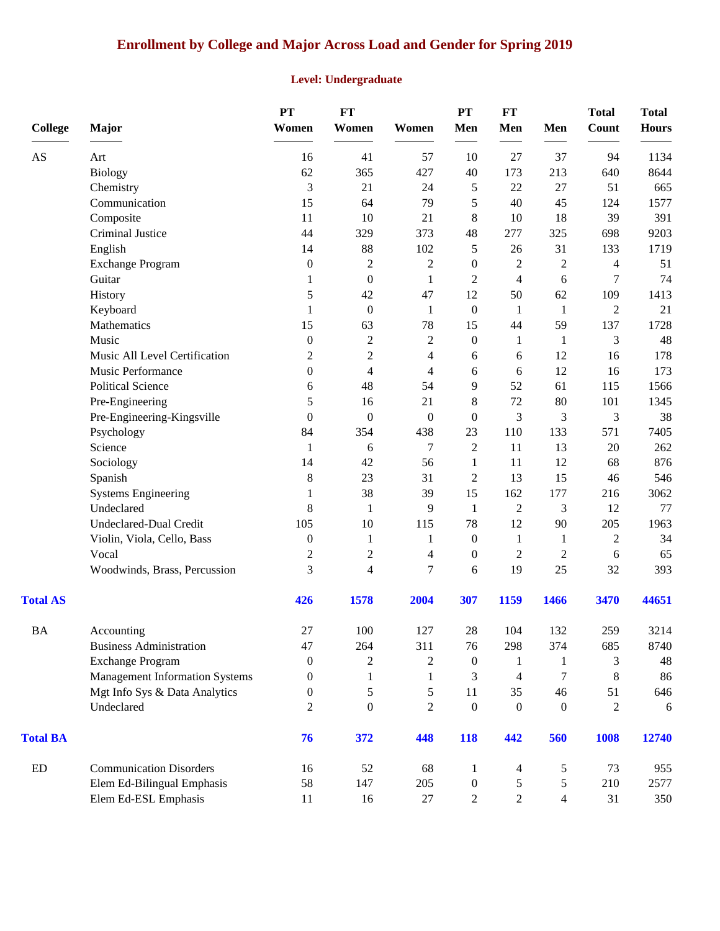### **Enrollment by College and Major Across Load and Gender for Spring 2019**

#### **Level: Undergraduate**

| <b>College</b>  | Major                                 | PT<br>Women      | FT<br>Women      | Women            | PT<br>Men        | <b>FT</b><br>Men | Men            | <b>Total</b><br><b>Count</b> | <b>Total</b><br><b>Hours</b> |
|-----------------|---------------------------------------|------------------|------------------|------------------|------------------|------------------|----------------|------------------------------|------------------------------|
| AS              | Art                                   | 16               | 41               | 57               | 10               | 27               | 37             | 94                           | 1134                         |
|                 | <b>Biology</b>                        | 62               | 365              | 427              | 40               | 173              | 213            | 640                          | 8644                         |
|                 | Chemistry                             | 3                | 21               | 24               | 5                | 22               | 27             | 51                           | 665                          |
|                 | Communication                         | 15               | 64               | 79               | 5                | 40               | 45             | 124                          | 1577                         |
|                 | Composite                             | 11               | 10               | 21               | 8                | 10               | 18             | 39                           | 391                          |
|                 | <b>Criminal Justice</b>               | 44               | 329              | 373              | 48               | 277              | 325            | 698                          | 9203                         |
|                 | English                               | 14               | 88               | 102              | 5                | 26               | 31             | 133                          | 1719                         |
|                 | <b>Exchange Program</b>               | $\mathbf{0}$     | $\boldsymbol{2}$ | $\sqrt{2}$       | $\mathbf{0}$     | $\overline{c}$   | $\mathfrak 2$  | $\overline{4}$               | 51                           |
|                 | Guitar                                | 1                | $\boldsymbol{0}$ | 1                | $\overline{c}$   | $\overline{4}$   | $\sqrt{6}$     | 7                            | 74                           |
|                 | History                               | 5                | 42               | 47               | 12               | 50               | 62             | 109                          | 1413                         |
|                 | Keyboard                              | $\mathbf{1}$     | $\mathbf{0}$     | -1               | $\mathbf{0}$     | $\mathbf{1}$     | $\mathbf{1}$   | $\overline{2}$               | 21                           |
|                 | Mathematics                           | 15               | 63               | 78               | 15               | 44               | 59             | 137                          | 1728                         |
|                 | Music                                 | $\boldsymbol{0}$ | $\sqrt{2}$       | $\mathbf{2}$     | $\boldsymbol{0}$ | $\mathbf{1}$     | 1              | 3                            | 48                           |
|                 | Music All Level Certification         | $\mathfrak{2}$   | $\boldsymbol{2}$ | 4                | 6                | 6                | 12             | 16                           | 178                          |
|                 | Music Performance                     | $\boldsymbol{0}$ | $\overline{4}$   | 4                | 6                | 6                | 12             | 16                           | 173                          |
|                 | <b>Political Science</b>              | 6                | 48               | 54               | 9                | 52               | 61             | 115                          | 1566                         |
|                 | Pre-Engineering                       | 5                | 16               | 21               | 8                | 72               | 80             | 101                          | 1345                         |
|                 | Pre-Engineering-Kingsville            | $\overline{0}$   | $\boldsymbol{0}$ | $\boldsymbol{0}$ | $\boldsymbol{0}$ | 3                | 3              | 3                            | 38                           |
|                 | Psychology                            | 84               | 354              | 438              | 23               | 110              | 133            | 571                          | 7405                         |
|                 | Science                               | 1                | 6                | $\tau$           | $\overline{2}$   | 11               | 13             | $20\,$                       | 262                          |
|                 | Sociology                             | 14               | 42               | 56               | 1                | 11               | 12             | 68                           | 876                          |
|                 | Spanish                               | 8                | 23               | 31               | 2                | 13               | 15             | 46                           | 546                          |
|                 | <b>Systems Engineering</b>            | 1                | 38               | 39               | 15               | 162              | 177            | 216                          | 3062                         |
|                 | Undeclared                            | 8                | 1                | 9                | $\mathbf{1}$     | $\overline{2}$   | 3              | 12                           | 77                           |
|                 | Undeclared-Dual Credit                | 105              | 10               | 115              | 78               | 12               | 90             | 205                          | 1963                         |
|                 | Violin, Viola, Cello, Bass            | $\boldsymbol{0}$ | 1                | 1                | $\boldsymbol{0}$ | 1                | 1              | $\mathfrak{2}$               | 34                           |
|                 | Vocal                                 | $\mathfrak{2}$   | $\mathbf{2}$     | 4                | $\boldsymbol{0}$ | $\overline{2}$   | $\mathfrak 2$  | $\sqrt{6}$                   | 65                           |
|                 | Woodwinds, Brass, Percussion          | 3                | 4                | $\overline{7}$   | 6                | 19               | 25             | 32                           | 393                          |
| <b>Total AS</b> |                                       | 426              | 1578             | 2004             | 307              | 1159             | 1466           | 3470                         | 44651                        |
| <b>BA</b>       | Accounting                            | $27\,$           | 100              | 127              | 28               | 104              | 132            | 259                          | 3214                         |
|                 | <b>Business Administration</b>        | 47               | 264              | 311              | 76               | 298              | 374            | 685                          | 8740                         |
|                 | <b>Exchange Program</b>               | $\mathbf{0}$     | 2                | $\overline{c}$   | $\boldsymbol{0}$ | 1                | 1              | 3                            | 48                           |
|                 | <b>Management Information Systems</b> | $\Omega$         | 1                | 1                | 3                | 4                | 7              | $8\,$                        | 86                           |
|                 | Mgt Info Sys & Data Analytics         | 0                | 5                | 5                | 11               | 35               | 46             | 51                           | 646                          |
|                 | Undeclared                            | 2                | $\mathbf{0}$     | $\overline{2}$   | $\boldsymbol{0}$ | $\mathbf{0}$     | $\mathbf{0}$   | $\overline{c}$               | 6                            |
| <b>Total BA</b> |                                       | 76               | 372              | 448              | <b>118</b>       | 442              | 560            | 1008                         | 12740                        |
| ${\rm ED}$      | <b>Communication Disorders</b>        | 16               | 52               | 68               | 1                | 4                | 5              | 73                           | 955                          |
|                 | Elem Ed-Bilingual Emphasis            | 58               | 147              | 205              | $\boldsymbol{0}$ | 5                | 5              | 210                          | 2577                         |
|                 | Elem Ed-ESL Emphasis                  | 11               | 16               | 27               | $\overline{c}$   | $\overline{2}$   | $\overline{4}$ | 31                           | 350                          |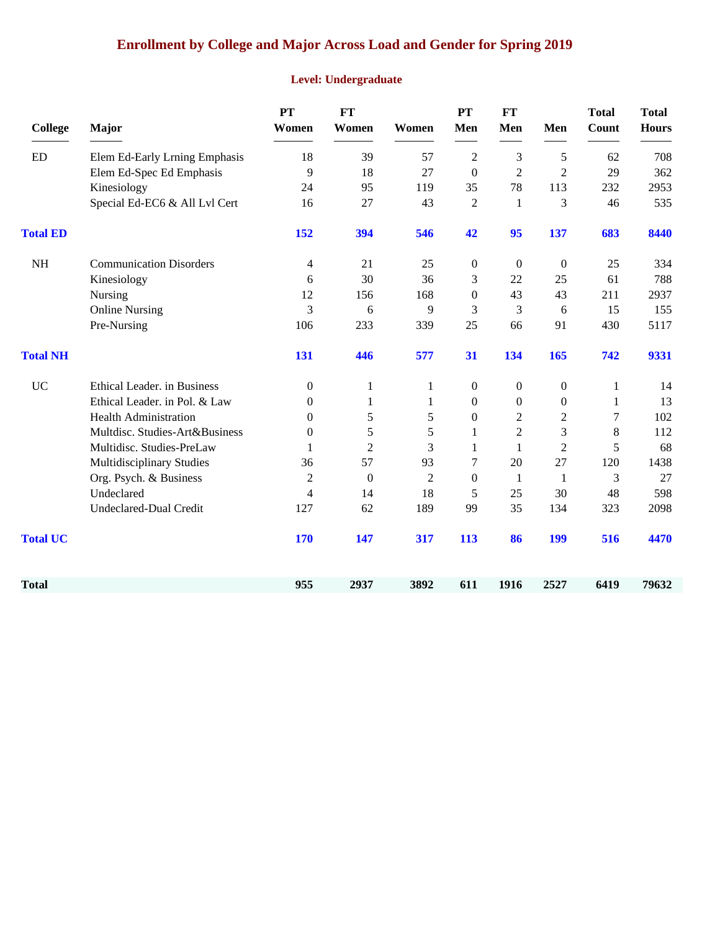## **Enrollment by College and Major Across Load and Gender for Spring 2019**

#### **Level: Undergraduate**

| <b>College</b>  | Major                          | PT<br>Women      | <b>FT</b><br>Women | Women          | <b>PT</b><br>Men | <b>FT</b><br>Men | Men              | <b>Total</b><br>Count | <b>Total</b><br><b>Hours</b> |
|-----------------|--------------------------------|------------------|--------------------|----------------|------------------|------------------|------------------|-----------------------|------------------------------|
| ED              | Elem Ed-Early Lrning Emphasis  | 18               | 39                 | 57             | $\overline{c}$   | 3                | 5                | 62                    | 708                          |
|                 | Elem Ed-Spec Ed Emphasis       | 9                | 18                 | 27             | $\mathbf{0}$     | $\overline{2}$   | $\overline{2}$   | 29                    | 362                          |
|                 | Kinesiology                    | 24               | 95                 | 119            | 35               | 78               | 113              | 232                   | 2953                         |
|                 | Special Ed-EC6 & All Lvl Cert  | 16               | 27                 | 43             | $\overline{2}$   | 1                | 3                | 46                    | 535                          |
| <b>Total ED</b> |                                | 152              | 394                | 546            | 42               | 95               | 137              | 683                   | 8440                         |
| <b>NH</b>       | <b>Communication Disorders</b> | 4                | 21                 | 25             | $\theta$         | $\overline{0}$   | $\overline{0}$   | 25                    | 334                          |
|                 | Kinesiology                    | 6                | 30                 | 36             | 3                | 22               | 25               | 61                    | 788                          |
|                 | Nursing                        | 12               | 156                | 168            | $\theta$         | 43               | 43               | 211                   | 2937                         |
|                 | <b>Online Nursing</b>          | 3                | 6                  | 9              | 3                | 3                | 6                | 15                    | 155                          |
|                 | Pre-Nursing                    | 106              | 233                | 339            | 25               | 66               | 91               | 430                   | 5117                         |
| <b>Total NH</b> |                                | 131              | 446                | 577            | 31               | 134              | 165              | 742                   | 9331                         |
| <b>UC</b>       | Ethical Leader. in Business    | $\theta$         | 1                  | 1              | $\Omega$         | $\mathbf{0}$     | $\boldsymbol{0}$ | $\mathbf{1}$          | 14                           |
|                 | Ethical Leader. in Pol. & Law  | $\overline{0}$   | 1                  | 1              | $\Omega$         | $\boldsymbol{0}$ | $\boldsymbol{0}$ | 1                     | 13                           |
|                 | <b>Health Administration</b>   | 0                | $\mathfrak s$      | 5              | $\theta$         | $\overline{c}$   | 2                | 7                     | 102                          |
|                 | Multdisc. Studies-Art&Business | $\boldsymbol{0}$ | 5                  | 5              | 1                | $\overline{2}$   | 3                | 8                     | 112                          |
|                 | Multidisc. Studies-PreLaw      | 1                | $\overline{2}$     | 3              | 1                | $\mathbf{1}$     | $\overline{2}$   | 5                     | 68                           |
|                 | Multidisciplinary Studies      | 36               | 57                 | 93             | 7                | 20               | 27               | 120                   | 1438                         |
|                 | Org. Psych. & Business         | $\overline{c}$   | $\boldsymbol{0}$   | $\overline{2}$ | $\theta$         | -1               | 1                | 3                     | 27                           |
|                 | Undeclared                     | 4                | 14                 | 18             | 5                | 25               | 30               | 48                    | 598                          |
|                 | <b>Undeclared-Dual Credit</b>  | 127              | 62                 | 189            | 99               | 35               | 134              | 323                   | 2098                         |
| <b>Total UC</b> |                                | <b>170</b>       | 147                | 317            | 113              | 86               | 199              | 516                   | 4470                         |
| Total           |                                | 955              | 2937               | 3892           | 611              | 1916             | 2527             | 6419                  | 79632                        |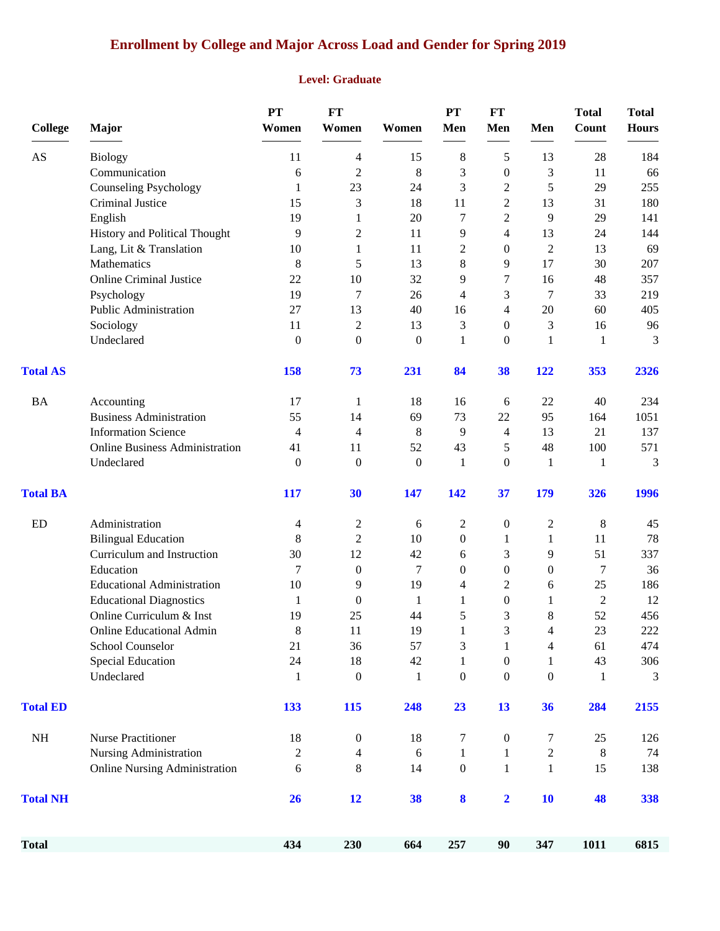## **Enrollment by College and Major Across Load and Gender for Spring 2019**

#### **Level: Graduate**

| <b>College</b>  | Major                                 | <b>PT</b><br>Women | <b>FT</b><br>Women       | Women            | PT<br>Men        | <b>FT</b><br>Men        | Men              | <b>Total</b><br>Count | <b>Total</b><br><b>Hours</b> |
|-----------------|---------------------------------------|--------------------|--------------------------|------------------|------------------|-------------------------|------------------|-----------------------|------------------------------|
|                 |                                       |                    |                          |                  |                  |                         |                  |                       |                              |
| AS              | <b>Biology</b>                        | 11                 | 4                        | 15               | 8                | 5                       | 13               | 28                    | 184                          |
|                 | Communication                         | 6                  | $\overline{2}$           | 8                | 3                | $\boldsymbol{0}$        | 3                | 11                    | 66                           |
|                 | <b>Counseling Psychology</b>          | $\mathbf{1}$       | 23                       | 24               | 3                | $\overline{c}$          | 5                | 29                    | 255                          |
|                 | Criminal Justice                      | 15                 | 3                        | 18               | 11               | $\overline{c}$          | 13               | 31                    | 180                          |
|                 | English                               | 19                 | $\mathbf{1}$             | 20               | 7                | $\overline{c}$          | 9                | 29                    | 141                          |
|                 | History and Political Thought         | 9                  | $\mathfrak{2}$           | 11               | 9                | 4                       | 13               | 24                    | 144                          |
|                 | Lang, Lit & Translation               | 10                 | 1                        | 11               | $\overline{c}$   | $\overline{0}$          | $\overline{2}$   | 13                    | 69                           |
|                 | Mathematics                           | 8                  | 5                        | 13               | 8                | 9                       | 17               | 30                    | 207                          |
|                 | <b>Online Criminal Justice</b>        | 22                 | 10                       | 32               | 9                | 7                       | 16               | 48                    | 357                          |
|                 | Psychology                            | 19                 | 7                        | 26               | 4                | 3                       | 7                | 33                    | 219                          |
|                 | Public Administration                 | 27                 | 13                       | 40               | 16               | $\overline{4}$          | 20               | 60                    | 405                          |
|                 | Sociology                             | 11                 | $\overline{2}$           | 13               | 3                | $\overline{0}$          | 3                | 16                    | 96                           |
|                 | Undeclared                            | $\boldsymbol{0}$   | $\boldsymbol{0}$         | $\boldsymbol{0}$ | 1                | $\mathbf{0}$            | 1                | 1                     | 3                            |
| <b>Total AS</b> |                                       | 158                | 73                       | 231              | 84               | 38                      | 122              | 353                   | 2326                         |
| <b>BA</b>       | Accounting                            | 17                 | $\mathbf{1}$             | 18               | 16               | 6                       | 22               | 40                    | 234                          |
|                 | <b>Business Administration</b>        | 55                 | 14                       | 69               | 73               | 22                      | 95               | 164                   | 1051                         |
|                 | <b>Information Science</b>            | 4                  | $\overline{\mathcal{A}}$ | 8                | 9                | 4                       | 13               | 21                    | 137                          |
|                 | <b>Online Business Administration</b> | 41                 | 11                       | 52               | 43               | 5                       | 48               | 100                   | 571                          |
|                 | Undeclared                            | $\boldsymbol{0}$   | $\boldsymbol{0}$         | $\boldsymbol{0}$ | 1                | $\theta$                | 1                | 1                     | 3                            |
| <b>Total BA</b> |                                       | 117                | 30                       | 147              | 142              | 37                      | 179              | 326                   | 1996                         |
| ED              | Administration                        | 4                  | $\overline{c}$           | 6                | $\overline{c}$   | $\boldsymbol{0}$        | 2                | 8                     | 45                           |
|                 | <b>Bilingual Education</b>            | 8                  | $\mathfrak{2}$           | 10               | $\theta$         | 1                       | 1                | 11                    | 78                           |
|                 | Curriculum and Instruction            | 30                 | 12                       | 42               | 6                | 3                       | 9                | 51                    | 337                          |
|                 | Education                             | 7                  | $\boldsymbol{0}$         | $\tau$           | $\theta$         | $\boldsymbol{0}$        | $\boldsymbol{0}$ | 7                     | 36                           |
|                 | <b>Educational Administration</b>     | 10                 | 9                        | 19               | 4                | 2                       | 6                | 25                    | 186                          |
|                 | <b>Educational Diagnostics</b>        | 1                  | $\boldsymbol{0}$         | 1                | 1                | $\boldsymbol{0}$        | 1                | $\overline{2}$        | 12                           |
|                 | Online Curriculum & Inst              | 19                 | 25                       | 44               | 5                | 3                       | 8                | 52                    | 456                          |
|                 | <b>Online Educational Admin</b>       | 8                  | 11                       | 19               | $\mathbf{1}$     | 3                       | $\Delta$         | 23                    | $222\,$                      |
|                 | School Counselor                      | 21                 | 36                       | 57               | 3                | 1                       | 4                | 61                    | 474                          |
|                 | <b>Special Education</b>              | 24                 | 18                       | 42               | $\mathbf{1}$     | $\boldsymbol{0}$        | 1                | 43                    | 306                          |
|                 | Undeclared                            | $\mathbf{1}$       | $\boldsymbol{0}$         | $\mathbf{1}$     | $\boldsymbol{0}$ | $\boldsymbol{0}$        | $\boldsymbol{0}$ | $\mathbf{1}$          | 3                            |
| <b>Total ED</b> |                                       | 133                | 115                      | 248              | 23               | 13                      | 36               | 284                   | 2155                         |
| $\rm NH$        | <b>Nurse Practitioner</b>             | 18                 | $\boldsymbol{0}$         | 18               | 7                | $\boldsymbol{0}$        | 7                | 25                    | 126                          |
|                 | Nursing Administration                | $\overline{c}$     | $\overline{4}$           | 6                | $\mathbf{1}$     | 1                       | $\overline{c}$   | $\,8\,$               | 74                           |
|                 | <b>Online Nursing Administration</b>  | 6                  | $\,8\,$                  | 14               | $\boldsymbol{0}$ | $\mathbf{1}$            | $\mathbf{1}$     | 15                    | 138                          |
| <b>Total NH</b> |                                       | 26                 | 12                       | 38               | 8                | $\overline{\mathbf{2}}$ | <b>10</b>        | 48                    | 338                          |
| <b>Total</b>    |                                       | 434                | 230                      | 664              | 257              | 90                      | 347              | 1011                  | 6815                         |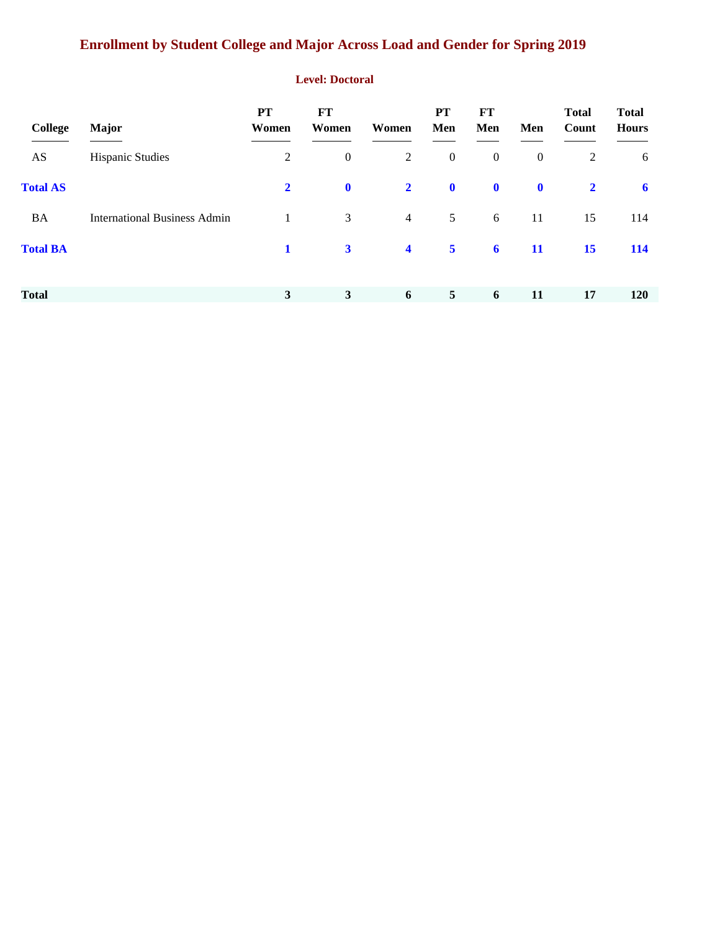## **Enrollment by Student College and Major Across Load and Gender for Spring 2019**

#### **Level: Doctoral**

| College         | <b>Major</b>                        | PT<br>Women    | <b>FT</b><br>Women | Women                   | <b>PT</b><br>Men        | <b>FT</b><br>Men | Men              | <b>Total</b><br>Count | <b>Total</b><br><b>Hours</b> |
|-----------------|-------------------------------------|----------------|--------------------|-------------------------|-------------------------|------------------|------------------|-----------------------|------------------------------|
| AS              | <b>Hispanic Studies</b>             | $\overline{2}$ | $\boldsymbol{0}$   | 2                       | $\mathbf{0}$            | $\boldsymbol{0}$ | $\boldsymbol{0}$ | 2                     | 6                            |
| <b>Total AS</b> |                                     | $\overline{2}$ | $\mathbf 0$        | $\overline{2}$          | $\mathbf 0$             | $\mathbf 0$      | $\mathbf 0$      | $\overline{2}$        | $\mathbf{6}$                 |
| BA              | <b>International Business Admin</b> | $\mathbf{1}$   | 3                  | $\overline{4}$          | $5\overline{)}$         | 6                | 11               | 15                    | 114                          |
| <b>Total BA</b> |                                     | 1              | $\mathbf{3}$       | $\overline{\mathbf{4}}$ | $\overline{\mathbf{5}}$ | $\boldsymbol{6}$ | <b>11</b>        | 15                    | 114                          |
| <b>Total</b>    |                                     | 3              | $\mathbf{3}$       | 6                       | 5                       | 6                | 11               | 17                    | 120                          |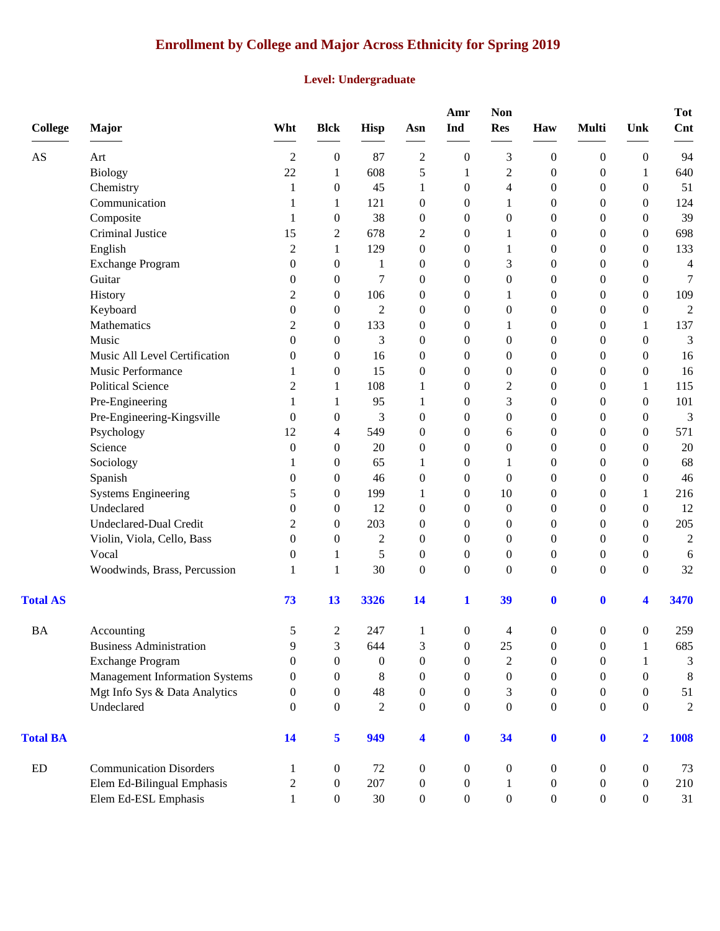## **Enrollment by College and Major Across Ethnicity for Spring 2019**

#### **Level: Undergraduate**

| <b>College</b>             | Major                                 | Wht              | <b>Blck</b>      | <b>Hisp</b>      | Asn                     | Amr<br>Ind       | <b>Non</b><br><b>Res</b> | Haw              | <b>Multi</b>     | Unk              | <b>Tot</b><br>Cnt |
|----------------------------|---------------------------------------|------------------|------------------|------------------|-------------------------|------------------|--------------------------|------------------|------------------|------------------|-------------------|
| $\mathbf{A}\mathbf{S}$     | Art                                   | $\overline{2}$   | $\boldsymbol{0}$ | 87               | $\mathfrak 2$           | $\boldsymbol{0}$ | 3                        | $\boldsymbol{0}$ | $\boldsymbol{0}$ | $\boldsymbol{0}$ | 94                |
|                            | Biology                               | 22               | $\mathbf{1}$     | 608              | 5                       | 1                | $\overline{c}$           | $\boldsymbol{0}$ | $\boldsymbol{0}$ | $\mathbf{1}$     | 640               |
|                            | Chemistry                             | 1                | $\boldsymbol{0}$ | 45               | 1                       | $\boldsymbol{0}$ | 4                        | $\mathbf{0}$     | $\boldsymbol{0}$ | $\mathbf{0}$     | 51                |
|                            | Communication                         | 1                | 1                | 121              | $\boldsymbol{0}$        | $\boldsymbol{0}$ | 1                        | $\boldsymbol{0}$ | $\boldsymbol{0}$ | $\mathbf{0}$     | 124               |
|                            | Composite                             | 1                | $\boldsymbol{0}$ | 38               | $\boldsymbol{0}$        | $\theta$         | 0                        | $\theta$         | $\boldsymbol{0}$ | $\theta$         | 39                |
|                            | Criminal Justice                      | 15               | $\overline{c}$   | 678              | $\overline{c}$          | $\theta$         | 1                        | $\mathbf{0}$     | $\theta$         | $\theta$         | 698               |
|                            | English                               | $\overline{2}$   | $\mathbf{1}$     | 129              | $\boldsymbol{0}$        | $\theta$         | 1                        | $\boldsymbol{0}$ | $\theta$         | $\theta$         | 133               |
|                            | <b>Exchange Program</b>               | $\overline{0}$   | $\boldsymbol{0}$ | 1                | $\boldsymbol{0}$        | $\theta$         | 3                        | $\boldsymbol{0}$ | $\boldsymbol{0}$ | $\mathbf{0}$     | 4                 |
|                            | Guitar                                | $\boldsymbol{0}$ | $\boldsymbol{0}$ | 7                | $\boldsymbol{0}$        | $\boldsymbol{0}$ | $\boldsymbol{0}$         | $\boldsymbol{0}$ | $\boldsymbol{0}$ | $\mathbf{0}$     | 7                 |
|                            | History                               | 2                | $\boldsymbol{0}$ | 106              | $\boldsymbol{0}$        | $\theta$         | 1                        | $\boldsymbol{0}$ | $\boldsymbol{0}$ | $\overline{0}$   | 109               |
|                            | Keyboard                              | $\overline{0}$   | $\boldsymbol{0}$ | 2                | $\boldsymbol{0}$        | $\theta$         | 0                        | $\theta$         | $\theta$         | $\theta$         | 2                 |
|                            | Mathematics                           | $\overline{2}$   | $\mathbf{0}$     | 133              | $\boldsymbol{0}$        | $\theta$         | 1                        | $\theta$         | $\theta$         | 1                | 137               |
|                            | Music                                 | $\overline{0}$   | $\mathbf{0}$     | 3                | $\boldsymbol{0}$        | $\theta$         | $\boldsymbol{0}$         | $\boldsymbol{0}$ | $\theta$         | $\mathbf{0}$     | 3                 |
|                            | Music All Level Certification         | $\overline{0}$   | $\boldsymbol{0}$ | 16               | $\boldsymbol{0}$        | $\overline{0}$   | $\boldsymbol{0}$         | $\boldsymbol{0}$ | $\boldsymbol{0}$ | $\theta$         | 16                |
|                            | Music Performance                     | 1                | $\boldsymbol{0}$ | 15               | $\boldsymbol{0}$        | $\boldsymbol{0}$ | $\boldsymbol{0}$         | $\boldsymbol{0}$ | $\boldsymbol{0}$ | $\theta$         | 16                |
|                            | <b>Political Science</b>              | $\overline{2}$   | 1                | 108              | 1                       | $\boldsymbol{0}$ | $\overline{c}$           | $\boldsymbol{0}$ | $\boldsymbol{0}$ | 1                | 115               |
|                            | Pre-Engineering                       | 1                | 1                | 95               | 1                       | $\theta$         | 3                        | $\mathbf{0}$     | $\theta$         | $\theta$         | 101               |
|                            | Pre-Engineering-Kingsville            | $\mathbf{0}$     | $\boldsymbol{0}$ | 3                | $\boldsymbol{0}$        | $\overline{0}$   | $\boldsymbol{0}$         | $\boldsymbol{0}$ | $\theta$         | $\theta$         | 3                 |
|                            | Psychology                            | 12               | 4                | 549              | $\boldsymbol{0}$        | $\theta$         | 6                        | $\boldsymbol{0}$ | $\theta$         | $\mathbf{0}$     | 571               |
|                            | Science                               | $\theta$         | $\boldsymbol{0}$ | 20               | $\boldsymbol{0}$        | $\theta$         | $\boldsymbol{0}$         | $\boldsymbol{0}$ | $\boldsymbol{0}$ | $\theta$         | 20                |
|                            | Sociology                             | 1                | $\boldsymbol{0}$ | 65               | 1                       | $\boldsymbol{0}$ | 1                        | $\boldsymbol{0}$ | $\boldsymbol{0}$ | $\mathbf{0}$     | 68                |
|                            | Spanish                               | $\boldsymbol{0}$ | $\boldsymbol{0}$ | 46               | $\boldsymbol{0}$        | $\theta$         | $\boldsymbol{0}$         | $\boldsymbol{0}$ | $\boldsymbol{0}$ | $\overline{0}$   | 46                |
|                            | <b>Systems Engineering</b>            | 5                | $\mathbf{0}$     | 199              | 1                       | $\theta$         | 10                       | $\theta$         | $\theta$         | 1                | 216               |
|                            | Undeclared                            | $\theta$         | $\mathbf{0}$     | 12               | $\boldsymbol{0}$        | $\theta$         | $\mathbf{0}$             | $\mathbf{0}$     | $\theta$         | $\theta$         | 12                |
|                            | <b>Undeclared-Dual Credit</b>         | $\overline{c}$   | $\mathbf{0}$     | 203              | $\boldsymbol{0}$        | $\theta$         | 0                        | $\boldsymbol{0}$ | $\theta$         | $\theta$         | 205               |
|                            | Violin, Viola, Cello, Bass            | $\boldsymbol{0}$ | $\boldsymbol{0}$ | $\overline{c}$   | $\boldsymbol{0}$        | $\theta$         | $\boldsymbol{0}$         | $\mathbf{0}$     | $\boldsymbol{0}$ | $\theta$         | $\mathfrak 2$     |
|                            | Vocal                                 | $\boldsymbol{0}$ | 1                | 5                | $\boldsymbol{0}$        | $\boldsymbol{0}$ | $\boldsymbol{0}$         | $\boldsymbol{0}$ | $\boldsymbol{0}$ | $\boldsymbol{0}$ | 6                 |
|                            | Woodwinds, Brass, Percussion          | 1                | $\mathbf{1}$     | 30               | $\boldsymbol{0}$        | $\boldsymbol{0}$ | $\boldsymbol{0}$         | $\boldsymbol{0}$ | $\boldsymbol{0}$ | $\overline{0}$   | 32                |
| <b>Total AS</b>            |                                       | 73               | 13               | 3326             | 14                      | $\mathbf{1}$     | 39                       | $\mathbf 0$      | $\bf{0}$         | 4                | 3470              |
| <b>BA</b>                  | Accounting                            | 5                | $\overline{c}$   | 247              | $\mathbf{1}$            | $\boldsymbol{0}$ | $\Delta$                 | $\boldsymbol{0}$ | 0                | 0                | 259               |
|                            | <b>Business Administration</b>        | 9                | 3                | 644              | 3                       | $\boldsymbol{0}$ | 25                       | $\boldsymbol{0}$ | $\boldsymbol{0}$ | 1                | 685               |
|                            | <b>Exchange Program</b>               | $\boldsymbol{0}$ | $\boldsymbol{0}$ | $\boldsymbol{0}$ | $\boldsymbol{0}$        | $\overline{0}$   | $\overline{2}$           | $\boldsymbol{0}$ | $\boldsymbol{0}$ | 1                | 3                 |
|                            | <b>Management Information Systems</b> | $\theta$         | $\boldsymbol{0}$ | 8                | $\boldsymbol{0}$        | $\theta$         | 0                        | $\overline{0}$   | $\theta$         | $\theta$         | $\,8\,$           |
|                            | Mgt Info Sys & Data Analytics         | $\theta$         | $\boldsymbol{0}$ | 48               | $\boldsymbol{0}$        | $\overline{0}$   | 3                        | $\boldsymbol{0}$ | $\theta$         | $\overline{0}$   | 51                |
|                            | Undeclared                            | $\theta$         | $\boldsymbol{0}$ | $\overline{2}$   | $\boldsymbol{0}$        | $\boldsymbol{0}$ | $\boldsymbol{0}$         | $\boldsymbol{0}$ | $\boldsymbol{0}$ | $\overline{0}$   | $\overline{2}$    |
| <b>Total BA</b>            |                                       | 14               | 5                | 949              | $\overline{\mathbf{4}}$ | $\bf{0}$         | 34                       | $\mathbf{0}$     | $\mathbf{0}$     | $\overline{2}$   | 1008              |
| $\mathop{\rm ED}\nolimits$ | <b>Communication Disorders</b>        | 1                | $\boldsymbol{0}$ | 72               | $\boldsymbol{0}$        | $\boldsymbol{0}$ | 0                        | $\boldsymbol{0}$ | $\theta$         | $\overline{0}$   | 73                |
|                            | Elem Ed-Bilingual Emphasis            | $\overline{c}$   | $\boldsymbol{0}$ | 207              | $\boldsymbol{0}$        | $\boldsymbol{0}$ | 1                        | $\boldsymbol{0}$ | $\boldsymbol{0}$ | $\overline{0}$   | 210               |
|                            | Elem Ed-ESL Emphasis                  | $\mathbf{1}$     | $\mathbf{0}$     | 30               | $\boldsymbol{0}$        | $\boldsymbol{0}$ | $\boldsymbol{0}$         | $\boldsymbol{0}$ | $\boldsymbol{0}$ | $\boldsymbol{0}$ | 31                |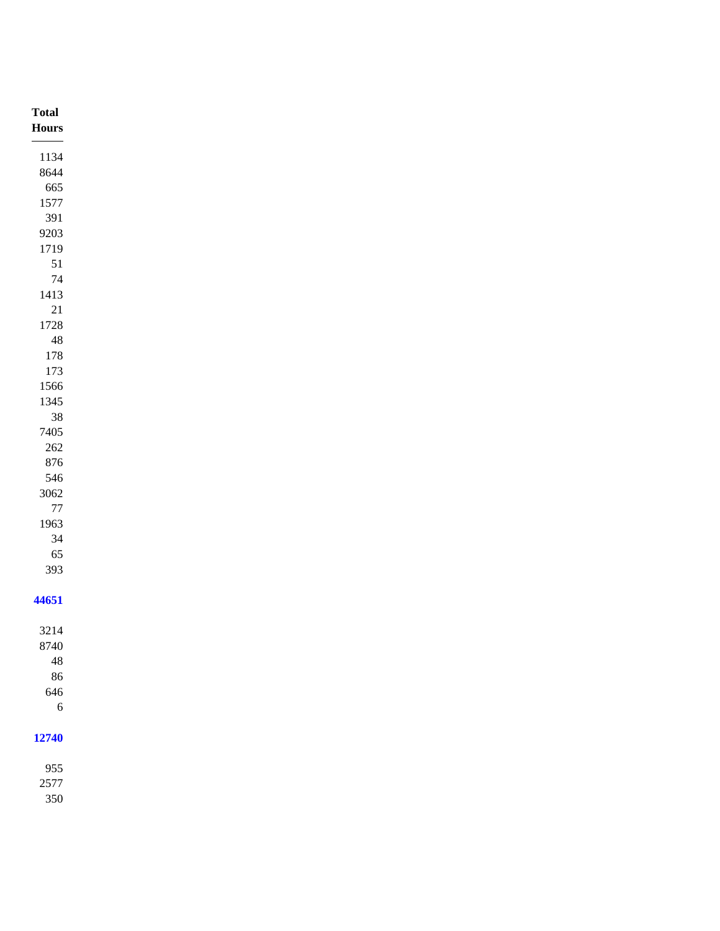| <b>Total</b><br>${\bf Hours}$ |
|-------------------------------|
|                               |
| 1134                          |
| 8644                          |
| 665                           |
| 1577                          |
| 391                           |
| 9203                          |
| 1719<br>$51\,$                |
| $74\,$                        |
| 1413                          |
| $21\,$                        |
| 1728                          |
| $\sqrt{48}$                   |
| $178\,$                       |
| 173                           |
| 1566                          |
| 1345                          |
| $38\,$                        |
| 7405                          |
| $262\,$                       |
| $876\,$                       |
| 546                           |
| 3062<br>$77\,$                |
| 1963                          |
| $34\,$                        |
| 65                            |
| 393                           |
|                               |
| 44651                         |
|                               |
| 3214                          |
| 8740                          |
| $\sqrt{48}$<br>86             |
| 646                           |
| $\sqrt{6}$                    |
|                               |
| 12740                         |
|                               |
| 955                           |
| 2577                          |
| 350                           |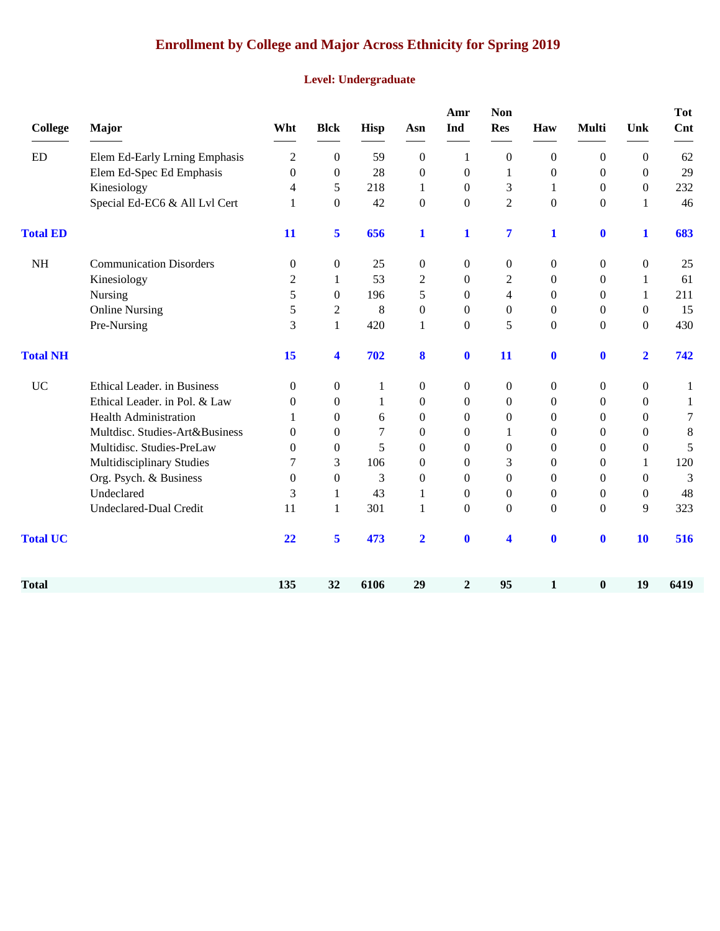## **Enrollment by College and Major Across Ethnicity for Spring 2019**

#### **Level: Undergraduate**

| <b>College</b>  | <b>Major</b>                   | Wht              | <b>Blck</b>          | Hisp | Asn              | Amr<br>Ind       | <b>Non</b><br><b>Res</b> | Haw              | Multi            | Unk              | <b>Tot</b><br>Cnt |
|-----------------|--------------------------------|------------------|----------------------|------|------------------|------------------|--------------------------|------------------|------------------|------------------|-------------------|
| ED              | Elem Ed-Early Lrning Emphasis  | $\overline{2}$   | $\boldsymbol{0}$     | 59   | $\boldsymbol{0}$ | 1                | $\overline{0}$           | $\boldsymbol{0}$ | $\boldsymbol{0}$ | $\boldsymbol{0}$ | 62                |
|                 | Elem Ed-Spec Ed Emphasis       | $\boldsymbol{0}$ | $\overline{0}$       | 28   | $\boldsymbol{0}$ | $\boldsymbol{0}$ | 1                        | $\boldsymbol{0}$ | $\theta$         | $\overline{0}$   | 29                |
|                 | Kinesiology                    | 4                | 5                    | 218  | 1                | $\theta$         | 3                        | 1                | $\theta$         | $\boldsymbol{0}$ | 232               |
|                 | Special Ed-EC6 & All Lvl Cert  | 1                | $\boldsymbol{0}$     | 42   | $\boldsymbol{0}$ | $\boldsymbol{0}$ | $\overline{2}$           | $\boldsymbol{0}$ | $\boldsymbol{0}$ | 1                | 46                |
| <b>Total ED</b> |                                | 11               | 5                    | 656  | 1                | 1                | 7                        | $\mathbf 1$      | $\bf{0}$         | 1                | 683               |
| <b>NH</b>       | <b>Communication Disorders</b> | $\boldsymbol{0}$ | $\boldsymbol{0}$     | 25   | $\boldsymbol{0}$ | $\boldsymbol{0}$ | $\boldsymbol{0}$         | $\boldsymbol{0}$ | 0                | $\boldsymbol{0}$ | 25                |
|                 | Kinesiology                    | 2                | 1                    | 53   | 2                | $\theta$         | $\overline{c}$           | $\mathbf{0}$     | $\theta$         | 1                | 61                |
|                 | Nursing                        | 5                | $\theta$             | 196  | 5                | $\boldsymbol{0}$ | $\overline{4}$           | $\overline{0}$   | $\theta$         | 1                | 211               |
|                 | <b>Online Nursing</b>          | 5                | $\overline{c}$       | 8    | $\boldsymbol{0}$ | $\Omega$         | $\overline{0}$           | $\mathbf{0}$     | $\theta$         | $\overline{0}$   | 15                |
|                 | Pre-Nursing                    | 3                | $\mathbf{1}$         | 420  | $\mathbf{1}$     | $\overline{0}$   | 5                        | $\boldsymbol{0}$ | $\boldsymbol{0}$ | $\overline{0}$   | 430               |
| <b>Total NH</b> |                                | 15               | $\blacktriangleleft$ | 702  | 8                | $\mathbf 0$      | 11                       | $\bf{0}$         | $\bf{0}$         | $\overline{2}$   | 742               |
| <b>UC</b>       | Ethical Leader. in Business    | $\theta$         | $\boldsymbol{0}$     | 1    | $\boldsymbol{0}$ | $\theta$         | $\overline{0}$           | $\boldsymbol{0}$ | $\theta$         | $\boldsymbol{0}$ | 1                 |
|                 | Ethical Leader. in Pol. & Law  | $\mathbf{0}$     | $\theta$             | 1    | $\boldsymbol{0}$ | $\theta$         | $\overline{0}$           | $\mathbf{0}$     | $\theta$         | $\Omega$         | 1                 |
|                 | <b>Health Administration</b>   | 1                | $\theta$             | 6    | $\boldsymbol{0}$ | $\Omega$         | $\theta$                 | $\overline{0}$   | $\theta$         | $\mathbf{0}$     | 7                 |
|                 | Multdisc. Studies-Art&Business | $\Omega$         | $\theta$             | 7    | $\mathbf{0}$     | $\Omega$         | 1                        | $\overline{0}$   | $\Omega$         | $\mathbf{0}$     | $\,8\,$           |
|                 | Multidisc. Studies-PreLaw      | $\mathbf{0}$     | $\theta$             | 5    | $\mathbf{0}$     | $\Omega$         | $\Omega$                 | $\overline{0}$   | $\Omega$         | $\overline{0}$   | 5                 |
|                 | Multidisciplinary Studies      | 7                | 3                    | 106  | $\boldsymbol{0}$ | $\theta$         | 3                        | $\overline{0}$   | $\Omega$         | 1                | 120               |
|                 | Org. Psych. & Business         | $\Omega$         | $\boldsymbol{0}$     | 3    | $\mathbf{0}$     | $\Omega$         | $\mathbf{0}$             | $\overline{0}$   | $\Omega$         | $\Omega$         | 3                 |
|                 | Undeclared                     | 3                | $\mathbf{1}$         | 43   | $\mathbf{1}$     | $\Omega$         | $\mathbf{0}$             | $\mathbf{0}$     | $\theta$         | $\overline{0}$   | 48                |
|                 | Undeclared-Dual Credit         | 11               | $\mathbf{1}$         | 301  | $\mathbf{1}$     | $\boldsymbol{0}$ | $\mathbf{0}$             | $\boldsymbol{0}$ | $\boldsymbol{0}$ | 9                | 323               |
| <b>Total UC</b> |                                | 22               | 5                    | 473  | $\overline{2}$   | $\mathbf 0$      | $\blacktriangleleft$     | $\bf{0}$         | $\bf{0}$         | 10               | 516               |
| <b>Total</b>    |                                | 135              | 32                   | 6106 | 29               | $\boldsymbol{2}$ | 95                       | $\mathbf{1}$     | $\boldsymbol{0}$ | 19               | 6419              |
|                 |                                |                  |                      |      |                  |                  |                          |                  |                  |                  |                   |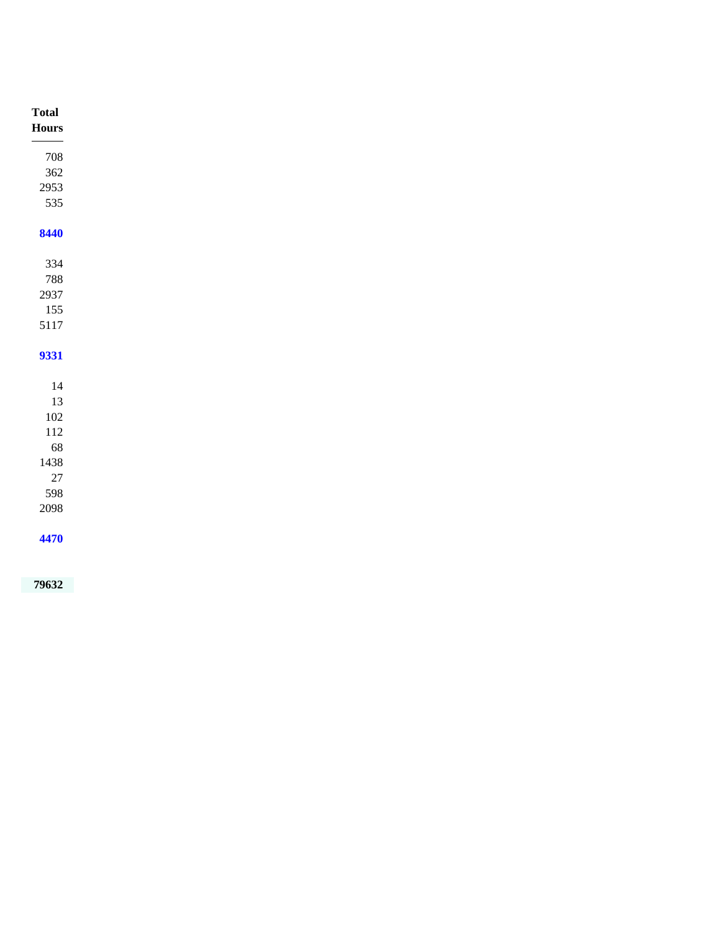| Total    |
|----------|
| Hours    |
|          |
| 708      |
| $362\,$  |
| 2953     |
| 535      |
| 8440     |
|          |
| 334      |
| 788      |
| 2937     |
| 155      |
| $5117\,$ |
|          |
| 9331     |
|          |
| $14\,$   |
| $13\,$   |
| $102\,$  |
| $112\,$  |
| $68\,$   |
| 1438     |
| $27\,$   |
| 598      |
| 2098     |
|          |
| 4470     |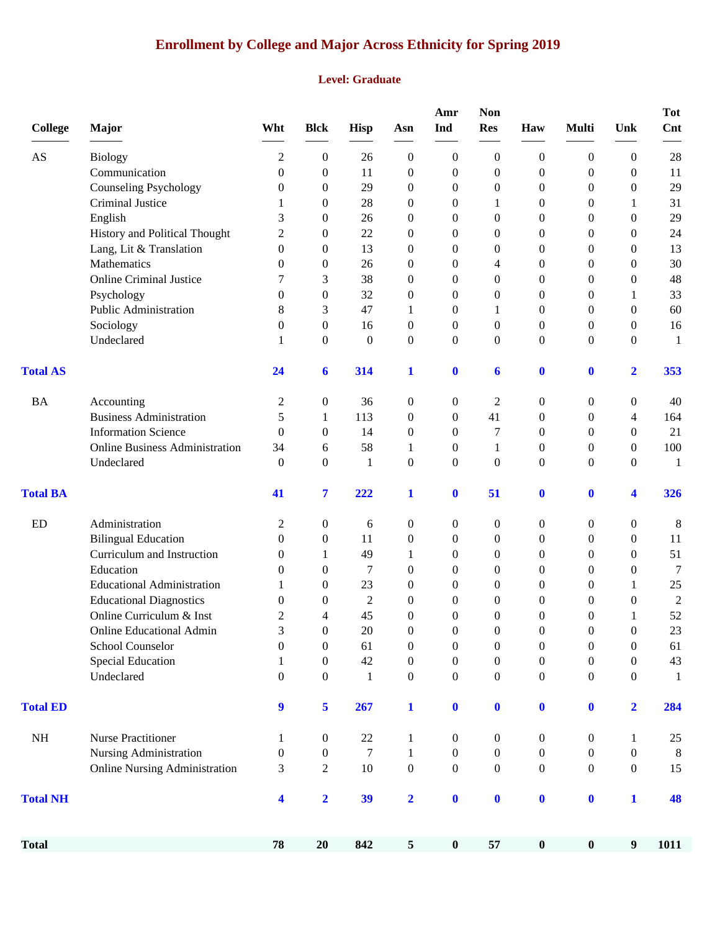## **Enrollment by College and Major Across Ethnicity for Spring 2019**

#### **Level: Graduate**

| <b>College</b>         | <b>Major</b>                          | Wht              | <b>Blck</b>             | <b>Hisp</b>      | Asn              | Amr<br>Ind       | <b>Non</b><br><b>Res</b> | Haw              | <b>Multi</b>     | Unk              | <b>Tot</b><br>Cnt                                            |
|------------------------|---------------------------------------|------------------|-------------------------|------------------|------------------|------------------|--------------------------|------------------|------------------|------------------|--------------------------------------------------------------|
| $\mathbf{A}\mathbf{S}$ | <b>Biology</b>                        | 2                | 0                       | 26               | $\overline{0}$   | $\boldsymbol{0}$ | $\boldsymbol{0}$         | $\boldsymbol{0}$ | 0                | $\mathbf{0}$     | 28                                                           |
|                        | Communication                         | $\theta$         | 0                       | 11               | $\boldsymbol{0}$ | $\boldsymbol{0}$ | $\theta$                 | $\boldsymbol{0}$ | 0                | $\theta$         | 11                                                           |
|                        | <b>Counseling Psychology</b>          | 0                | 0                       | 29               | $\theta$         | $\boldsymbol{0}$ | $\boldsymbol{0}$         | 0                | 0                | $\overline{0}$   | 29                                                           |
|                        | Criminal Justice                      | 1                | 0                       | 28               | $\mathbf{0}$     | $\boldsymbol{0}$ | 1                        | 0                | 0                | 1                | 31                                                           |
|                        | English                               | 3                | 0                       | 26               | $\theta$         | $\theta$         | $\theta$                 | 0                | 0                | 0                | 29                                                           |
|                        | History and Political Thought         | $\overline{2}$   | 0                       | 22               | $\mathbf{0}$     | $\theta$         | $\Omega$                 | $\theta$         | 0                | 0                | 24                                                           |
|                        | Lang, Lit & Translation               | $\overline{0}$   | 0                       | 13               | $\mathbf{0}$     | $\theta$         | $\theta$                 | 0                | 0                | 0                | 13                                                           |
|                        | Mathematics                           | 0                | 0                       | 26               | $\mathbf{0}$     | $\theta$         | 4                        | 0                | 0                | 0                | 30                                                           |
|                        | <b>Online Criminal Justice</b>        | 7                | 3                       | 38               | $\mathbf{0}$     | 0                | $\overline{0}$           | $\boldsymbol{0}$ | 0                | $\overline{0}$   | 48                                                           |
|                        | Psychology                            | $\overline{0}$   | $\boldsymbol{0}$        | 32               | $\boldsymbol{0}$ | 0                | $\overline{0}$           | 0                | 0                | 1                | 33                                                           |
|                        | Public Administration                 | 8                | 3                       | 47               | 1                | $\theta$         | 1                        | $\mathbf{0}$     | 0                | $\overline{0}$   | 60                                                           |
|                        | Sociology                             | $\theta$         | 0                       | 16               | $\mathbf{0}$     | $\theta$         | $\theta$                 | $\mathbf{0}$     | 0                | 0                | 16                                                           |
|                        | Undeclared                            | 1                | 0                       | $\boldsymbol{0}$ | $\mathbf{0}$     | $\overline{0}$   | $\mathbf{0}$             | $\mathbf{0}$     | 0                | $\overline{0}$   | $\mathbf{1}$                                                 |
| <b>Total AS</b>        |                                       | 24               | 6                       | 314              | 1                | $\mathbf{0}$     | 6                        | $\boldsymbol{0}$ | $\boldsymbol{0}$ | $\mathbf{2}$     | 353                                                          |
| <b>BA</b>              | Accounting                            | 2                | 0                       | 36               | $\mathbf{0}$     | $\boldsymbol{0}$ | $\overline{c}$           | $\boldsymbol{0}$ | 0                | $\boldsymbol{0}$ | 40                                                           |
|                        | <b>Business Administration</b>        | 5                | $\mathbf{1}$            | 113              | $\overline{0}$   | $\theta$         | 41                       | $\mathbf{0}$     | 0                | 4                | 164                                                          |
|                        | <b>Information Science</b>            | $\theta$         | 0                       | 14               | $\mathbf{0}$     | $\theta$         | 7                        | $\mathbf{0}$     | 0                | 0                | 21                                                           |
|                        | <b>Online Business Administration</b> | 34               | 6                       | 58               | 1                | $\boldsymbol{0}$ | 1                        | 0                | 0                | $\overline{0}$   | 100                                                          |
|                        | Undeclared                            | $\theta$         | 0                       | 1                | $\theta$         | $\overline{0}$   | $\mathbf{0}$             | $\mathbf{0}$     | $\overline{0}$   | $\overline{0}$   | 1                                                            |
| <b>Total BA</b>        |                                       | 41               | 7                       | 222              | $\mathbf{1}$     | $\mathbf 0$      | 51                       | $\bf{0}$         | $\boldsymbol{0}$ | 4                | 326                                                          |
| ED                     | Administration                        | 2                | 0                       | 6                | $\boldsymbol{0}$ | $\boldsymbol{0}$ | $\boldsymbol{0}$         | $\boldsymbol{0}$ | 0                | 0                | 8                                                            |
|                        | <b>Bilingual Education</b>            | $\theta$         | 0                       | 11               | $\boldsymbol{0}$ | $\boldsymbol{0}$ | $\theta$                 | 0                | 0                | $\overline{0}$   | 11                                                           |
|                        | Curriculum and Instruction            | 0                | 1                       | 49               | 1                | $\boldsymbol{0}$ | $\theta$                 | 0                | 0                | $\overline{0}$   | 51                                                           |
|                        | Education                             | 0                | 0                       | 7                | $\mathbf{0}$     | $\boldsymbol{0}$ | $\theta$                 | 0                | 0                | $\overline{0}$   | 7                                                            |
|                        | <b>Educational Administration</b>     | 1                | 0                       | 23               | $\theta$         | $\theta$         | $\theta$                 | 0                | 0                | 1                | 25                                                           |
|                        | <b>Educational Diagnostics</b>        | 0                | 0                       | 2                | $\theta$         | $\theta$         | $\theta$                 | 0                | 0                | $\theta$         | $\mathfrak{2}% =\mathfrak{2}\left( \mathfrak{2}\right) ^{2}$ |
|                        | Online Curriculum & Inst              | 2                | 4                       | 45               | $\theta$         | $\theta$         | $\theta$                 | $\overline{0}$   | 0                | 1                | 52                                                           |
|                        | <b>Online Educational Admin</b>       | 3                | 0                       | $20\,$           | $\boldsymbol{0}$ | $\boldsymbol{0}$ | $\boldsymbol{0}$         | $\boldsymbol{0}$ | 0                | $\boldsymbol{0}$ | 23                                                           |
|                        | School Counselor                      | $\boldsymbol{0}$ | $\boldsymbol{0}$        | 61               | $\boldsymbol{0}$ | $\boldsymbol{0}$ | $\boldsymbol{0}$         | $\boldsymbol{0}$ | $\boldsymbol{0}$ | $\boldsymbol{0}$ | 61                                                           |
|                        | Special Education                     | 1                | $\boldsymbol{0}$        | 42               | $\boldsymbol{0}$ | $\boldsymbol{0}$ | $\boldsymbol{0}$         | $\boldsymbol{0}$ | 0                | $\boldsymbol{0}$ | 43                                                           |
|                        | Undeclared                            | $\boldsymbol{0}$ | $\overline{0}$          | $\mathbf{1}$     | $\boldsymbol{0}$ | $\boldsymbol{0}$ | $\boldsymbol{0}$         | $\boldsymbol{0}$ | 0                | $\overline{0}$   | $\mathbf{1}$                                                 |
| <b>Total ED</b>        |                                       | 9                | 5                       | 267              | $\mathbf{1}$     | $\mathbf{0}$     | $\boldsymbol{0}$         | $\boldsymbol{0}$ | $\bf{0}$         | $\mathbf{2}$     | 284                                                          |
| $\rm NH$               | <b>Nurse Practitioner</b>             | 1                | 0                       | $22\,$           | 1                | $\boldsymbol{0}$ | $\boldsymbol{0}$         | $\boldsymbol{0}$ | 0                | 1                | 25                                                           |
|                        | Nursing Administration                | 0                | 0                       | $\tau$           | 1                | $\boldsymbol{0}$ | $\boldsymbol{0}$         | 0                | 0                | 0                | 8                                                            |
|                        | <b>Online Nursing Administration</b>  | 3                | $\overline{c}$          | 10               | $\boldsymbol{0}$ | $\boldsymbol{0}$ | $\boldsymbol{0}$         | $\mathbf{0}$     | 0                | $\mathbf{0}$     | 15                                                           |
| <b>Total NH</b>        |                                       | 4                | $\overline{\mathbf{2}}$ | 39               | $\overline{2}$   | $\mathbf{0}$     | $\bf{0}$                 | $\mathbf 0$      | $\bf{0}$         | $\mathbf{1}$     | 48                                                           |
| <b>Total</b>           |                                       | 78               | 20                      | 842              | 5                | $\pmb{0}$        | 57                       | $\pmb{0}$        | $\pmb{0}$        | $\boldsymbol{9}$ | 1011                                                         |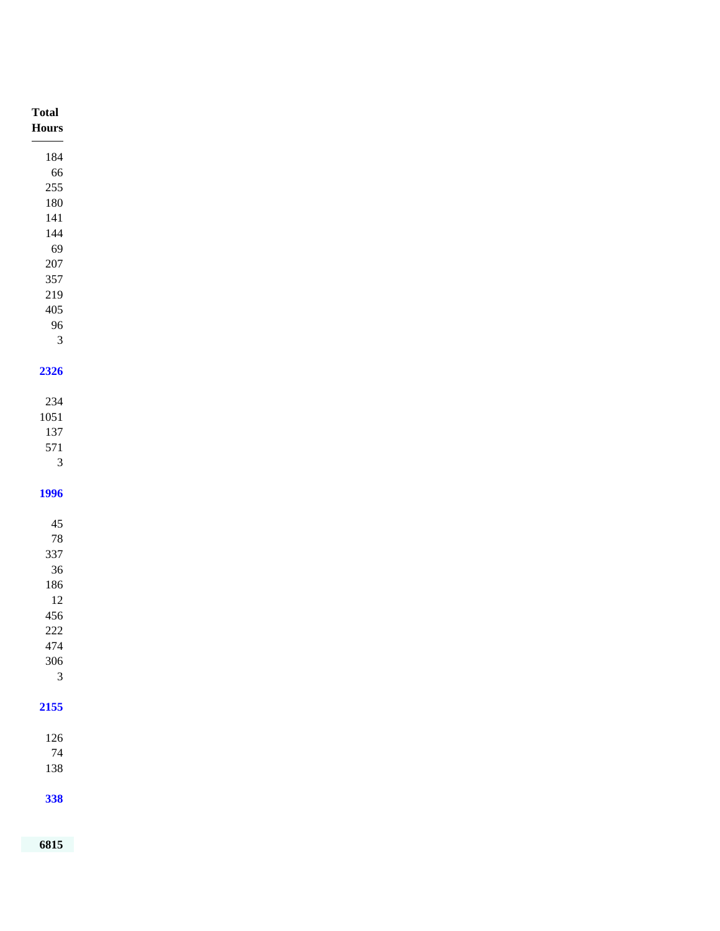| $\bold{Flours}$<br>184<br>66<br>$255\,$<br>$180\,$<br>$141\,$<br>$144\,$<br>69<br>$207\,$<br>357<br>$219\,$<br>$405\,$ |  |
|------------------------------------------------------------------------------------------------------------------------|--|
|                                                                                                                        |  |
|                                                                                                                        |  |
|                                                                                                                        |  |
|                                                                                                                        |  |
|                                                                                                                        |  |
|                                                                                                                        |  |
|                                                                                                                        |  |
|                                                                                                                        |  |
|                                                                                                                        |  |
|                                                                                                                        |  |
|                                                                                                                        |  |
| 96<br>$\sqrt{3}$                                                                                                       |  |
|                                                                                                                        |  |
| 2326                                                                                                                   |  |
|                                                                                                                        |  |
| $234\,$                                                                                                                |  |
| $1051\,$                                                                                                               |  |
| 137<br>571                                                                                                             |  |
| $\overline{3}$                                                                                                         |  |
|                                                                                                                        |  |
| <b>1996</b>                                                                                                            |  |
|                                                                                                                        |  |
| $45\,$                                                                                                                 |  |
| $78\,$                                                                                                                 |  |
| 337<br>$36\,$                                                                                                          |  |
| 186                                                                                                                    |  |
| $12\,$                                                                                                                 |  |
| 456                                                                                                                    |  |
| $222\,$                                                                                                                |  |
| 474                                                                                                                    |  |
| 306                                                                                                                    |  |
| $\mathfrak{Z}$                                                                                                         |  |
| 2155                                                                                                                   |  |
|                                                                                                                        |  |
| $126\,$                                                                                                                |  |
| $74\,$                                                                                                                 |  |
| 138                                                                                                                    |  |
|                                                                                                                        |  |
| 338                                                                                                                    |  |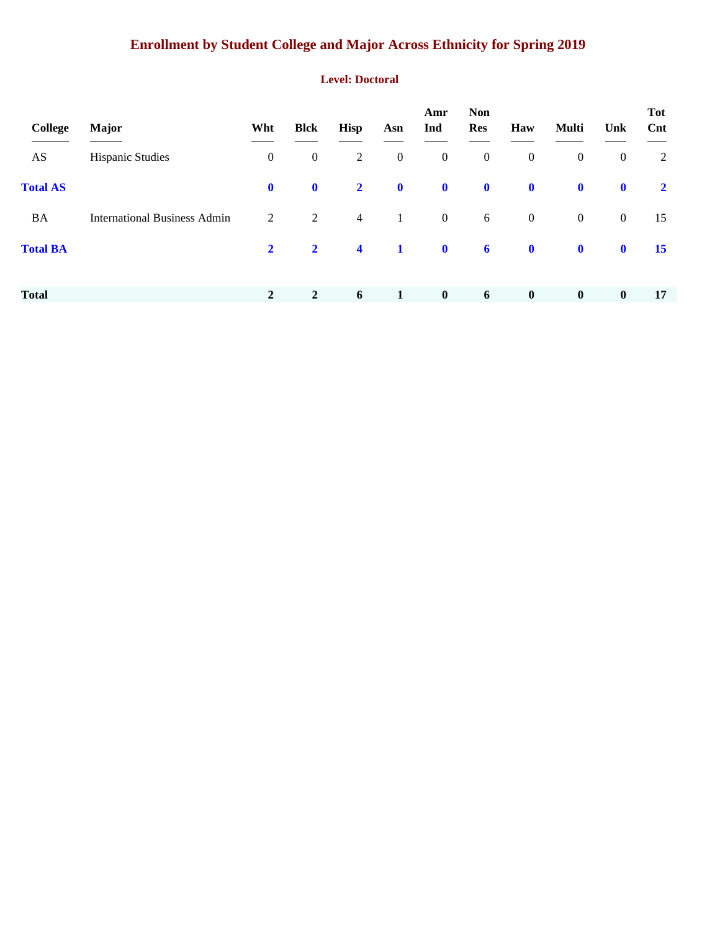## **Enrollment by Student College and Major Across Ethnicity for Spring 2019**

#### **Level: Doctoral**

| College         | <b>Major</b>                        | Wht            | <b>Blck</b>    | <b>Hisp</b>          | Asn              | Amr<br>Ind       | <b>Non</b><br><b>Res</b> | Haw              | Multi            | Unk              | <b>Tot</b><br>Cnt |
|-----------------|-------------------------------------|----------------|----------------|----------------------|------------------|------------------|--------------------------|------------------|------------------|------------------|-------------------|
| AS              | <b>Hispanic Studies</b>             | $\mathbf{0}$   | $\mathbf{0}$   | $\overline{2}$       | $\boldsymbol{0}$ | $\boldsymbol{0}$ | $\boldsymbol{0}$         | $\boldsymbol{0}$ | $\boldsymbol{0}$ | $\boldsymbol{0}$ | 2                 |
| <b>Total AS</b> |                                     | $\mathbf{0}$   | $\mathbf 0$    | $\overline{2}$       | $\mathbf 0$      | $\mathbf 0$      | $\mathbf 0$              | $\mathbf 0$      | $\mathbf 0$      | $\mathbf 0$      | $\mathbf{2}$      |
| <b>BA</b>       | <b>International Business Admin</b> | 2              | $\overline{2}$ | $\overline{4}$       | $\mathbf{1}$     | $\overline{0}$   | 6                        | $\boldsymbol{0}$ | $\mathbf{0}$     | $\mathbf{0}$     | 15                |
| <b>Total BA</b> |                                     | $\overline{2}$ | $\overline{2}$ | $\blacktriangleleft$ | $\mathbf{1}$     | $\mathbf 0$      | $\boldsymbol{6}$         | $\mathbf 0$      | $\mathbf 0$      | $\mathbf 0$      | 15                |
|                 |                                     |                |                |                      |                  |                  |                          |                  |                  |                  |                   |
| <b>Total</b>    |                                     | $\overline{2}$ | $\overline{2}$ | 6                    | 1                | $\bf{0}$         | 6                        | $\bf{0}$         | $\boldsymbol{0}$ | $\bf{0}$         | 17                |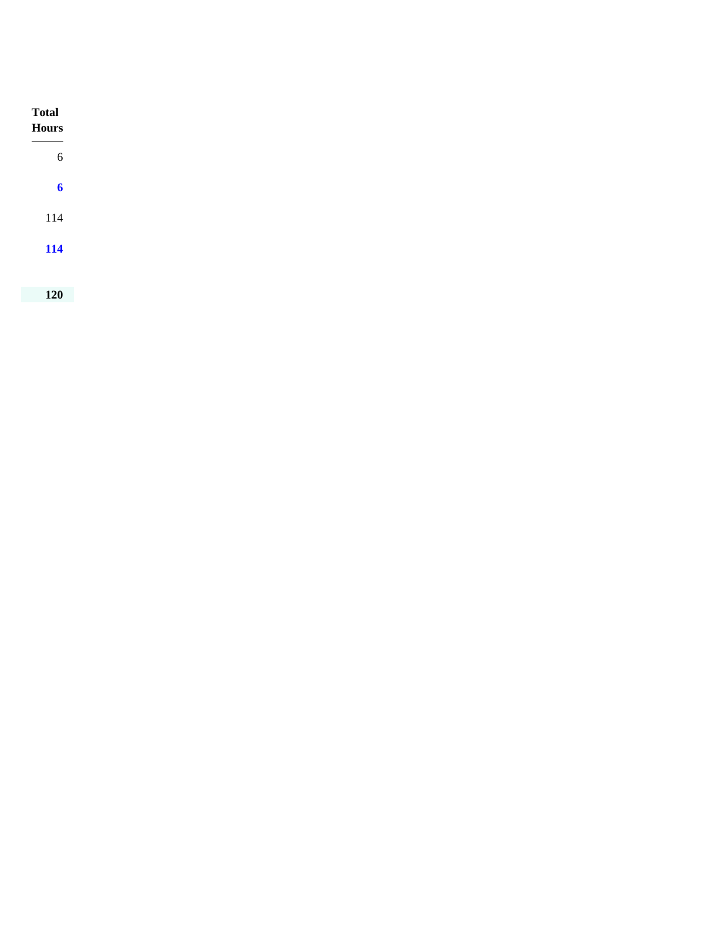| <b>Total</b><br>Hours |
|-----------------------|
| $\sqrt{6}$            |
| $\boldsymbol{6}$      |
| 114                   |
| 114                   |
|                       |
| 120                   |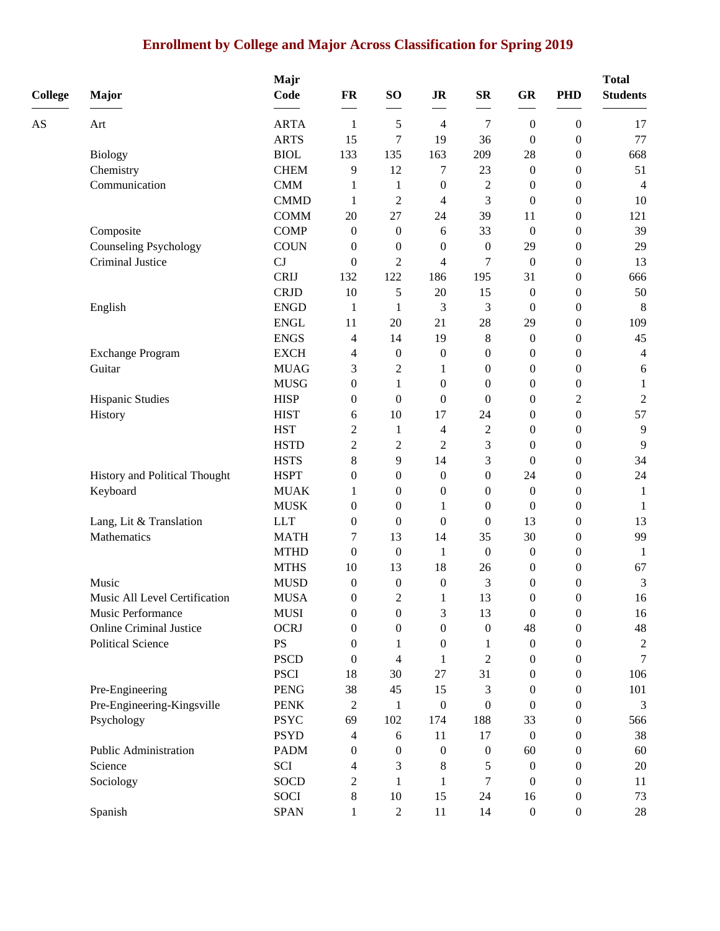## **Enrollment by College and Major Across Classification for Spring 2019**

|                |                                | Majr        |                  |                  |                          |                  |                  | <b>PHD</b>       | <b>Total</b><br><b>Students</b> |
|----------------|--------------------------------|-------------|------------------|------------------|--------------------------|------------------|------------------|------------------|---------------------------------|
| <b>College</b> | <b>Major</b>                   | Code        | $\mathbf{FR}$    | SO <sub>1</sub>  | $\mathbf{J}\mathbf{R}$   | ${\bf SR}$       | GR               |                  |                                 |
| AS             | Art                            | <b>ARTA</b> | 1                | 5                | $\overline{4}$           | 7                | $\mathbf{0}$     | $\boldsymbol{0}$ | 17                              |
|                |                                | <b>ARTS</b> | 15               | $\tau$           | 19                       | 36               | $\boldsymbol{0}$ | $\boldsymbol{0}$ | 77                              |
|                | <b>Biology</b>                 | <b>BIOL</b> | 133              | 135              | 163                      | 209              | 28               | $\boldsymbol{0}$ | 668                             |
|                | Chemistry                      | <b>CHEM</b> | 9                | 12               | 7                        | 23               | $\boldsymbol{0}$ | $\boldsymbol{0}$ | 51                              |
|                | Communication                  | <b>CMM</b>  | 1                | $\mathbf{1}$     | $\boldsymbol{0}$         | $\overline{c}$   | $\boldsymbol{0}$ | $\boldsymbol{0}$ | $\overline{4}$                  |
|                |                                | <b>CMMD</b> | 1                | $\overline{c}$   | $\overline{4}$           | 3                | $\boldsymbol{0}$ | $\boldsymbol{0}$ | 10                              |
|                |                                | <b>COMM</b> | 20               | 27               | 24                       | 39               | 11               | $\boldsymbol{0}$ | 121                             |
|                | Composite                      | <b>COMP</b> | 0                | $\boldsymbol{0}$ | 6                        | 33               | $\boldsymbol{0}$ | $\boldsymbol{0}$ | 39                              |
|                | <b>Counseling Psychology</b>   | <b>COUN</b> | $\overline{0}$   | $\boldsymbol{0}$ | $\mathbf{0}$             | $\boldsymbol{0}$ | 29               | $\boldsymbol{0}$ | 29                              |
|                | Criminal Justice               | CJ          | $\boldsymbol{0}$ | $\overline{c}$   | 4                        | 7                | $\boldsymbol{0}$ | $\boldsymbol{0}$ | 13                              |
|                |                                | <b>CRIJ</b> | 132              | 122              | 186                      | 195              | 31               | $\boldsymbol{0}$ | 666                             |
|                |                                | <b>CRJD</b> | 10               | 5                | 20                       | 15               | $\boldsymbol{0}$ | $\boldsymbol{0}$ | 50                              |
|                | English                        | <b>ENGD</b> | $\mathbf{1}$     | $\mathbf{1}$     | 3                        | 3                | $\boldsymbol{0}$ | $\boldsymbol{0}$ | 8                               |
|                |                                | <b>ENGL</b> | 11               | 20               | 21                       | 28               | 29               | $\boldsymbol{0}$ | 109                             |
|                |                                | <b>ENGS</b> | 4                | 14               | 19                       | 8                | $\boldsymbol{0}$ | $\boldsymbol{0}$ | 45                              |
|                | <b>Exchange Program</b>        | <b>EXCH</b> | 4                | $\boldsymbol{0}$ | $\boldsymbol{0}$         | $\boldsymbol{0}$ | $\boldsymbol{0}$ | $\boldsymbol{0}$ | 4                               |
|                | Guitar                         | <b>MUAG</b> | 3                | $\overline{c}$   | 1                        | 0                | 0                | $\boldsymbol{0}$ | 6                               |
|                |                                | <b>MUSG</b> | $\overline{0}$   | 1                | $\mathbf{0}$             | $\boldsymbol{0}$ | $\boldsymbol{0}$ | $\boldsymbol{0}$ | $\mathbf{1}$                    |
|                | Hispanic Studies               | <b>HISP</b> | 0                | $\boldsymbol{0}$ | $\boldsymbol{0}$         | $\boldsymbol{0}$ | 0                | $\overline{c}$   | $\sqrt{2}$                      |
|                | History                        | <b>HIST</b> | 6                | 10               | 17                       | 24               | 0                | $\boldsymbol{0}$ | 57                              |
|                |                                | <b>HST</b>  | $\overline{c}$   | $\mathbf{1}$     | $\overline{\mathcal{L}}$ | $\mathbf{2}$     | $\boldsymbol{0}$ | $\boldsymbol{0}$ | 9                               |
|                |                                | <b>HSTD</b> | $\overline{2}$   | $\overline{c}$   | $\overline{2}$           | 3                | $\boldsymbol{0}$ | $\boldsymbol{0}$ | 9                               |
|                |                                | <b>HSTS</b> | 8                | 9                | 14                       | 3                | $\boldsymbol{0}$ | $\boldsymbol{0}$ | 34                              |
|                | History and Political Thought  | <b>HSPT</b> | $\overline{0}$   | $\boldsymbol{0}$ | $\mathbf{0}$             | $\boldsymbol{0}$ | 24               | $\boldsymbol{0}$ | 24                              |
|                | Keyboard                       | <b>MUAK</b> | 1                | $\boldsymbol{0}$ | $\boldsymbol{0}$         | 0                | $\mathbf{0}$     | $\boldsymbol{0}$ | $\mathbf{1}$                    |
|                |                                | <b>MUSK</b> | 0                | $\boldsymbol{0}$ | 1                        | 0                | $\overline{0}$   | $\boldsymbol{0}$ | 1                               |
|                | Lang, Lit & Translation        | <b>LLT</b>  | $\overline{0}$   | $\boldsymbol{0}$ | $\mathbf{0}$             | $\boldsymbol{0}$ | 13               | $\boldsymbol{0}$ | 13                              |
|                | Mathematics                    | <b>MATH</b> | 7                | 13               | 14                       | 35               | 30               | $\boldsymbol{0}$ | 99                              |
|                |                                | <b>MTHD</b> | $\boldsymbol{0}$ | $\boldsymbol{0}$ | 1                        | $\boldsymbol{0}$ | $\boldsymbol{0}$ | $\boldsymbol{0}$ | 1                               |
|                |                                | <b>MTHS</b> | 10               | 13               | 18                       | 26               | $\boldsymbol{0}$ | $\boldsymbol{0}$ | 67                              |
|                | Music                          | <b>MUSD</b> | $\boldsymbol{0}$ | $\boldsymbol{0}$ | $\boldsymbol{0}$         | 3                | $\boldsymbol{0}$ | $\boldsymbol{0}$ | 3                               |
|                | Music All Level Certification  | <b>MUSA</b> | $\boldsymbol{0}$ | $\mathfrak{D}$   | 1                        | 13               | $\boldsymbol{0}$ | $\boldsymbol{0}$ | 16                              |
|                | Music Performance              | <b>MUSI</b> | 0                | $\boldsymbol{0}$ | 3                        | 13               | $\boldsymbol{0}$ | $\boldsymbol{0}$ | 16                              |
|                | <b>Online Criminal Justice</b> | <b>OCRJ</b> | $\boldsymbol{0}$ | $\boldsymbol{0}$ | $\boldsymbol{0}$         | $\boldsymbol{0}$ | 48               | $\boldsymbol{0}$ | $\sqrt{48}$                     |
|                | <b>Political Science</b>       | <b>PS</b>   | 0                | 1                | $\mathbf{0}$             | 1                | $\boldsymbol{0}$ | 0                | $\mathbf{2}$                    |
|                |                                | <b>PSCD</b> | 0                | 4                | 1                        | $\overline{2}$   | 0                | 0                | 7                               |
|                |                                | <b>PSCI</b> | 18               | 30               | $27\,$                   | 31               | 0                | $\boldsymbol{0}$ | 106                             |
|                | Pre-Engineering                | <b>PENG</b> | 38               | 45               | 15                       | 3                | 0                | $\boldsymbol{0}$ | 101                             |
|                | Pre-Engineering-Kingsville     | <b>PENK</b> | 2                | 1                | $\boldsymbol{0}$         | 0                | 0                | $\boldsymbol{0}$ | 3                               |
|                | Psychology                     | <b>PSYC</b> | 69               | 102              | 174                      | 188              | 33               | 0                | 566                             |
|                |                                | <b>PSYD</b> | 4                | 6                | 11                       | 17               | $\mathbf{0}$     | 0                | 38                              |
|                | Public Administration          | <b>PADM</b> | 0                | $\mathbf{0}$     | $\overline{0}$           | $\boldsymbol{0}$ | 60               | 0                | 60                              |
|                | Science                        | SCI         | 4                | 3                | 8                        | 5                | $\theta$         | 0                | $20\,$                          |
|                | Sociology                      | <b>SOCD</b> | 2                | 1                | 1                        | 7                | $\theta$         | $\boldsymbol{0}$ | 11                              |
|                |                                | <b>SOCI</b> | 8                | 10               | 15                       | 24               | 16               | $\boldsymbol{0}$ | 73                              |
|                | Spanish                        | <b>SPAN</b> | $\mathbf{1}$     | $\overline{c}$   | $11\,$                   | 14               | $\boldsymbol{0}$ | $\boldsymbol{0}$ | $28\,$                          |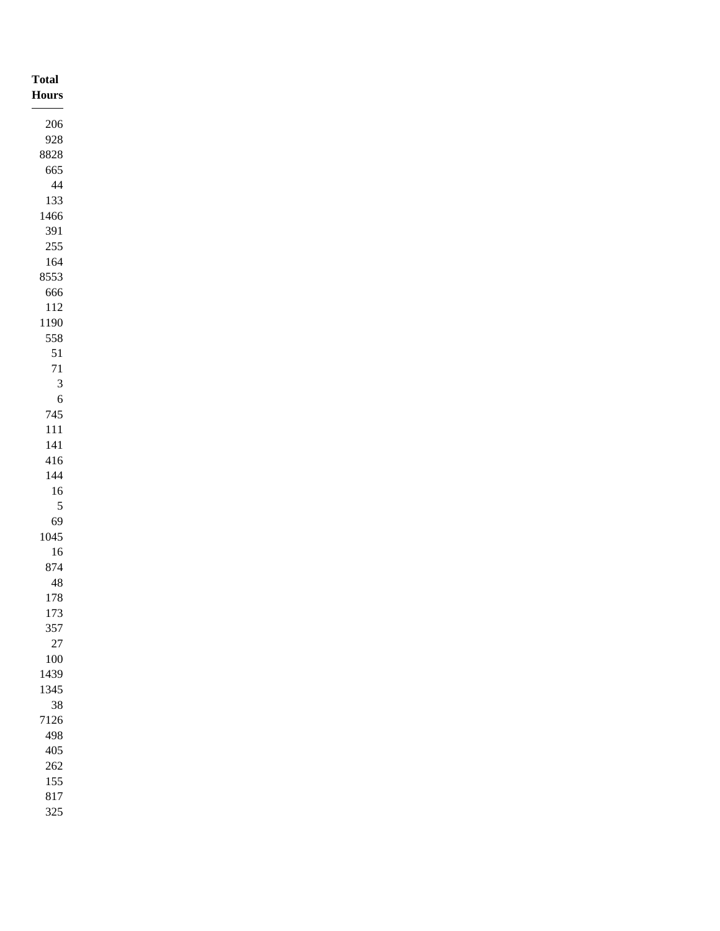| <b>Total</b><br><b>Hours</b> |
|------------------------------|
| $206\,$                      |
| 928                          |
| 8828                         |
| 665                          |
| $44\,$                       |
| 133                          |
| 1466                         |
| 391                          |
| $255\,$<br>$164$             |
| 8553                         |
| 666                          |
| $112\,$                      |
| 1190                         |
| 558                          |
| $51\,$                       |
| $71\,$                       |
| $\sqrt{3}$                   |
| $\sqrt{6}$                   |
| $745\,$                      |
| $111\,$                      |
| $141\,$                      |
| $416\,$                      |
| $144\,$                      |
| $16\,$                       |
| $\sqrt{5}$                   |
| 69                           |
| $1045\,$                     |
| $16\,$<br>874                |
| $48\,$                       |
| $178\,$                      |
| 173                          |
| 357                          |
| $27\,$                       |
| $100\,$                      |
| 1439                         |
| 1345                         |
| $38\,$                       |
| 7126                         |
| 498                          |
| $405\,$                      |
| $262\,$                      |
| $155\,$<br>$817\,$           |
| 325                          |
|                              |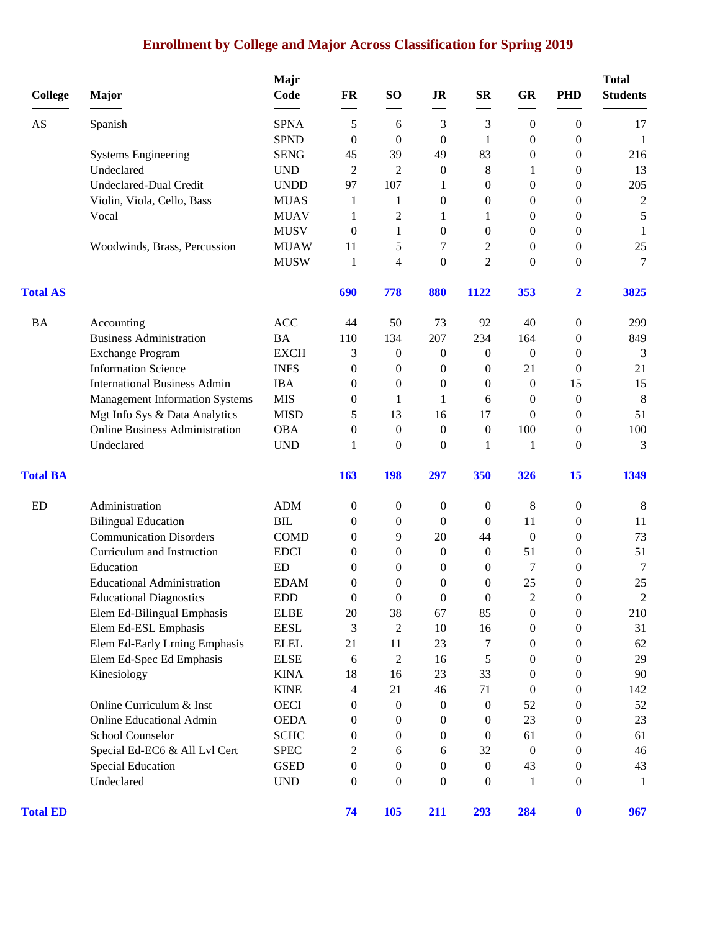## **Enrollment by College and Major Across Classification for Spring 2019**

| <b>College</b>  | Major                                 | Majr<br>Code                              | FR                                   | SO <sub>1</sub>                      | <b>JR</b>        | <b>SR</b>             | <b>GR</b>        | <b>PHD</b>                                                                                                                                                                                                                                                                                                                                                                                                                                                                                                                                       | <b>Total</b><br><b>Students</b> |
|-----------------|---------------------------------------|-------------------------------------------|--------------------------------------|--------------------------------------|------------------|-----------------------|------------------|--------------------------------------------------------------------------------------------------------------------------------------------------------------------------------------------------------------------------------------------------------------------------------------------------------------------------------------------------------------------------------------------------------------------------------------------------------------------------------------------------------------------------------------------------|---------------------------------|
| AS              | Spanish                               | <b>SPNA</b>                               | 5                                    | 6                                    | 3                | 3                     | $\boldsymbol{0}$ | $\boldsymbol{0}$                                                                                                                                                                                                                                                                                                                                                                                                                                                                                                                                 | 17                              |
|                 |                                       | <b>SPND</b>                               | $\theta$                             | $\Omega$                             | $\boldsymbol{0}$ | 1                     | $\overline{0}$   | $\mathbf{0}$                                                                                                                                                                                                                                                                                                                                                                                                                                                                                                                                     | 1                               |
|                 | <b>Systems Engineering</b>            | <b>SENG</b>                               | 45                                   | 39                                   | 49               | 83                    | $\theta$         | $\boldsymbol{0}$                                                                                                                                                                                                                                                                                                                                                                                                                                                                                                                                 | 216                             |
|                 | Undeclared                            | <b>UND</b>                                | $\overline{2}$                       | $\overline{c}$                       | $\boldsymbol{0}$ | 8                     | 1                | $\boldsymbol{0}$                                                                                                                                                                                                                                                                                                                                                                                                                                                                                                                                 | 13                              |
|                 | <b>Undeclared-Dual Credit</b>         | <b>UNDD</b>                               | 97                                   | 107                                  | 1                | $\boldsymbol{0}$      | $\boldsymbol{0}$ | $\boldsymbol{0}$                                                                                                                                                                                                                                                                                                                                                                                                                                                                                                                                 | 205                             |
|                 | Violin, Viola, Cello, Bass            | <b>MUAS</b>                               | 1                                    | 1                                    | 0                | 0                     | $\theta$         | $\mathbf{0}$                                                                                                                                                                                                                                                                                                                                                                                                                                                                                                                                     | $\mathbf{2}$                    |
|                 | Vocal                                 | <b>MUAV</b>                               | 1                                    | 2                                    | 1                | 1                     | $\overline{0}$   | $\mathbf{0}$                                                                                                                                                                                                                                                                                                                                                                                                                                                                                                                                     | $\sqrt{5}$                      |
|                 |                                       | <b>MUSV</b>                               | $\theta$                             | 1                                    | $\boldsymbol{0}$ | $\boldsymbol{0}$      | $\overline{0}$   | $\mathbf{0}$                                                                                                                                                                                                                                                                                                                                                                                                                                                                                                                                     | 1                               |
|                 | Woodwinds, Brass, Percussion          | <b>MUAW</b>                               | 11                                   | 5                                    | 7                | $\overline{c}$        | $\theta$         | $\boldsymbol{0}$                                                                                                                                                                                                                                                                                                                                                                                                                                                                                                                                 | $25\,$                          |
|                 |                                       | <b>MUSW</b>                               | 1                                    | 4                                    | $\boldsymbol{0}$ | $\overline{2}$        | $\mathbf{0}$     | $\boldsymbol{0}$                                                                                                                                                                                                                                                                                                                                                                                                                                                                                                                                 | 7                               |
| <b>Total AS</b> |                                       |                                           | 690                                  | 778                                  | 880              | 1122                  | 353              | $\overline{2}$                                                                                                                                                                                                                                                                                                                                                                                                                                                                                                                                   | 3825                            |
| BA              | Accounting                            | <b>ACC</b>                                | 44                                   | 50                                   | 73               | 92                    | 40               | $\boldsymbol{0}$<br>$\boldsymbol{0}$<br>$\boldsymbol{0}$<br>$\boldsymbol{0}$<br>15<br>$\boldsymbol{0}$<br>$\mathbf{0}$<br>$\boldsymbol{0}$<br>$\boldsymbol{0}$<br>15<br>$\boldsymbol{0}$<br>$\boldsymbol{0}$<br>$\boldsymbol{0}$<br>$\boldsymbol{0}$<br>$\mathbf{0}$<br>$\mathbf{0}$<br>$\Omega$<br>$\boldsymbol{0}$<br>$\boldsymbol{0}$<br>$\boldsymbol{0}$<br>$\boldsymbol{0}$<br>$\boldsymbol{0}$<br>$\boldsymbol{0}$<br>$\boldsymbol{0}$<br>$\boldsymbol{0}$<br>$\boldsymbol{0}$<br>$\boldsymbol{0}$<br>$\boldsymbol{0}$<br>$\boldsymbol{0}$ | 299                             |
|                 | <b>Business Administration</b>        | <b>BA</b>                                 | 110                                  | 134                                  | 207              | 234                   | 164              |                                                                                                                                                                                                                                                                                                                                                                                                                                                                                                                                                  | 849                             |
|                 | <b>Exchange Program</b>               | <b>EXCH</b>                               | 3                                    | $\boldsymbol{0}$                     | 0                | $\boldsymbol{0}$      | $\boldsymbol{0}$ |                                                                                                                                                                                                                                                                                                                                                                                                                                                                                                                                                  | 3                               |
|                 | <b>Information Science</b>            | <b>INFS</b>                               | $\boldsymbol{0}$                     | $\boldsymbol{0}$                     | 0                | $\boldsymbol{0}$      | 21               |                                                                                                                                                                                                                                                                                                                                                                                                                                                                                                                                                  | 21                              |
|                 | <b>International Business Admin</b>   | <b>IBA</b>                                | $\theta$                             | $\mathbf{0}$                         | $\mathbf{0}$     | 0                     | $\theta$         |                                                                                                                                                                                                                                                                                                                                                                                                                                                                                                                                                  | 15                              |
|                 | <b>Management Information Systems</b> | <b>MIS</b>                                | $\boldsymbol{0}$                     | 1                                    | 1                | 6                     | $\theta$         |                                                                                                                                                                                                                                                                                                                                                                                                                                                                                                                                                  | $8\phantom{1}$                  |
|                 | Mgt Info Sys & Data Analytics         | <b>MISD</b>                               | 5                                    | 13                                   | 16               | 17                    | $\Omega$         |                                                                                                                                                                                                                                                                                                                                                                                                                                                                                                                                                  | 51                              |
|                 | <b>Online Business Administration</b> | <b>OBA</b>                                | $\boldsymbol{0}$                     | $\boldsymbol{0}$                     | $\boldsymbol{0}$ | $\boldsymbol{0}$      | 100              |                                                                                                                                                                                                                                                                                                                                                                                                                                                                                                                                                  | 100                             |
|                 | Undeclared                            | <b>UND</b>                                | 1                                    | $\mathbf{0}$                         | $\boldsymbol{0}$ | 1                     | 1                |                                                                                                                                                                                                                                                                                                                                                                                                                                                                                                                                                  | 3                               |
| <b>Total BA</b> |                                       |                                           | 163                                  | <b>198</b>                           | 297              | 350                   | 326              |                                                                                                                                                                                                                                                                                                                                                                                                                                                                                                                                                  | 1349                            |
| ED              | Administration                        | <b>ADM</b>                                | $\boldsymbol{0}$                     | $\boldsymbol{0}$                     | 0                | $\boldsymbol{0}$      | 8                |                                                                                                                                                                                                                                                                                                                                                                                                                                                                                                                                                  | 8                               |
|                 | <b>Bilingual Education</b>            | <b>BIL</b>                                | $\theta$                             | $\mathbf{0}$                         | $\boldsymbol{0}$ | $\mathbf{0}$          | 11               |                                                                                                                                                                                                                                                                                                                                                                                                                                                                                                                                                  | 11                              |
|                 | <b>Communication Disorders</b>        | <b>COMD</b>                               | $\boldsymbol{0}$                     | 9                                    | 20               | 44                    | $\boldsymbol{0}$ |                                                                                                                                                                                                                                                                                                                                                                                                                                                                                                                                                  | 73                              |
|                 | Curriculum and Instruction            | <b>EDCI</b>                               | $\theta$                             | $\boldsymbol{0}$                     | $\mathbf{0}$     | $\boldsymbol{0}$      | 51               |                                                                                                                                                                                                                                                                                                                                                                                                                                                                                                                                                  | 51                              |
|                 | Education                             | <b>ED</b>                                 | $\theta$                             | $\mathbf{0}$                         | $\theta$         | 0                     | 7                |                                                                                                                                                                                                                                                                                                                                                                                                                                                                                                                                                  | 7                               |
|                 | <b>Educational Administration</b>     | <b>EDAM</b>                               | $\overline{0}$                       | $\mathbf{0}$                         | 0                | 0                     | 25               |                                                                                                                                                                                                                                                                                                                                                                                                                                                                                                                                                  | 25                              |
|                 | <b>Educational Diagnostics</b>        | <b>EDD</b>                                | $\mathbf{0}$                         | $\boldsymbol{0}$                     | 0                | $\boldsymbol{0}$      | $\mathfrak{D}$   |                                                                                                                                                                                                                                                                                                                                                                                                                                                                                                                                                  | $\mathfrak{D}$                  |
|                 | Elem Ed-Bilingual Emphasis            | <b>ELBE</b>                               | 20                                   | 38                                   | 67               | 85                    | $\boldsymbol{0}$ |                                                                                                                                                                                                                                                                                                                                                                                                                                                                                                                                                  | 210                             |
|                 | Elem Ed-ESL Emphasis                  | <b>EESL</b>                               | 3                                    | $\overline{c}$                       | 10               | 16                    | $\boldsymbol{0}$ |                                                                                                                                                                                                                                                                                                                                                                                                                                                                                                                                                  | 31                              |
|                 | Elem Ed-Early Lrning Emphasis         | <b>ELEL</b>                               | 21                                   | 11                                   | 23               | 7                     | $\boldsymbol{0}$ |                                                                                                                                                                                                                                                                                                                                                                                                                                                                                                                                                  | 62                              |
|                 | Elem Ed-Spec Ed Emphasis              | <b>ELSE</b>                               | 6                                    | $\overline{c}$                       | 16               | 5                     | $\overline{0}$   |                                                                                                                                                                                                                                                                                                                                                                                                                                                                                                                                                  | 29                              |
|                 | Kinesiology                           | <b>KINA</b><br>$\ensuremath{\text{KINE}}$ | 18                                   | 16<br>21                             | 23<br>46         | 33<br>71              | 0                |                                                                                                                                                                                                                                                                                                                                                                                                                                                                                                                                                  | 90<br>142                       |
|                 | Online Curriculum & Inst              | <b>OECI</b>                               | 4<br>$\theta$                        |                                      |                  |                       | $\overline{0}$   |                                                                                                                                                                                                                                                                                                                                                                                                                                                                                                                                                  | 52                              |
|                 | <b>Online Educational Admin</b>       | <b>OEDA</b>                               |                                      | $\boldsymbol{0}$                     | 0                | $\boldsymbol{0}$      | 52<br>23         |                                                                                                                                                                                                                                                                                                                                                                                                                                                                                                                                                  | $23\,$                          |
|                 | School Counselor                      | <b>SCHC</b>                               | $\boldsymbol{0}$<br>$\boldsymbol{0}$ | $\boldsymbol{0}$<br>$\boldsymbol{0}$ | 0                | 0<br>$\boldsymbol{0}$ | 61               |                                                                                                                                                                                                                                                                                                                                                                                                                                                                                                                                                  | 61                              |
|                 | Special Ed-EC6 & All Lvl Cert         | <b>SPEC</b>                               | 2                                    | 6                                    | 0<br>6           | 32                    | $\boldsymbol{0}$ |                                                                                                                                                                                                                                                                                                                                                                                                                                                                                                                                                  | 46                              |
|                 | Special Education                     | <b>GSED</b>                               | $\mathbf{0}$                         | $\mathbf{0}$                         | 0                | $\boldsymbol{0}$      | 43               |                                                                                                                                                                                                                                                                                                                                                                                                                                                                                                                                                  | 43                              |
|                 | Undeclared                            | $\ensuremath{\mathrm{UND}}$               | $\boldsymbol{0}$                     | $\mathbf{0}$                         | 0                | $\boldsymbol{0}$      | 1                |                                                                                                                                                                                                                                                                                                                                                                                                                                                                                                                                                  | 1                               |
| <b>Total ED</b> |                                       |                                           | 74                                   | 105                                  | 211              | 293                   | 284              | $\boldsymbol{0}$                                                                                                                                                                                                                                                                                                                                                                                                                                                                                                                                 | 967                             |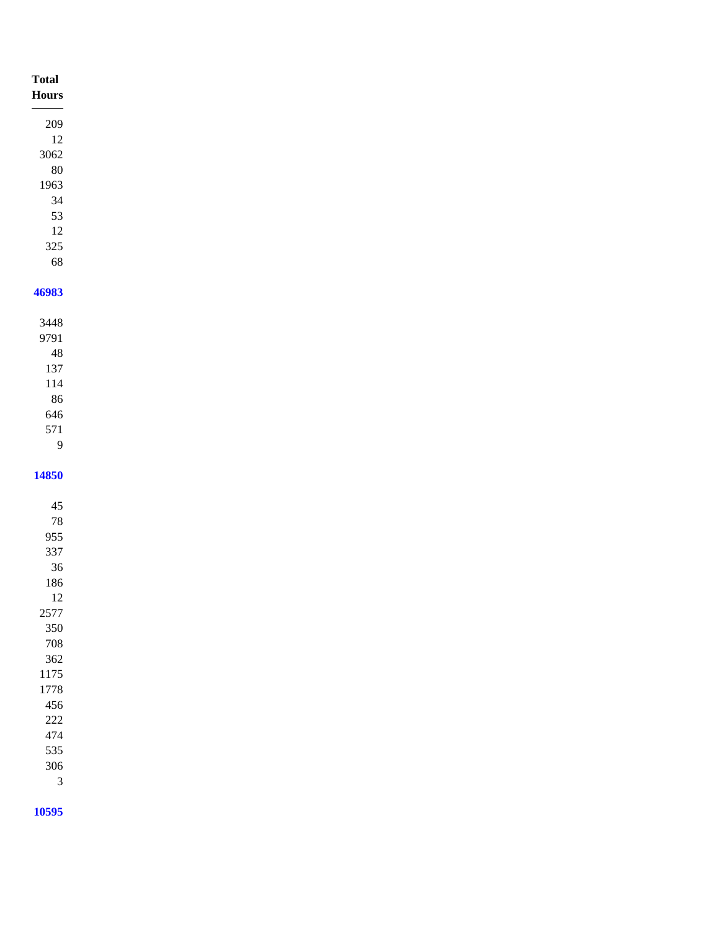| <b>Total</b><br>Hours |
|-----------------------|
| 209                   |
| 12                    |
| 3062                  |
| $80\,$                |
| 1963                  |
| 34                    |
| 53                    |
| 12                    |
| 325                   |
| 68                    |
| 46983                 |
|                       |
| 3448                  |
| 9791                  |
| $\sqrt{48}$           |
| 137                   |
| 114                   |
| 86                    |
| 646                   |
| 571                   |
| 9                     |

####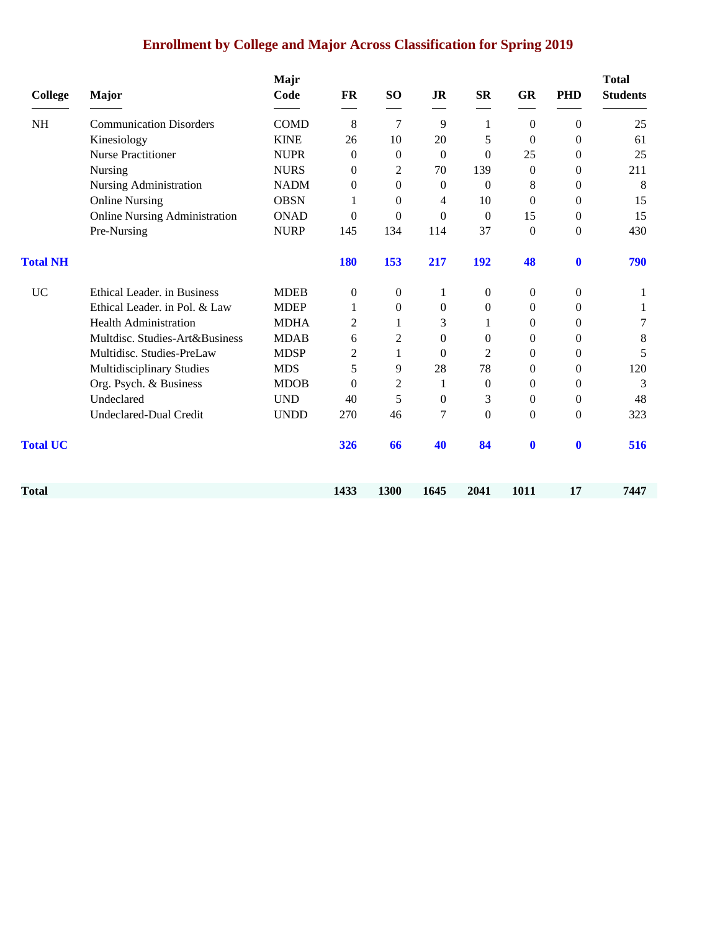## **Enrollment by College and Major Across Classification for Spring 2019**

| <b>College</b>  | <b>Major</b>                         | Majr<br>Code | <b>FR</b>        | SO <sub>1</sub>  | <b>JR</b>        | $S_{\rm R}$      | <b>GR</b>        | <b>PHD</b>       | <b>Total</b><br><b>Students</b> |
|-----------------|--------------------------------------|--------------|------------------|------------------|------------------|------------------|------------------|------------------|---------------------------------|
| <b>NH</b>       | <b>Communication Disorders</b>       | <b>COMD</b>  | 8                | 7                | 9                | 1                | $\overline{0}$   | $\boldsymbol{0}$ | 25                              |
|                 | Kinesiology                          | <b>KINE</b>  | 26               | 10               | 20               | 5                | $\boldsymbol{0}$ | $\boldsymbol{0}$ | 61                              |
|                 | <b>Nurse Practitioner</b>            | <b>NUPR</b>  | $\mathbf{0}$     | $\overline{0}$   | $\theta$         | $\mathbf{0}$     | 25               | $\theta$         | 25                              |
|                 | Nursing                              | <b>NURS</b>  | $\Omega$         | 2                | 70               | 139              | $\theta$         | $\theta$         | 211                             |
|                 | Nursing Administration               | <b>NADM</b>  | $\mathbf{0}$     | $\boldsymbol{0}$ | $\boldsymbol{0}$ | $\mathbf{0}$     | 8                | $\boldsymbol{0}$ | 8                               |
|                 | <b>Online Nursing</b>                | <b>OBSN</b>  |                  | $\mathbf{0}$     | 4                | 10               | $\theta$         | $\theta$         | 15                              |
|                 | <b>Online Nursing Administration</b> | <b>ONAD</b>  | $\Omega$         | $\Omega$         | $\Omega$         | $\Omega$         | 15               | $\mathbf{0}$     | 15                              |
|                 | Pre-Nursing                          | <b>NURP</b>  | 145              | 134              | 114              | 37               | $\boldsymbol{0}$ | $\boldsymbol{0}$ | 430                             |
| <b>Total NH</b> |                                      |              | <b>180</b>       | 153              | 217              | 192              | 48               | $\mathbf 0$      | 790                             |
| <b>UC</b>       | Ethical Leader. in Business          | <b>MDEB</b>  | $\boldsymbol{0}$ | $\theta$         | 1                | $\boldsymbol{0}$ | 0                | 0                | 1                               |
|                 | Ethical Leader. in Pol. & Law        | <b>MDEP</b>  | 1                | $\theta$         | $\mathbf{0}$     | $\theta$         | $\theta$         | $\boldsymbol{0}$ | 1                               |
|                 | <b>Health Administration</b>         | <b>MDHA</b>  | 2                | 1                | 3                | 1                | $\boldsymbol{0}$ | 0                | 7                               |
|                 | Multdisc. Studies-Art&Business       | <b>MDAB</b>  | 6                | 2                | $\overline{0}$   | $\theta$         | $\theta$         | 0                | 8                               |
|                 | Multidisc. Studies-PreLaw            | <b>MDSP</b>  | 2                | 1                | $\theta$         | $\overline{2}$   | $\Omega$         | $\theta$         | 5                               |
|                 | Multidisciplinary Studies            | <b>MDS</b>   | 5                | 9                | 28               | 78               | $\boldsymbol{0}$ | $\boldsymbol{0}$ | 120                             |
|                 | Org. Psych. & Business               | <b>MDOB</b>  | $\theta$         | $\overline{2}$   | 1                | $\theta$         | $\boldsymbol{0}$ | $\boldsymbol{0}$ | 3                               |
|                 | Undeclared                           | <b>UND</b>   | 40               | 5                | $\mathbf{0}$     | 3                | $\theta$         | $\boldsymbol{0}$ | 48                              |
|                 | Undeclared-Dual Credit               | <b>UNDD</b>  | 270              | 46               | 7                | $\theta$         | $\boldsymbol{0}$ | $\theta$         | 323                             |
| <b>Total UC</b> |                                      |              | 326              | 66               | 40               | 84               | $\bf{0}$         | $\bf{0}$         | 516                             |
| Total           |                                      |              | 1433             | 1300             | 1645             | 2041             | 1011             | 17               | 7447                            |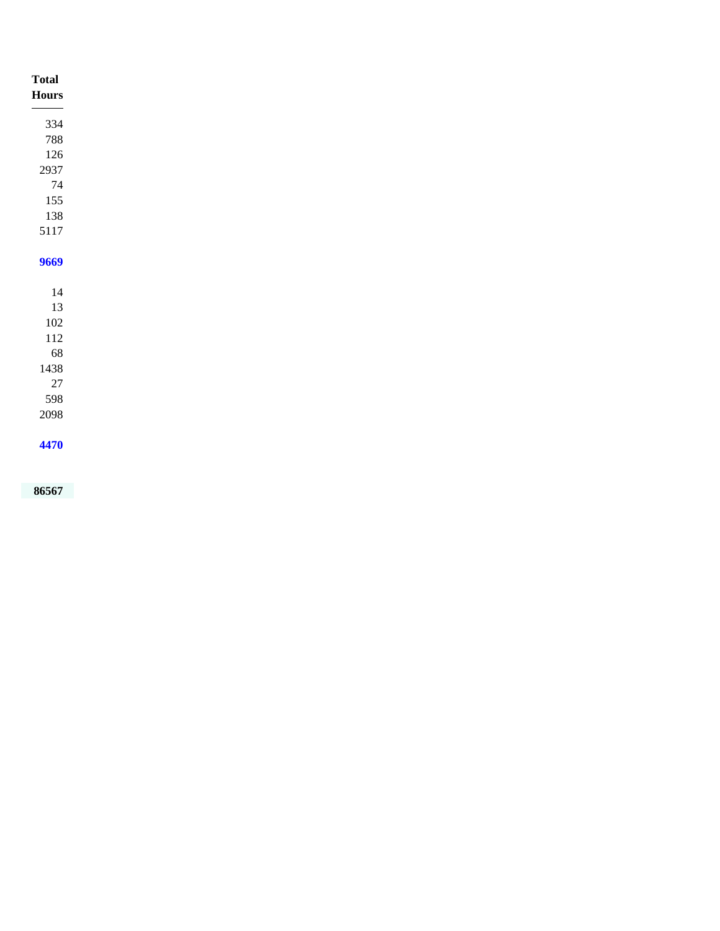| <b>Total</b><br><b>Hours</b> |
|------------------------------|
| 334                          |
| 788                          |
| 126                          |
| 2937                         |
| $74\,$                       |
| 155                          |
| 138                          |
| 5117                         |
|                              |
| 9669                         |
|                              |
| $14\,$                       |
| 13                           |
| $102\,$                      |
| $112\,$                      |
| 68                           |
| 1438                         |
| $27\,$                       |
| 598                          |
| 2098                         |
| 4470                         |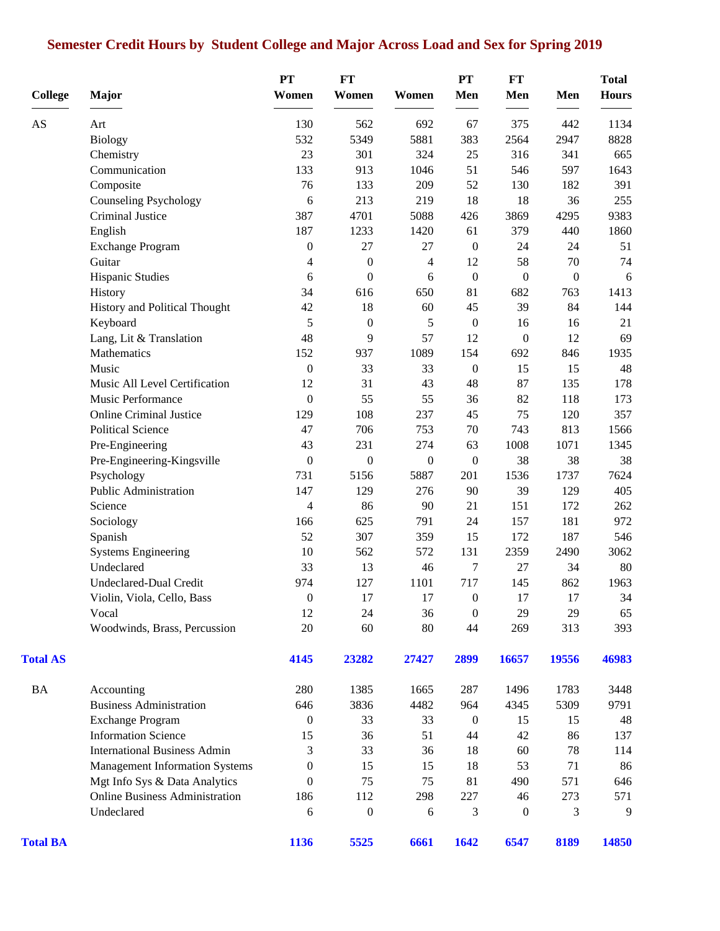## **Semester Credit Hours by Student College and Major Across Load and Sex for Spring 2019**

| <b>College</b>  | <b>Major</b>                          | PT<br>Women      | FT<br>Women      | Women            | <b>PT</b><br>Men | FT<br>Men        | Men              | <b>Total</b><br><b>Hours</b> |
|-----------------|---------------------------------------|------------------|------------------|------------------|------------------|------------------|------------------|------------------------------|
| AS              | Art                                   | 130              | 562              | 692              | 67               | 375              | 442              | 1134                         |
|                 | <b>Biology</b>                        | 532              | 5349             | 5881             | 383              | 2564             | 2947             | 8828                         |
|                 | Chemistry                             | 23               | 301              | 324              | 25               | 316              | 341              | 665                          |
|                 | Communication                         | 133              | 913              | 1046             | 51               | 546              | 597              | 1643                         |
|                 | Composite                             | 76               | 133              | 209              | 52               | 130              | 182              | 391                          |
|                 | <b>Counseling Psychology</b>          | 6                | 213              | 219              | 18               | 18               | 36               | 255                          |
|                 | <b>Criminal Justice</b>               | 387              | 4701             | 5088             | 426              | 3869             | 4295             | 9383                         |
|                 | English                               | 187              | 1233             | 1420             | 61               | 379              | 440              | 1860                         |
|                 | <b>Exchange Program</b>               | $\boldsymbol{0}$ | 27               | 27               | $\boldsymbol{0}$ | 24               | 24               | 51                           |
|                 | Guitar                                | 4                | $\boldsymbol{0}$ | $\overline{4}$   | 12               | 58               | 70               | 74                           |
|                 | Hispanic Studies                      | 6                | $\boldsymbol{0}$ | 6                | $\boldsymbol{0}$ | $\boldsymbol{0}$ | $\boldsymbol{0}$ | 6                            |
|                 | History                               | 34               | 616              | 650              | 81               | 682              | 763              | 1413                         |
|                 | History and Political Thought         | 42               | 18               | 60               | 45               | 39               | 84               | 144                          |
|                 | Keyboard                              | 5                | $\boldsymbol{0}$ | 5                | $\boldsymbol{0}$ | 16               | 16               | 21                           |
|                 | Lang, Lit & Translation               | 48               | 9                | 57               | 12               | $\boldsymbol{0}$ | 12               | 69                           |
|                 | Mathematics                           | 152              | 937              | 1089             | 154              | 692              | 846              | 1935                         |
|                 | Music                                 | 0                | 33               | 33               | $\boldsymbol{0}$ | 15               | 15               | 48                           |
|                 | Music All Level Certification         | 12               | 31               | 43               | 48               | 87               | 135              | 178                          |
|                 | Music Performance                     | $\boldsymbol{0}$ | 55               | 55               | 36               | 82               | 118              | 173                          |
|                 | <b>Online Criminal Justice</b>        | 129              | 108              | 237              | 45               | 75               | 120              | 357                          |
|                 | <b>Political Science</b>              | 47               | 706              | 753              | 70               | 743              | 813              | 1566                         |
|                 | Pre-Engineering                       | 43               | 231              | 274              | 63               | 1008             | 1071             | 1345                         |
|                 | Pre-Engineering-Kingsville            | $\boldsymbol{0}$ | $\boldsymbol{0}$ | $\boldsymbol{0}$ | $\boldsymbol{0}$ | 38               | 38               | 38                           |
|                 | Psychology                            | 731              | 5156             | 5887             | 201              | 1536             | 1737             | 7624                         |
|                 | Public Administration                 | 147              | 129              | 276              | 90               | 39               | 129              | 405                          |
|                 | Science                               | 4                | 86               | 90               | 21               | 151              | 172              | 262                          |
|                 | Sociology                             | 166              | 625              | 791              | 24               | 157              | 181              | 972                          |
|                 | Spanish                               | 52               | 307              | 359              | 15               | 172              | 187              | 546                          |
|                 | <b>Systems Engineering</b>            | 10               | 562              | 572              | 131              | 2359             | 2490             | 3062                         |
|                 | Undeclared                            | 33               | 13               | 46               | $\tau$           | 27               | 34               | 80                           |
|                 | <b>Undeclared-Dual Credit</b>         | 974              | 127              | 1101             | 717              | 145              | 862              | 1963                         |
|                 | Violin, Viola, Cello, Bass            | $\boldsymbol{0}$ | 17               | 17               | $\boldsymbol{0}$ | 17               | 17               | $34\,$                       |
|                 | Vocal                                 | 12               | 24               | 36               | $\boldsymbol{0}$ | 29               | 29               | 65                           |
|                 | Woodwinds, Brass, Percussion          | 20               | 60               | 80               | 44               | 269              | 313              | 393                          |
| <b>Total AS</b> |                                       | 4145             | 23282            | 27427            | 2899             | 16657            | 19556            | 46983                        |
| <b>BA</b>       | Accounting                            | 280              | 1385             | 1665             | 287              | 1496             | 1783             | 3448                         |
|                 | <b>Business Administration</b>        | 646              | 3836             | 4482             | 964              | 4345             | 5309             | 9791                         |
|                 | <b>Exchange Program</b>               | $\overline{0}$   | 33               | 33               | $\boldsymbol{0}$ | 15               | 15               | 48                           |
|                 | <b>Information Science</b>            | 15               | 36               | 51               | 44               | 42               | 86               | 137                          |
|                 | <b>International Business Admin</b>   | 3                | 33               | 36               | 18               | 60               | 78               | 114                          |
|                 | <b>Management Information Systems</b> | 0                | 15               | 15               | 18               | 53               | 71               | 86                           |
|                 | Mgt Info Sys & Data Analytics         | $\overline{0}$   | 75               | 75               | 81               | 490              | 571              | 646                          |
|                 | <b>Online Business Administration</b> | 186              | 112              | 298              | 227              | 46               | 273              | 571                          |
|                 | Undeclared                            | 6                | $\boldsymbol{0}$ | 6                | 3                | $\boldsymbol{0}$ | 3                | 9                            |
| <b>Total BA</b> |                                       | 1136             | 5525             | 6661             | 1642             | 6547             | 8189             | 14850                        |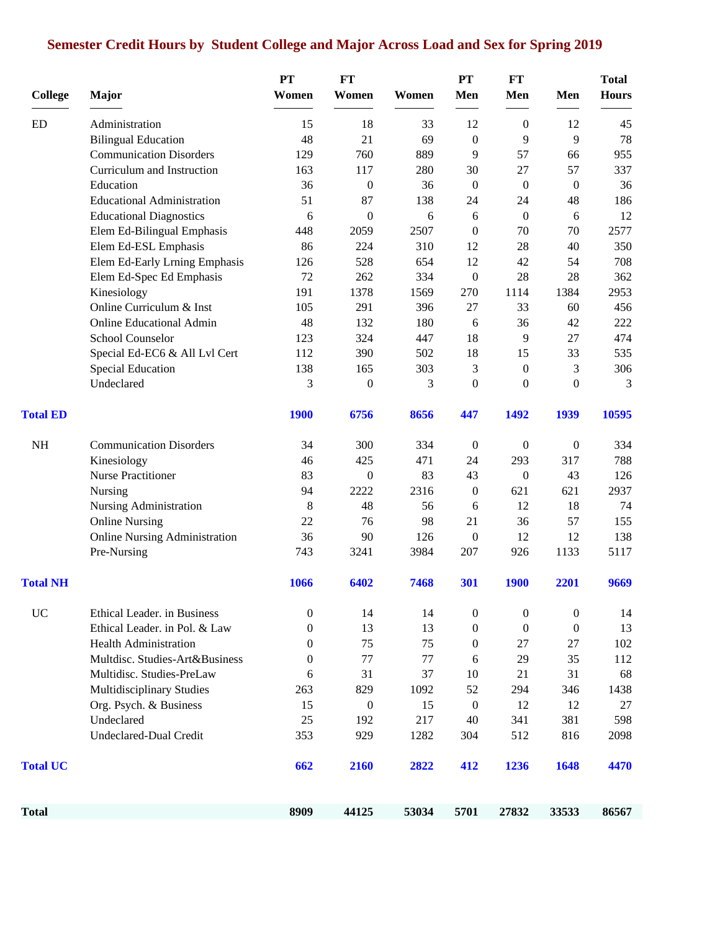## **Semester Credit Hours by Student College and Major Across Load and Sex for Spring 2019**

| <b>College</b>         | Major                                | PT<br>Women      | <b>FT</b><br>Women | Women | PT<br>Men        | FT<br>Men        | Men              | <b>Total</b><br><b>Hours</b> |
|------------------------|--------------------------------------|------------------|--------------------|-------|------------------|------------------|------------------|------------------------------|
|                        | Administration                       | 15               | 18                 | 33    | 12               | $\boldsymbol{0}$ | 12               | 45                           |
|                        | <b>Bilingual Education</b>           | 48               | 21                 | 69    | $\boldsymbol{0}$ | 9                | 9                | $78\,$                       |
|                        | <b>Communication Disorders</b>       | 129              | 760                | 889   | 9                | 57               | 66               | 955                          |
|                        | Curriculum and Instruction           | 163              | 117                | 280   | 30               | 27               | 57               | 337                          |
|                        | Education                            | 36               | $\boldsymbol{0}$   | 36    | $\boldsymbol{0}$ | $\boldsymbol{0}$ | $\boldsymbol{0}$ | 36                           |
|                        | <b>Educational Administration</b>    | 51               | 87                 | 138   | 24               | 24               | 48               | 186                          |
|                        | <b>Educational Diagnostics</b>       | 6                | $\mathbf{0}$       | 6     | 6                | $\boldsymbol{0}$ | 6                | 12                           |
|                        | Elem Ed-Bilingual Emphasis           | 448              | 2059               | 2507  | $\boldsymbol{0}$ | 70               | 70               | 2577                         |
|                        | Elem Ed-ESL Emphasis                 | 86               | 224                | 310   | 12               | 28               | 40               | 350                          |
|                        | Elem Ed-Early Lrning Emphasis        | 126              | 528                | 654   | 12               | 42               | 54               | 708                          |
|                        | Elem Ed-Spec Ed Emphasis             | 72               | 262                | 334   | $\boldsymbol{0}$ | 28               | 28               | 362                          |
|                        | Kinesiology                          | 191              | 1378               | 1569  | 270              | 1114             | 1384             | 2953                         |
|                        | Online Curriculum & Inst             | 105              | 291                | 396   | 27               | 33               | 60               | 456                          |
|                        | <b>Online Educational Admin</b>      | 48               | 132                | 180   | 6                | 36               | 42               | 222                          |
|                        | <b>School Counselor</b>              | 123              | 324                | 447   | 18               | 9                | 27               | 474                          |
|                        | Special Ed-EC6 & All Lvl Cert        | 112              | 390                | 502   | 18               | 15               | 33               | 535                          |
|                        | Special Education                    | 138              | 165                | 303   | 3                | $\boldsymbol{0}$ | 3                | 306                          |
|                        | Undeclared                           | 3                | $\boldsymbol{0}$   | 3     | $\boldsymbol{0}$ | $\overline{0}$   | $\mathbf{0}$     | 3                            |
| <b>Total ED</b>        |                                      | <b>1900</b>      | 6756               | 8656  | 447              | 1492             | 1939             | 10595                        |
| NH                     | <b>Communication Disorders</b>       | 34               | 300                | 334   | $\boldsymbol{0}$ | $\boldsymbol{0}$ | $\mathbf{0}$     | 334                          |
|                        | Kinesiology                          | 46               | 425                | 471   | 24               | 293              | 317              | 788                          |
|                        | <b>Nurse Practitioner</b>            | 83               | $\boldsymbol{0}$   | 83    | 43               | $\boldsymbol{0}$ | 43               | 126                          |
|                        | Nursing                              | 94               | 2222               | 2316  | $\boldsymbol{0}$ | 621              | 621              | 2937                         |
|                        | Nursing Administration               | 8                | 48                 | 56    | 6                | 12               | 18               | 74                           |
|                        | <b>Online Nursing</b>                | 22               | 76                 | 98    | 21               | 36               | 57               | 155                          |
|                        | <b>Online Nursing Administration</b> | 36               | 90                 | 126   | $\boldsymbol{0}$ | 12               | 12               | 138                          |
|                        | Pre-Nursing                          | 743              | 3241               | 3984  | 207              | 926              | 1133             | 5117                         |
| <b>Total NH</b>        |                                      | 1066             | 6402               | 7468  | 301              | <b>1900</b>      | 2201             | 9669                         |
| <b>ED</b><br><b>UC</b> | Ethical Leader. in Business          | $\boldsymbol{0}$ | 14                 | 14    | $\boldsymbol{0}$ | $\boldsymbol{0}$ | $\boldsymbol{0}$ | 14                           |
|                        | Ethical Leader. in Pol. & Law        | $\mathbf{0}$     | 13                 | 13    | $\boldsymbol{0}$ | $\boldsymbol{0}$ | $\boldsymbol{0}$ | 13                           |
|                        | <b>Health Administration</b>         | $\mathbf{0}$     | 75                 | 75    | $\boldsymbol{0}$ | 27               | 27               | 102                          |
|                        | Multdisc. Studies-Art&Business       | $\mathbf{0}$     | 77                 | 77    | 6                | 29               | 35               | 112                          |
|                        | Multidisc. Studies-PreLaw            | 6                | 31                 | 37    | 10               | 21               | 31               | 68                           |
|                        | <b>Multidisciplinary Studies</b>     | 263              | 829                | 1092  | 52               | 294              | 346              | 1438                         |
|                        | Org. Psych. & Business               | 15               | $\boldsymbol{0}$   | 15    | $\boldsymbol{0}$ | 12               | 12               | 27                           |
|                        | Undeclared                           | 25               | 192                | 217   | 40               | 341              | 381              | 598                          |
|                        | <b>Undeclared-Dual Credit</b>        | 353              | 929                | 1282  | 304              | 512              | 816              | 2098                         |
| <b>Total UC</b>        |                                      | 662              | 2160               | 2822  | 412              | 1236             | 1648             | 4470                         |
| <b>Total</b>           |                                      | 8909             | 44125              | 53034 | 5701             | 27832            | 33533            | 86567                        |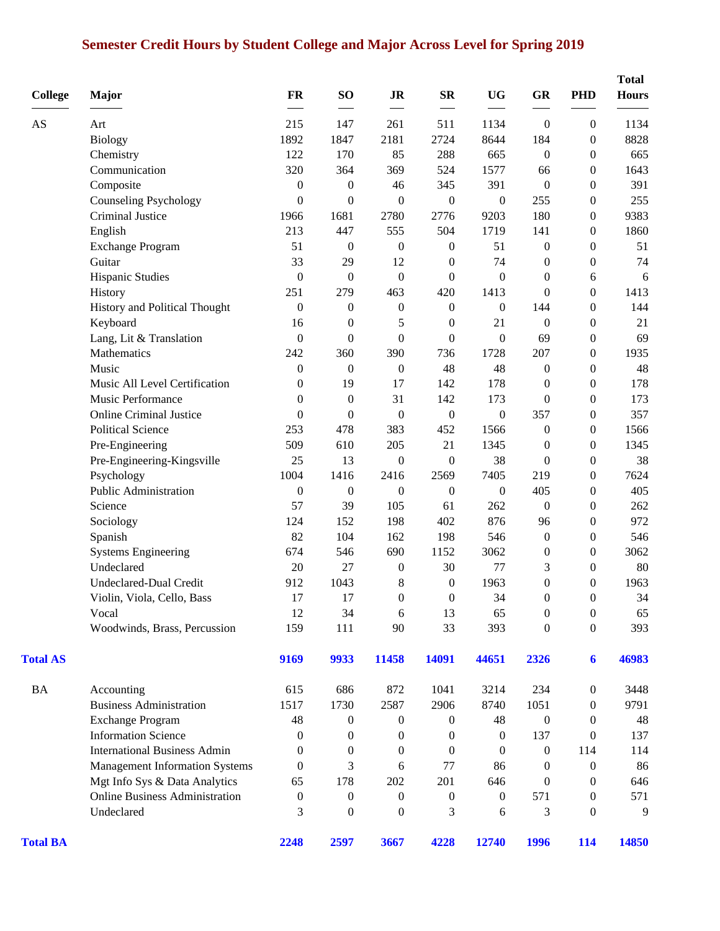## **Semester Credit Hours by Student College and Major Across Level for Spring 2019**

| <b>College</b>  | Major                                 | <b>FR</b>        | SO <sub>1</sub>  | <b>JR</b>        | $S_{\mathbb{R}}$ | <b>UG</b>        | GR               | <b>PHD</b>       | <b>Total</b><br><b>Hours</b> |
|-----------------|---------------------------------------|------------------|------------------|------------------|------------------|------------------|------------------|------------------|------------------------------|
| AS              | Art                                   | 215              | 147              | 261              | 511              | 1134             | $\boldsymbol{0}$ | $\boldsymbol{0}$ | 1134                         |
|                 | <b>Biology</b>                        | 1892             | 1847             | 2181             | 2724             | 8644             | 184              | $\overline{0}$   | 8828                         |
|                 | Chemistry                             | 122              | 170              | 85               | 288              | 665              | $\boldsymbol{0}$ | $\Omega$         | 665                          |
|                 | Communication                         | 320              | 364              | 369              | 524              | 1577             | 66               | $\overline{0}$   | 1643                         |
|                 | Composite                             | $\boldsymbol{0}$ | $\boldsymbol{0}$ | 46               | 345              | 391              | $\boldsymbol{0}$ | $\theta$         | 391                          |
|                 | <b>Counseling Psychology</b>          | $\boldsymbol{0}$ | $\overline{0}$   | $\overline{0}$   | $\boldsymbol{0}$ | $\boldsymbol{0}$ | 255              | $\overline{0}$   | 255                          |
|                 | Criminal Justice                      | 1966             | 1681             | 2780             | 2776             | 9203             | 180              | $\boldsymbol{0}$ | 9383                         |
|                 | English                               | 213              | 447              | 555              | 504              | 1719             | 141              | $\overline{0}$   | 1860                         |
|                 | <b>Exchange Program</b>               | 51               | $\boldsymbol{0}$ | $\boldsymbol{0}$ | $\boldsymbol{0}$ | 51               | $\boldsymbol{0}$ | $\boldsymbol{0}$ | 51                           |
|                 | Guitar                                | 33               | 29               | 12               | $\boldsymbol{0}$ | 74               | $\boldsymbol{0}$ | $\boldsymbol{0}$ | 74                           |
|                 | <b>Hispanic Studies</b>               | $\boldsymbol{0}$ | $\boldsymbol{0}$ | $\boldsymbol{0}$ | $\theta$         | $\theta$         | $\boldsymbol{0}$ | 6                | 6                            |
|                 | History                               | 251              | 279              | 463              | 420              | 1413             | $\mathbf{0}$     | $\overline{0}$   | 1413                         |
|                 | History and Political Thought         | $\mathbf{0}$     | $\boldsymbol{0}$ | $\boldsymbol{0}$ | $\boldsymbol{0}$ | $\boldsymbol{0}$ | 144              | $\overline{0}$   | 144                          |
|                 | Keyboard                              | 16               | $\theta$         | 5                | $\boldsymbol{0}$ | 21               | $\boldsymbol{0}$ | $\overline{0}$   | 21                           |
|                 | Lang, Lit & Translation               | $\theta$         | $\Omega$         | $\mathbf{0}$     | $\mathbf{0}$     | $\mathbf{0}$     | 69               | $\overline{0}$   | 69                           |
|                 | Mathematics                           | 242              | 360              | 390              | 736              | 1728             | 207              | $\overline{0}$   | 1935                         |
|                 | Music                                 | $\boldsymbol{0}$ | $\boldsymbol{0}$ | $\boldsymbol{0}$ | 48               | 48               | $\boldsymbol{0}$ | $\theta$         | 48                           |
|                 | Music All Level Certification         | $\theta$         | 19               | 17               | 142              | 178              | $\boldsymbol{0}$ | $\overline{0}$   | 178                          |
|                 | Music Performance                     | $\mathbf{0}$     | $\boldsymbol{0}$ | 31               | 142              | 173              | $\boldsymbol{0}$ | $\boldsymbol{0}$ | 173                          |
|                 | <b>Online Criminal Justice</b>        | $\boldsymbol{0}$ | $\boldsymbol{0}$ | $\boldsymbol{0}$ | $\boldsymbol{0}$ | $\boldsymbol{0}$ | 357              | $\boldsymbol{0}$ | 357                          |
|                 | <b>Political Science</b>              | 253              | 478              | 383              | 452              | 1566             | $\boldsymbol{0}$ | $\boldsymbol{0}$ | 1566                         |
|                 | Pre-Engineering                       | 509              | 610              | 205              | 21               | 1345             | $\boldsymbol{0}$ | $\boldsymbol{0}$ | 1345                         |
|                 | Pre-Engineering-Kingsville            | 25               | 13               | $\boldsymbol{0}$ | $\boldsymbol{0}$ | 38               | $\boldsymbol{0}$ | $\boldsymbol{0}$ | 38                           |
|                 | Psychology                            | 1004             | 1416             | 2416             | 2569             | 7405             | 219              | $\overline{0}$   | 7624                         |
|                 | Public Administration                 | $\boldsymbol{0}$ | $\boldsymbol{0}$ | $\boldsymbol{0}$ | $\boldsymbol{0}$ | $\boldsymbol{0}$ | 405              | $\boldsymbol{0}$ | 405                          |
|                 | Science                               | 57               | 39               | 105              | 61               | 262              | $\boldsymbol{0}$ | $\overline{0}$   | 262                          |
|                 | Sociology                             | 124              | 152              | 198              | 402              | 876              | 96               | $\theta$         | 972                          |
|                 | Spanish                               | 82               | 104              | 162              | 198              | 546              | $\boldsymbol{0}$ | $\overline{0}$   | 546                          |
|                 | <b>Systems Engineering</b>            | 674              | 546              | 690              | 1152             | 3062             | $\boldsymbol{0}$ | $\theta$         | 3062                         |
|                 | Undeclared                            | 20               | 27               | $\boldsymbol{0}$ | 30               | $77 \,$          | 3                | $\theta$         | 80                           |
|                 | <b>Undeclared-Dual Credit</b>         | 912              | 1043             | 8                | $\boldsymbol{0}$ | 1963             | $\boldsymbol{0}$ | $\overline{0}$   | 1963                         |
|                 |                                       | 17               | 17               | $\theta$         | $\mathbf{0}$     | 34               | $\boldsymbol{0}$ | $\Omega$         | 34                           |
|                 | Violin, Viola, Cello, Bass<br>Vocal   | 12               | 34               | 6                | 13               | 65               | $\boldsymbol{0}$ | $\boldsymbol{0}$ | 65                           |
|                 | Woodwinds, Brass, Percussion          | 159              | 111              | 90               | 33               | 393              |                  | $\boldsymbol{0}$ | 393                          |
|                 |                                       |                  |                  |                  |                  |                  | $\boldsymbol{0}$ |                  |                              |
| <b>Total AS</b> |                                       | 9169             | 9933             | 11458            | 14091            | 44651            | 2326             | 6                | 46983                        |
| <b>BA</b>       | Accounting                            | 615              | 686              | 872              | 1041             | 3214             | 234              | $\boldsymbol{0}$ | 3448                         |
|                 | <b>Business Administration</b>        | 1517             | 1730             | 2587             | 2906             | 8740             | 1051             | $\overline{0}$   | 9791                         |
|                 | <b>Exchange Program</b>               | 48               | $\boldsymbol{0}$ | $\boldsymbol{0}$ | $\boldsymbol{0}$ | 48               | $\boldsymbol{0}$ | $\boldsymbol{0}$ | 48                           |
|                 | <b>Information Science</b>            | $\mathbf{0}$     | $\theta$         | $\mathbf{0}$     | $\mathbf{0}$     | $\mathbf{0}$     | 137              | $\Omega$         | 137                          |
|                 | <b>International Business Admin</b>   | $\theta$         | $\overline{0}$   | $\mathbf{0}$     | $\mathbf{0}$     | $\mathbf{0}$     | $\boldsymbol{0}$ | 114              | 114                          |
|                 | <b>Management Information Systems</b> | $\boldsymbol{0}$ | 3                | 6                | 77               | 86               | $\boldsymbol{0}$ | $\overline{0}$   | 86                           |
|                 | Mgt Info Sys & Data Analytics         | 65               | 178              | 202              | 201              | 646              | $\boldsymbol{0}$ | $\theta$         | 646                          |
|                 | <b>Online Business Administration</b> | $\mathbf{0}$     | $\boldsymbol{0}$ | $\mathbf{0}$     | $\boldsymbol{0}$ | $\overline{0}$   | 571              | $\overline{0}$   | 571                          |
|                 | Undeclared                            | 3                | $\theta$         | $\boldsymbol{0}$ | 3                | 6                | 3                | $\boldsymbol{0}$ | 9                            |
| <b>Total BA</b> |                                       | 2248             | 2597             | 3667             | 4228             | 12740            | 1996             | 114              | 14850                        |